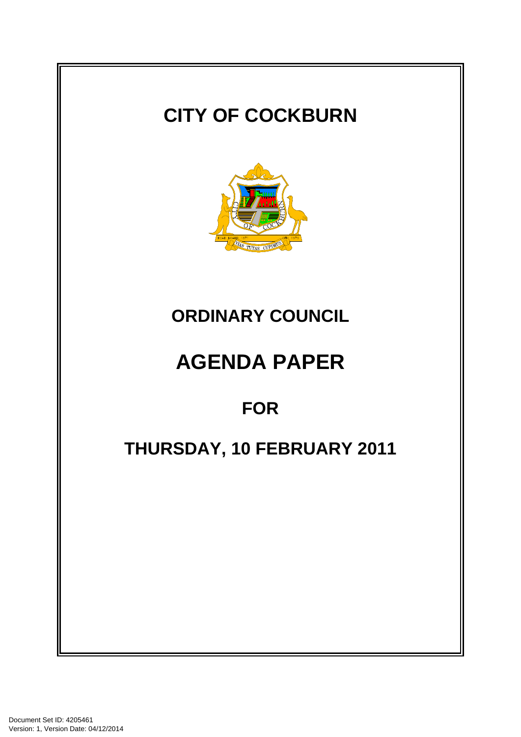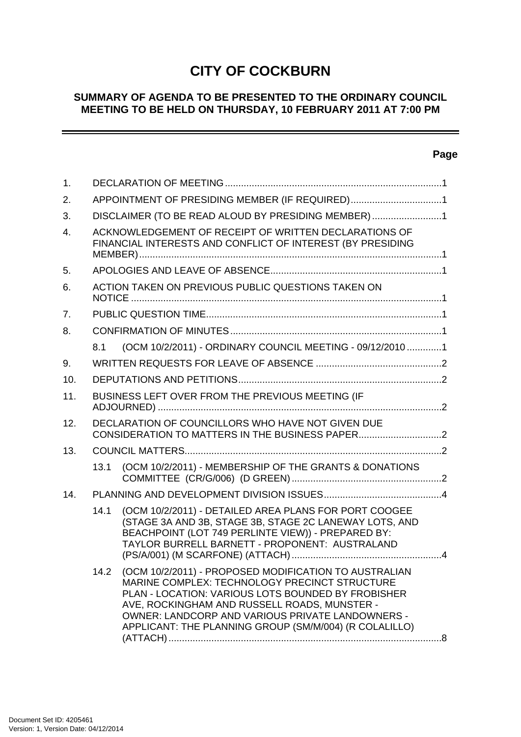# **CITY OF COCKBURN**

# **SUMMARY OF AGENDA TO BE PRESENTED TO THE ORDINARY COUNCIL MEETING TO BE HELD ON THURSDAY, 10 FEBRUARY 2011 AT 7:00 PM**

# **Page**

-

| 1.             |                                                                                                                     |                                                                                                                                                                                                                                                                                                                            |  |  |  |
|----------------|---------------------------------------------------------------------------------------------------------------------|----------------------------------------------------------------------------------------------------------------------------------------------------------------------------------------------------------------------------------------------------------------------------------------------------------------------------|--|--|--|
| 2.             | APPOINTMENT OF PRESIDING MEMBER (IF REQUIRED)1                                                                      |                                                                                                                                                                                                                                                                                                                            |  |  |  |
| 3.             | DISCLAIMER (TO BE READ ALOUD BY PRESIDING MEMBER) 1                                                                 |                                                                                                                                                                                                                                                                                                                            |  |  |  |
| $\mathbf{4}$ . | ACKNOWLEDGEMENT OF RECEIPT OF WRITTEN DECLARATIONS OF<br>FINANCIAL INTERESTS AND CONFLICT OF INTEREST (BY PRESIDING |                                                                                                                                                                                                                                                                                                                            |  |  |  |
| 5.             |                                                                                                                     |                                                                                                                                                                                                                                                                                                                            |  |  |  |
| 6.             | ACTION TAKEN ON PREVIOUS PUBLIC QUESTIONS TAKEN ON                                                                  |                                                                                                                                                                                                                                                                                                                            |  |  |  |
| 7.             |                                                                                                                     |                                                                                                                                                                                                                                                                                                                            |  |  |  |
| 8.             |                                                                                                                     |                                                                                                                                                                                                                                                                                                                            |  |  |  |
|                | 8.1                                                                                                                 | (OCM 10/2/2011) - ORDINARY COUNCIL MEETING - 09/12/20101                                                                                                                                                                                                                                                                   |  |  |  |
| 9.             |                                                                                                                     |                                                                                                                                                                                                                                                                                                                            |  |  |  |
| 10.            |                                                                                                                     |                                                                                                                                                                                                                                                                                                                            |  |  |  |
| 11.            | BUSINESS LEFT OVER FROM THE PREVIOUS MEETING (IF                                                                    |                                                                                                                                                                                                                                                                                                                            |  |  |  |
| 12.            | DECLARATION OF COUNCILLORS WHO HAVE NOT GIVEN DUE                                                                   |                                                                                                                                                                                                                                                                                                                            |  |  |  |
| 13.            |                                                                                                                     |                                                                                                                                                                                                                                                                                                                            |  |  |  |
|                | 13.1                                                                                                                | (OCM 10/2/2011) - MEMBERSHIP OF THE GRANTS & DONATIONS                                                                                                                                                                                                                                                                     |  |  |  |
| 14.            |                                                                                                                     |                                                                                                                                                                                                                                                                                                                            |  |  |  |
|                | 14.1                                                                                                                | (OCM 10/2/2011) - DETAILED AREA PLANS FOR PORT COOGEE<br>(STAGE 3A AND 3B, STAGE 3B, STAGE 2C LANEWAY LOTS, AND<br>BEACHPOINT (LOT 749 PERLINTE VIEW)) - PREPARED BY:<br>TAYLOR BURRELL BARNETT - PROPONENT: AUSTRALAND                                                                                                    |  |  |  |
|                | 14.2                                                                                                                | (OCM 10/2/2011) - PROPOSED MODIFICATION TO AUSTRALIAN<br>MARINE COMPLEX: TECHNOLOGY PRECINCT STRUCTURE<br>PLAN - LOCATION: VARIOUS LOTS BOUNDED BY FROBISHER<br>AVE, ROCKINGHAM AND RUSSELL ROADS, MUNSTER -<br>OWNER: LANDCORP AND VARIOUS PRIVATE LANDOWNERS -<br>APPLICANT: THE PLANNING GROUP (SM/M/004) (R COLALILLO) |  |  |  |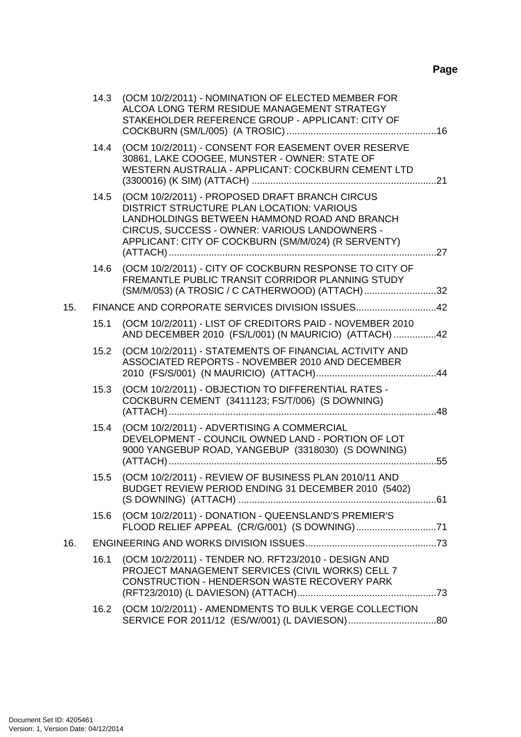# **Page**

|     | 14.3 | (OCM 10/2/2011) - NOMINATION OF ELECTED MEMBER FOR<br>ALCOA LONG TERM RESIDUE MANAGEMENT STRATEGY<br>STAKEHOLDER REFERENCE GROUP - APPLICANT: CITY OF                                                                                                      |     |
|-----|------|------------------------------------------------------------------------------------------------------------------------------------------------------------------------------------------------------------------------------------------------------------|-----|
|     | 14.4 | (OCM 10/2/2011) - CONSENT FOR EASEMENT OVER RESERVE<br>30861, LAKE COOGEE, MUNSTER - OWNER: STATE OF<br>WESTERN AUSTRALIA - APPLICANT: COCKBURN CEMENT LTD                                                                                                 |     |
|     | 14.5 | (OCM 10/2/2011) - PROPOSED DRAFT BRANCH CIRCUS<br><b>DISTRICT STRUCTURE PLAN LOCATION: VARIOUS</b><br>LANDHOLDINGS BETWEEN HAMMOND ROAD AND BRANCH<br>CIRCUS, SUCCESS - OWNER: VARIOUS LANDOWNERS -<br>APPLICANT: CITY OF COCKBURN (SM/M/024) (R SERVENTY) | .27 |
|     | 14.6 | (OCM 10/2/2011) - CITY OF COCKBURN RESPONSE TO CITY OF<br>FREMANTLE PUBLIC TRANSIT CORRIDOR PLANNING STUDY<br>(SM/M/053) (A TROSIC / C CATHERWOOD) (ATTACH)32                                                                                              |     |
| 15. |      | FINANCE AND CORPORATE SERVICES DIVISION ISSUES42                                                                                                                                                                                                           |     |
|     | 15.1 | (OCM 10/2/2011) - LIST OF CREDITORS PAID - NOVEMBER 2010<br>AND DECEMBER 2010 (FS/L/001) (N MAURICIO) (ATTACH) 42                                                                                                                                          |     |
|     | 15.2 | (OCM 10/2/2011) - STATEMENTS OF FINANCIAL ACTIVITY AND<br>ASSOCIATED REPORTS - NOVEMBER 2010 AND DECEMBER                                                                                                                                                  |     |
|     | 15.3 | (OCM 10/2/2011) - OBJECTION TO DIFFERENTIAL RATES -<br>COCKBURN CEMENT (3411123; FS/T/006) (S DOWNING)                                                                                                                                                     |     |
|     | 15.4 | (OCM 10/2/2011) - ADVERTISING A COMMERCIAL<br>DEVELOPMENT - COUNCIL OWNED LAND - PORTION OF LOT<br>9000 YANGEBUP ROAD, YANGEBUP (3318030) (S DOWNING)                                                                                                      |     |
|     | 15.5 | (OCM 10/2/2011) - REVIEW OF BUSINESS PLAN 2010/11 AND<br>BUDGET REVIEW PERIOD ENDING 31 DECEMBER 2010 (5402)                                                                                                                                               |     |
|     | 15.6 | (OCM 10/2/2011) - DONATION - QUEENSLAND'S PREMIER'S                                                                                                                                                                                                        |     |
| 16. |      |                                                                                                                                                                                                                                                            |     |
|     | 16.1 | (OCM 10/2/2011) - TENDER NO. RFT23/2010 - DESIGN AND<br>PROJECT MANAGEMENT SERVICES (CIVIL WORKS) CELL 7<br>CONSTRUCTION - HENDERSON WASTE RECOVERY PARK                                                                                                   |     |
|     | 16.2 | (OCM 10/2/2011) - AMENDMENTS TO BULK VERGE COLLECTION                                                                                                                                                                                                      |     |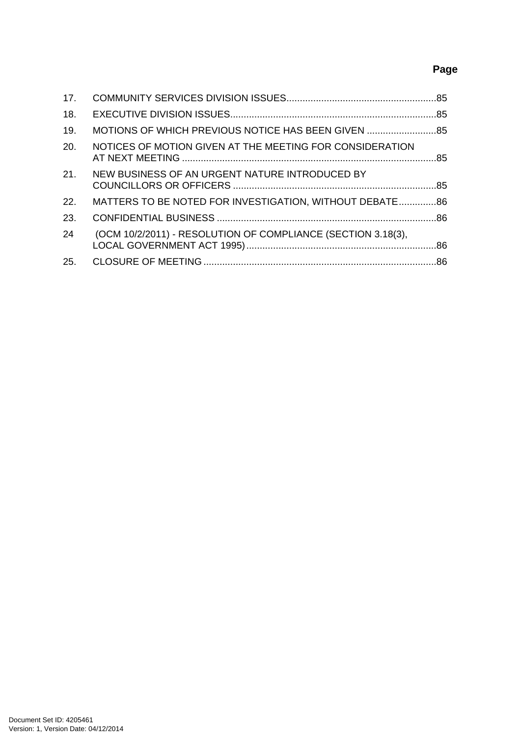# **Page**

| 17.  |                                                              |  |
|------|--------------------------------------------------------------|--|
| 18.  |                                                              |  |
| 19.  | MOTIONS OF WHICH PREVIOUS NOTICE HAS BEEN GIVEN              |  |
| 20.  | NOTICES OF MOTION GIVEN AT THE MEETING FOR CONSIDERATION     |  |
| 21.  | NEW BUSINESS OF AN URGENT NATURE INTRODUCED BY               |  |
| 22.  | MATTERS TO BE NOTED FOR INVESTIGATION, WITHOUT DEBATE 86     |  |
| -23. |                                                              |  |
| 24   | (OCM 10/2/2011) - RESOLUTION OF COMPLIANCE (SECTION 3.18(3), |  |
| 25.  |                                                              |  |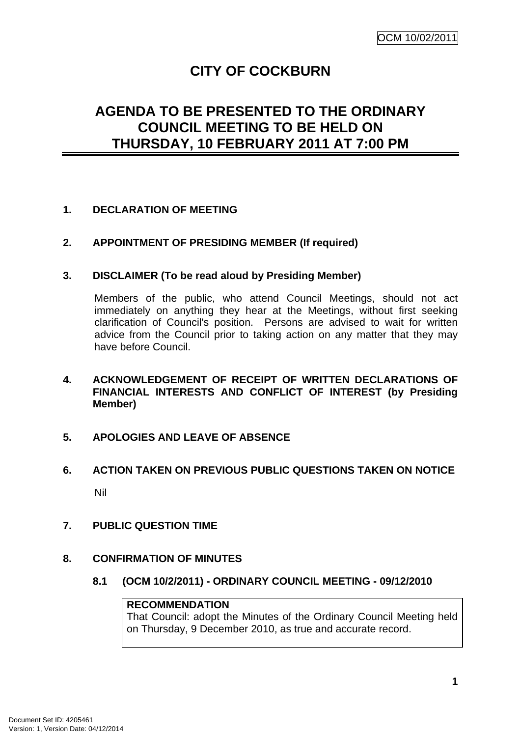# **CITY OF COCKBURN**

# <span id="page-4-0"></span>**AGENDA TO BE PRESENTED TO THE ORDINARY COUNCIL MEETING TO BE HELD ON THURSDAY, 10 FEBRUARY 2011 AT 7:00 PM**

# **1. DECLARATION OF MEETING**

**2. APPOINTMENT OF PRESIDING MEMBER (If required)** 

# **3. DISCLAIMER (To be read aloud by Presiding Member)**

Members of the public, who attend Council Meetings, should not act immediately on anything they hear at the Meetings, without first seeking clarification of Council's position. Persons are advised to wait for written advice from the Council prior to taking action on any matter that they may have before Council.

- **4. ACKNOWLEDGEMENT OF RECEIPT OF WRITTEN DECLARATIONS OF FINANCIAL INTERESTS AND CONFLICT OF INTEREST (by Presiding Member)**
- **5. APOLOGIES AND LEAVE OF ABSENCE**
- **6. ACTION TAKEN ON PREVIOUS PUBLIC QUESTIONS TAKEN ON NOTICE**  Nil
- **7. PUBLIC QUESTION TIME**
- **8. CONFIRMATION OF MINUTES** 
	- **8.1 (OCM 10/2/2011) ORDINARY COUNCIL MEETING 09/12/2010**

# **RECOMMENDATION**

That Council: adopt the Minutes of the Ordinary Council Meeting held on Thursday, 9 December 2010, as true and accurate record.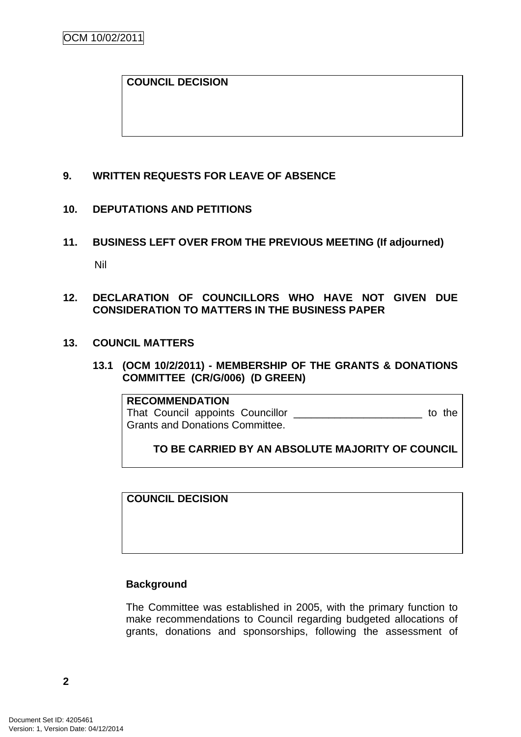# <span id="page-5-0"></span>**COUNCIL DECISION**

# **9. WRITTEN REQUESTS FOR LEAVE OF ABSENCE**

# **10. DEPUTATIONS AND PETITIONS**

**11. BUSINESS LEFT OVER FROM THE PREVIOUS MEETING (If adjourned)**  Nil

# **12. DECLARATION OF COUNCILLORS WHO HAVE NOT GIVEN DUE CONSIDERATION TO MATTERS IN THE BUSINESS PAPER**

# **13. COUNCIL MATTERS**

**13.1 (OCM 10/2/2011) - MEMBERSHIP OF THE GRANTS & DONATIONS COMMITTEE (CR/G/006) (D GREEN)** 

**RECOMMENDATION** That Council appoints Councillor \_\_\_\_\_\_\_\_\_\_\_\_\_\_\_\_\_\_\_\_\_\_\_\_\_\_ to the Grants and Donations Committee.

**TO BE CARRIED BY AN ABSOLUTE MAJORITY OF COUNCIL**

**COUNCIL DECISION** 

# **Background**

The Committee was established in 2005, with the primary function to make recommendations to Council regarding budgeted allocations of grants, donations and sponsorships, following the assessment of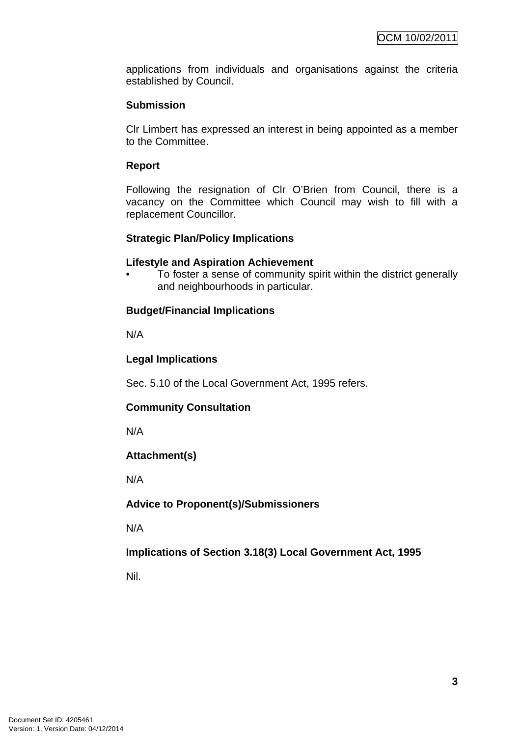applications from individuals and organisations against the criteria established by Council.

# **Submission**

Clr Limbert has expressed an interest in being appointed as a member to the Committee.

# **Report**

Following the resignation of Clr O'Brien from Council, there is a vacancy on the Committee which Council may wish to fill with a replacement Councillor.

# **Strategic Plan/Policy Implications**

### **Lifestyle and Aspiration Achievement**

• To foster a sense of community spirit within the district generally and neighbourhoods in particular.

# **Budget/Financial Implications**

N/A

# **Legal Implications**

Sec. 5.10 of the Local Government Act, 1995 refers.

# **Community Consultation**

N/A

# **Attachment(s)**

N/A

# **Advice to Proponent(s)/Submissioners**

N/A

# **Implications of Section 3.18(3) Local Government Act, 1995**

Nil.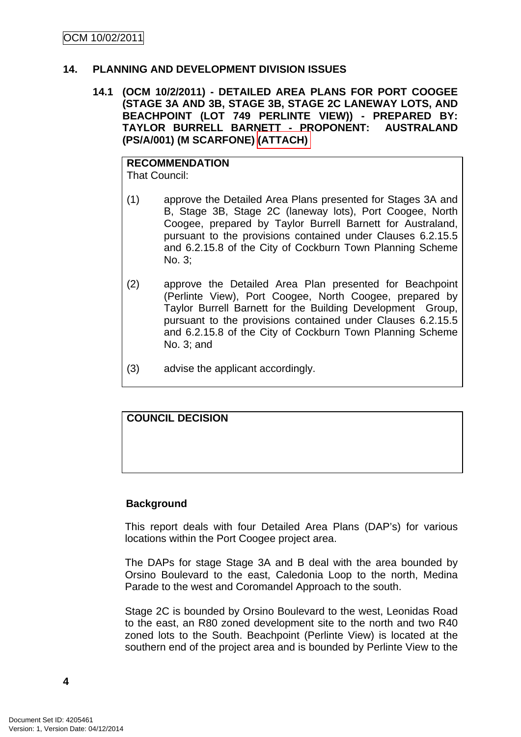# <span id="page-7-0"></span>**14. PLANNING AND DEVELOPMENT DIVISION ISSUES**

**14.1 (OCM 10/2/2011) - DETAILED AREA PLANS FOR PORT COOGEE (STAGE 3A AND 3B, STAGE 3B, STAGE 2C LANEWAY LOTS, AND BEACHPOINT (LOT 749 PERLINTE VIEW)) - PREPARED BY: TAYLOR BURRELL BARNETT - PROPONENT: AUSTRALAND (PS/A/001) (M SCARFONE) (ATTACH)** 

# **RECOMMENDATION**

That Council:

- (1) approve the Detailed Area Plans presented for Stages 3A and B, Stage 3B, Stage 2C (laneway lots), Port Coogee, North Coogee, prepared by Taylor Burrell Barnett for Australand, pursuant to the provisions contained under Clauses 6.2.15.5 and 6.2.15.8 of the City of Cockburn Town Planning Scheme No. 3;
- (2) approve the Detailed Area Plan presented for Beachpoint (Perlinte View), Port Coogee, North Coogee, prepared by Taylor Burrell Barnett for the Building Development Group, pursuant to the provisions contained under Clauses 6.2.15.5 and 6.2.15.8 of the City of Cockburn Town Planning Scheme No. 3; and
- (3) advise the applicant accordingly.

# **COUNCIL DECISION**

# **Background**

This report deals with four Detailed Area Plans (DAP's) for various locations within the Port Coogee project area.

The DAPs for stage Stage 3A and B deal with the area bounded by Orsino Boulevard to the east, Caledonia Loop to the north, Medina Parade to the west and Coromandel Approach to the south.

Stage 2C is bounded by Orsino Boulevard to the west, Leonidas Road to the east, an R80 zoned development site to the north and two R40 zoned lots to the South. Beachpoint (Perlinte View) is located at the southern end of the project area and is bounded by Perlinte View to the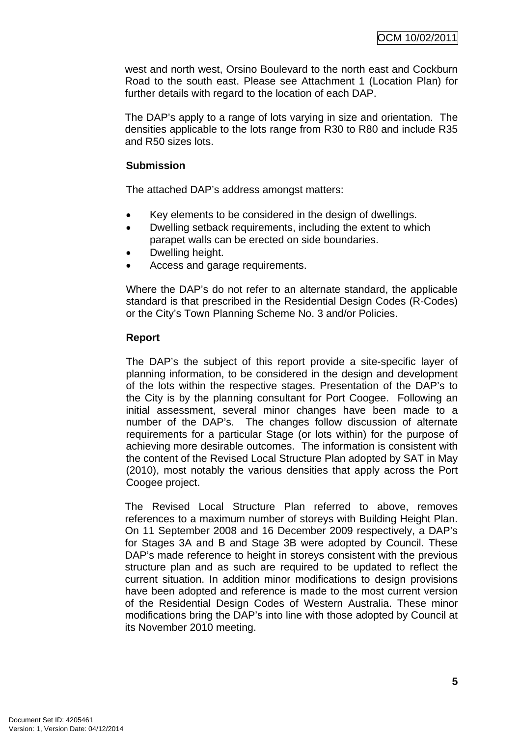west and north west, Orsino Boulevard to the north east and Cockburn Road to the south east. Please see Attachment 1 (Location Plan) for further details with regard to the location of each DAP.

The DAP's apply to a range of lots varying in size and orientation. The densities applicable to the lots range from R30 to R80 and include R35 and R50 sizes lots.

# **Submission**

The attached DAP's address amongst matters:

- Key elements to be considered in the design of dwellings.
- Dwelling setback requirements, including the extent to which parapet walls can be erected on side boundaries.
- Dwelling height.
- Access and garage requirements.

Where the DAP's do not refer to an alternate standard, the applicable standard is that prescribed in the Residential Design Codes (R-Codes) or the City's Town Planning Scheme No. 3 and/or Policies.

# **Report**

The DAP's the subject of this report provide a site-specific layer of planning information, to be considered in the design and development of the lots within the respective stages. Presentation of the DAP's to the City is by the planning consultant for Port Coogee. Following an initial assessment, several minor changes have been made to a number of the DAP's. The changes follow discussion of alternate requirements for a particular Stage (or lots within) for the purpose of achieving more desirable outcomes. The information is consistent with the content of the Revised Local Structure Plan adopted by SAT in May (2010), most notably the various densities that apply across the Port Coogee project.

The Revised Local Structure Plan referred to above, removes references to a maximum number of storeys with Building Height Plan. On 11 September 2008 and 16 December 2009 respectively, a DAP's for Stages 3A and B and Stage 3B were adopted by Council. These DAP's made reference to height in storeys consistent with the previous structure plan and as such are required to be updated to reflect the current situation. In addition minor modifications to design provisions have been adopted and reference is made to the most current version of the Residential Design Codes of Western Australia. These minor modifications bring the DAP's into line with those adopted by Council at its November 2010 meeting.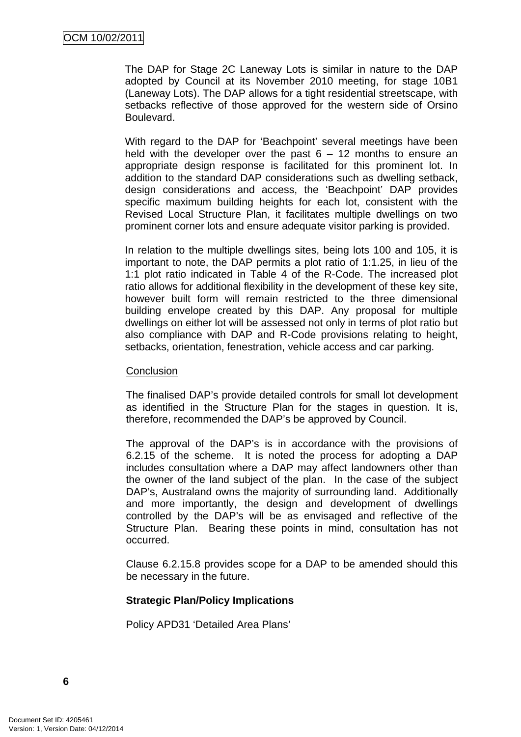The DAP for Stage 2C Laneway Lots is similar in nature to the DAP adopted by Council at its November 2010 meeting, for stage 10B1 (Laneway Lots). The DAP allows for a tight residential streetscape, with setbacks reflective of those approved for the western side of Orsino Boulevard.

With regard to the DAP for 'Beachpoint' several meetings have been held with the developer over the past  $6 - 12$  months to ensure an appropriate design response is facilitated for this prominent lot. In addition to the standard DAP considerations such as dwelling setback, design considerations and access, the 'Beachpoint' DAP provides specific maximum building heights for each lot, consistent with the Revised Local Structure Plan, it facilitates multiple dwellings on two prominent corner lots and ensure adequate visitor parking is provided.

In relation to the multiple dwellings sites, being lots 100 and 105, it is important to note, the DAP permits a plot ratio of 1:1.25, in lieu of the 1:1 plot ratio indicated in Table 4 of the R-Code. The increased plot ratio allows for additional flexibility in the development of these key site, however built form will remain restricted to the three dimensional building envelope created by this DAP. Any proposal for multiple dwellings on either lot will be assessed not only in terms of plot ratio but also compliance with DAP and R-Code provisions relating to height, setbacks, orientation, fenestration, vehicle access and car parking.

### **Conclusion**

The finalised DAP's provide detailed controls for small lot development as identified in the Structure Plan for the stages in question. It is, therefore, recommended the DAP's be approved by Council.

The approval of the DAP's is in accordance with the provisions of 6.2.15 of the scheme. It is noted the process for adopting a DAP includes consultation where a DAP may affect landowners other than the owner of the land subject of the plan. In the case of the subject DAP's, Australand owns the majority of surrounding land. Additionally and more importantly, the design and development of dwellings controlled by the DAP's will be as envisaged and reflective of the Structure Plan. Bearing these points in mind, consultation has not occurred.

Clause 6.2.15.8 provides scope for a DAP to be amended should this be necessary in the future.

# **Strategic Plan/Policy Implications**

Policy APD31 'Detailed Area Plans'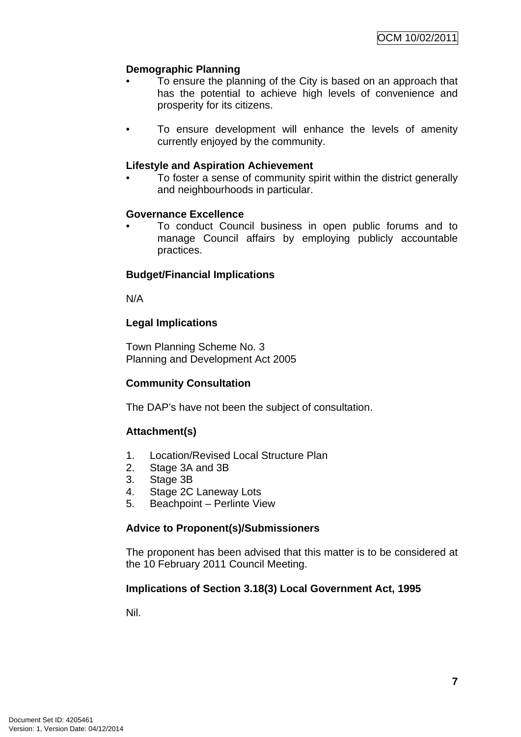# **Demographic Planning**

- To ensure the planning of the City is based on an approach that has the potential to achieve high levels of convenience and prosperity for its citizens.
- To ensure development will enhance the levels of amenity currently enjoyed by the community.

# **Lifestyle and Aspiration Achievement**

• To foster a sense of community spirit within the district generally and neighbourhoods in particular.

# **Governance Excellence**

• To conduct Council business in open public forums and to manage Council affairs by employing publicly accountable practices.

# **Budget/Financial Implications**

N/A

# **Legal Implications**

Town Planning Scheme No. 3 Planning and Development Act 2005

# **Community Consultation**

The DAP's have not been the subject of consultation.

# **Attachment(s)**

- 1. Location/Revised Local Structure Plan
- 2. Stage 3A and 3B
- 3. Stage 3B
- 4. Stage 2C Laneway Lots
- 5. Beachpoint Perlinte View

# **Advice to Proponent(s)/Submissioners**

The proponent has been advised that this matter is to be considered at the 10 February 2011 Council Meeting.

# **Implications of Section 3.18(3) Local Government Act, 1995**

Nil.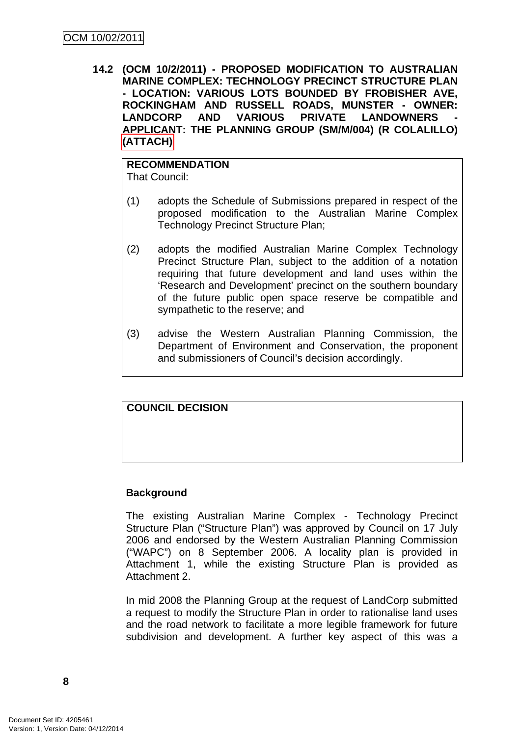<span id="page-11-0"></span>**14.2 (OCM 10/2/2011) - PROPOSED MODIFICATION TO AUSTRALIAN MARINE COMPLEX: TECHNOLOGY PRECINCT STRUCTURE PLAN - LOCATION: VARIOUS LOTS BOUNDED BY FROBISHER AVE, ROCKINGHAM AND RUSSELL ROADS, MUNSTER - OWNER:**  LANDCORP AND VARIOUS PRIVATE LANDOWNERS **APPLICANT: THE PLANNING GROUP (SM/M/004) (R COLALILLO) (ATTACH)** 

# **RECOMMENDATION**

That Council:

- (1) adopts the Schedule of Submissions prepared in respect of the proposed modification to the Australian Marine Complex Technology Precinct Structure Plan;
- (2) adopts the modified Australian Marine Complex Technology Precinct Structure Plan, subject to the addition of a notation requiring that future development and land uses within the 'Research and Development' precinct on the southern boundary of the future public open space reserve be compatible and sympathetic to the reserve; and
- (3) advise the Western Australian Planning Commission, the Department of Environment and Conservation, the proponent and submissioners of Council's decision accordingly.

# **COUNCIL DECISION**

# **Background**

The existing Australian Marine Complex - Technology Precinct Structure Plan ("Structure Plan") was approved by Council on 17 July 2006 and endorsed by the Western Australian Planning Commission ("WAPC") on 8 September 2006. A locality plan is provided in Attachment 1, while the existing Structure Plan is provided as Attachment 2.

In mid 2008 the Planning Group at the request of LandCorp submitted a request to modify the Structure Plan in order to rationalise land uses and the road network to facilitate a more legible framework for future subdivision and development. A further key aspect of this was a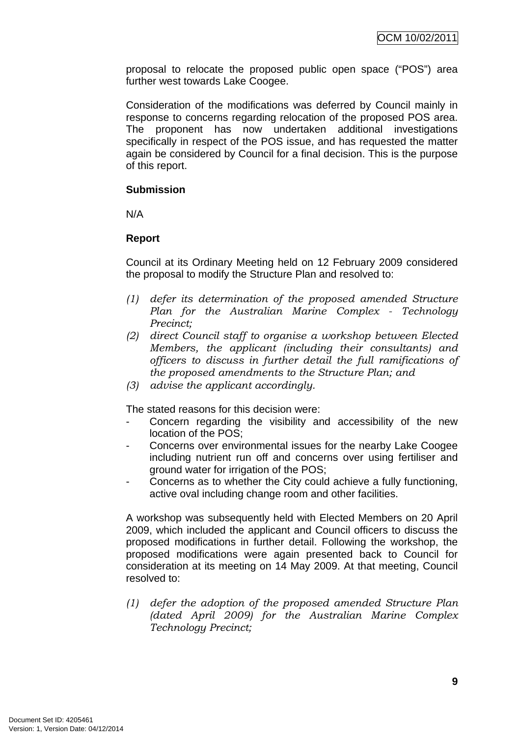proposal to relocate the proposed public open space ("POS") area further west towards Lake Coogee.

Consideration of the modifications was deferred by Council mainly in response to concerns regarding relocation of the proposed POS area. The proponent has now undertaken additional investigations specifically in respect of the POS issue, and has requested the matter again be considered by Council for a final decision. This is the purpose of this report.

# **Submission**

N/A

# **Report**

Council at its Ordinary Meeting held on 12 February 2009 considered the proposal to modify the Structure Plan and resolved to:

- *(1) defer its determination of the proposed amended Structure Plan for the Australian Marine Complex - Technology Precinct;*
- *(2) direct Council staff to organise a workshop between Elected Members, the applicant (including their consultants) and officers to discuss in further detail the full ramifications of the proposed amendments to the Structure Plan; and*
- *(3) advise the applicant accordingly.*

The stated reasons for this decision were:

- Concern regarding the visibility and accessibility of the new location of the POS;
- Concerns over environmental issues for the nearby Lake Coogee including nutrient run off and concerns over using fertiliser and ground water for irrigation of the POS;
- Concerns as to whether the City could achieve a fully functioning, active oval including change room and other facilities.

A workshop was subsequently held with Elected Members on 20 April 2009, which included the applicant and Council officers to discuss the proposed modifications in further detail. Following the workshop, the proposed modifications were again presented back to Council for consideration at its meeting on 14 May 2009. At that meeting, Council resolved to:

*(1) defer the adoption of the proposed amended Structure Plan (dated April 2009) for the Australian Marine Complex Technology Precinct;*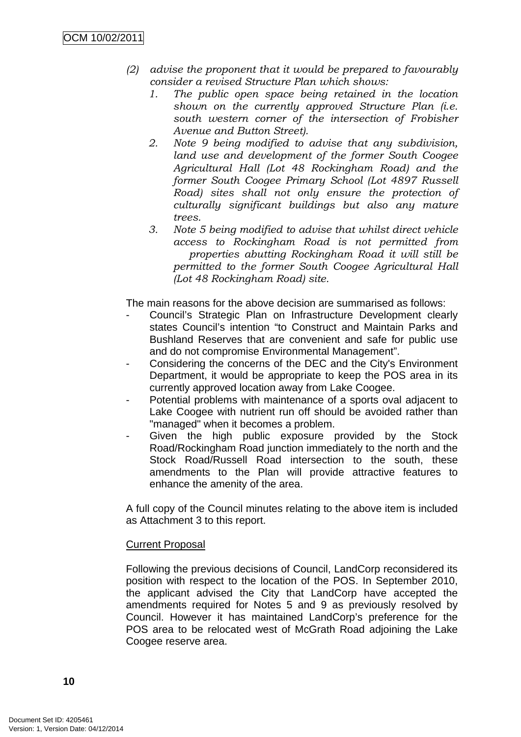- *(2) advise the proponent that it would be prepared to favourably consider a revised Structure Plan which shows:* 
	- *1. The public open space being retained in the location shown on the currently approved Structure Plan (i.e. south western corner of the intersection of Frobisher Avenue and Button Street).*
	- *2. Note 9 being modified to advise that any subdivision, land use and development of the former South Coogee Agricultural Hall (Lot 48 Rockingham Road) and the former South Coogee Primary School (Lot 4897 Russell Road) sites shall not only ensure the protection of culturally significant buildings but also any mature trees.*
	- *3. Note 5 being modified to advise that whilst direct vehicle access to Rockingham Road is not permitted from properties abutting Rockingham Road it will still be permitted to the former South Coogee Agricultural Hall (Lot 48 Rockingham Road) site.*

The main reasons for the above decision are summarised as follows:

- Council's Strategic Plan on Infrastructure Development clearly states Council's intention "to Construct and Maintain Parks and Bushland Reserves that are convenient and safe for public use and do not compromise Environmental Management".
- Considering the concerns of the DEC and the City's Environment Department, it would be appropriate to keep the POS area in its currently approved location away from Lake Coogee.
- Potential problems with maintenance of a sports oval adjacent to Lake Coogee with nutrient run off should be avoided rather than "managed" when it becomes a problem.
- Given the high public exposure provided by the Stock Road/Rockingham Road junction immediately to the north and the Stock Road/Russell Road intersection to the south, these amendments to the Plan will provide attractive features to enhance the amenity of the area.

A full copy of the Council minutes relating to the above item is included as Attachment 3 to this report.

# **Current Proposal**

Following the previous decisions of Council, LandCorp reconsidered its position with respect to the location of the POS. In September 2010, the applicant advised the City that LandCorp have accepted the amendments required for Notes 5 and 9 as previously resolved by Council. However it has maintained LandCorp's preference for the POS area to be relocated west of McGrath Road adjoining the Lake Coogee reserve area.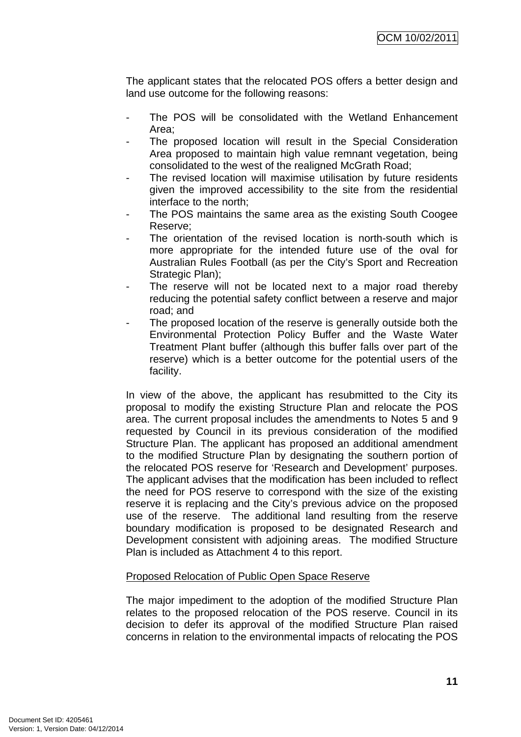The applicant states that the relocated POS offers a better design and land use outcome for the following reasons:

- The POS will be consolidated with the Wetland Enhancement Area;
- The proposed location will result in the Special Consideration Area proposed to maintain high value remnant vegetation, being consolidated to the west of the realigned McGrath Road;
- The revised location will maximise utilisation by future residents given the improved accessibility to the site from the residential interface to the north;
- The POS maintains the same area as the existing South Coogee Reserve;
- The orientation of the revised location is north-south which is more appropriate for the intended future use of the oval for Australian Rules Football (as per the City's Sport and Recreation Strategic Plan):
- The reserve will not be located next to a major road thereby reducing the potential safety conflict between a reserve and major road; and
- The proposed location of the reserve is generally outside both the Environmental Protection Policy Buffer and the Waste Water Treatment Plant buffer (although this buffer falls over part of the reserve) which is a better outcome for the potential users of the facility.

In view of the above, the applicant has resubmitted to the City its proposal to modify the existing Structure Plan and relocate the POS area. The current proposal includes the amendments to Notes 5 and 9 requested by Council in its previous consideration of the modified Structure Plan. The applicant has proposed an additional amendment to the modified Structure Plan by designating the southern portion of the relocated POS reserve for 'Research and Development' purposes. The applicant advises that the modification has been included to reflect the need for POS reserve to correspond with the size of the existing reserve it is replacing and the City's previous advice on the proposed use of the reserve. The additional land resulting from the reserve boundary modification is proposed to be designated Research and Development consistent with adjoining areas. The modified Structure Plan is included as Attachment 4 to this report.

# Proposed Relocation of Public Open Space Reserve

The major impediment to the adoption of the modified Structure Plan relates to the proposed relocation of the POS reserve. Council in its decision to defer its approval of the modified Structure Plan raised concerns in relation to the environmental impacts of relocating the POS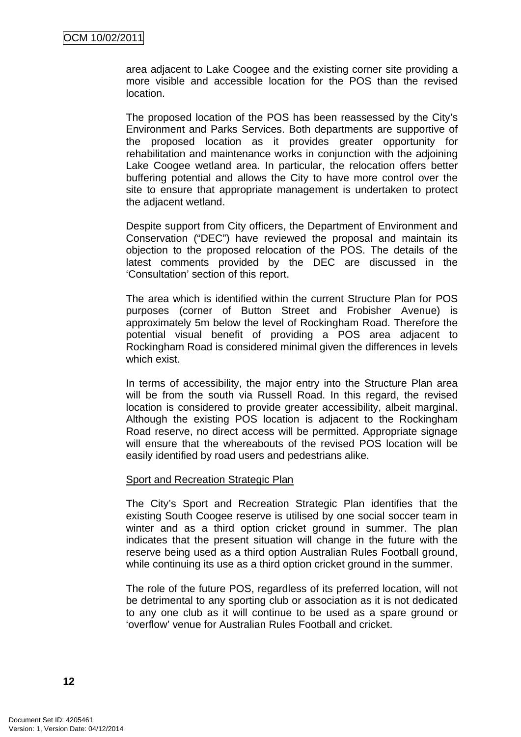area adjacent to Lake Coogee and the existing corner site providing a more visible and accessible location for the POS than the revised location.

The proposed location of the POS has been reassessed by the City's Environment and Parks Services. Both departments are supportive of the proposed location as it provides greater opportunity for rehabilitation and maintenance works in conjunction with the adjoining Lake Coogee wetland area. In particular, the relocation offers better buffering potential and allows the City to have more control over the site to ensure that appropriate management is undertaken to protect the adjacent wetland.

Despite support from City officers, the Department of Environment and Conservation ("DEC") have reviewed the proposal and maintain its objection to the proposed relocation of the POS. The details of the latest comments provided by the DEC are discussed in the 'Consultation' section of this report.

The area which is identified within the current Structure Plan for POS purposes (corner of Button Street and Frobisher Avenue) is approximately 5m below the level of Rockingham Road. Therefore the potential visual benefit of providing a POS area adjacent to Rockingham Road is considered minimal given the differences in levels which exist.

In terms of accessibility, the major entry into the Structure Plan area will be from the south via Russell Road. In this regard, the revised location is considered to provide greater accessibility, albeit marginal. Although the existing POS location is adjacent to the Rockingham Road reserve, no direct access will be permitted. Appropriate signage will ensure that the whereabouts of the revised POS location will be easily identified by road users and pedestrians alike.

#### Sport and Recreation Strategic Plan

The City's Sport and Recreation Strategic Plan identifies that the existing South Coogee reserve is utilised by one social soccer team in winter and as a third option cricket ground in summer. The plan indicates that the present situation will change in the future with the reserve being used as a third option Australian Rules Football ground, while continuing its use as a third option cricket ground in the summer.

The role of the future POS, regardless of its preferred location, will not be detrimental to any sporting club or association as it is not dedicated to any one club as it will continue to be used as a spare ground or 'overflow' venue for Australian Rules Football and cricket.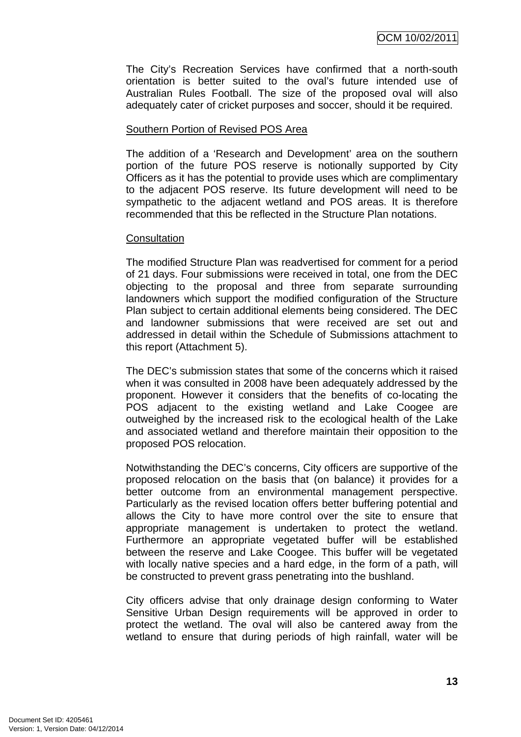The City's Recreation Services have confirmed that a north-south orientation is better suited to the oval's future intended use of Australian Rules Football. The size of the proposed oval will also adequately cater of cricket purposes and soccer, should it be required.

# Southern Portion of Revised POS Area

The addition of a 'Research and Development' area on the southern portion of the future POS reserve is notionally supported by City Officers as it has the potential to provide uses which are complimentary to the adjacent POS reserve. Its future development will need to be sympathetic to the adjacent wetland and POS areas. It is therefore recommended that this be reflected in the Structure Plan notations.

#### **Consultation**

The modified Structure Plan was readvertised for comment for a period of 21 days. Four submissions were received in total, one from the DEC objecting to the proposal and three from separate surrounding landowners which support the modified configuration of the Structure Plan subject to certain additional elements being considered. The DEC and landowner submissions that were received are set out and addressed in detail within the Schedule of Submissions attachment to this report (Attachment 5).

The DEC's submission states that some of the concerns which it raised when it was consulted in 2008 have been adequately addressed by the proponent. However it considers that the benefits of co-locating the POS adjacent to the existing wetland and Lake Coogee are outweighed by the increased risk to the ecological health of the Lake and associated wetland and therefore maintain their opposition to the proposed POS relocation.

Notwithstanding the DEC's concerns, City officers are supportive of the proposed relocation on the basis that (on balance) it provides for a better outcome from an environmental management perspective. Particularly as the revised location offers better buffering potential and allows the City to have more control over the site to ensure that appropriate management is undertaken to protect the wetland. Furthermore an appropriate vegetated buffer will be established between the reserve and Lake Coogee. This buffer will be vegetated with locally native species and a hard edge, in the form of a path, will be constructed to prevent grass penetrating into the bushland.

City officers advise that only drainage design conforming to Water Sensitive Urban Design requirements will be approved in order to protect the wetland. The oval will also be cantered away from the wetland to ensure that during periods of high rainfall, water will be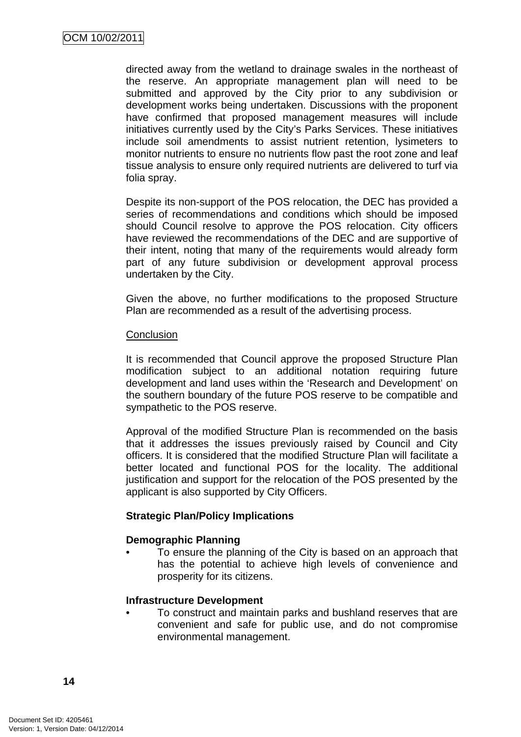directed away from the wetland to drainage swales in the northeast of the reserve. An appropriate management plan will need to be submitted and approved by the City prior to any subdivision or development works being undertaken. Discussions with the proponent have confirmed that proposed management measures will include initiatives currently used by the City's Parks Services. These initiatives include soil amendments to assist nutrient retention, lysimeters to monitor nutrients to ensure no nutrients flow past the root zone and leaf tissue analysis to ensure only required nutrients are delivered to turf via folia spray.

Despite its non-support of the POS relocation, the DEC has provided a series of recommendations and conditions which should be imposed should Council resolve to approve the POS relocation. City officers have reviewed the recommendations of the DEC and are supportive of their intent, noting that many of the requirements would already form part of any future subdivision or development approval process undertaken by the City.

Given the above, no further modifications to the proposed Structure Plan are recommended as a result of the advertising process.

# **Conclusion**

It is recommended that Council approve the proposed Structure Plan modification subject to an additional notation requiring future development and land uses within the 'Research and Development' on the southern boundary of the future POS reserve to be compatible and sympathetic to the POS reserve.

Approval of the modified Structure Plan is recommended on the basis that it addresses the issues previously raised by Council and City officers. It is considered that the modified Structure Plan will facilitate a better located and functional POS for the locality. The additional justification and support for the relocation of the POS presented by the applicant is also supported by City Officers.

# **Strategic Plan/Policy Implications**

#### **Demographic Planning**

• To ensure the planning of the City is based on an approach that has the potential to achieve high levels of convenience and prosperity for its citizens.

# **Infrastructure Development**

• To construct and maintain parks and bushland reserves that are convenient and safe for public use, and do not compromise environmental management.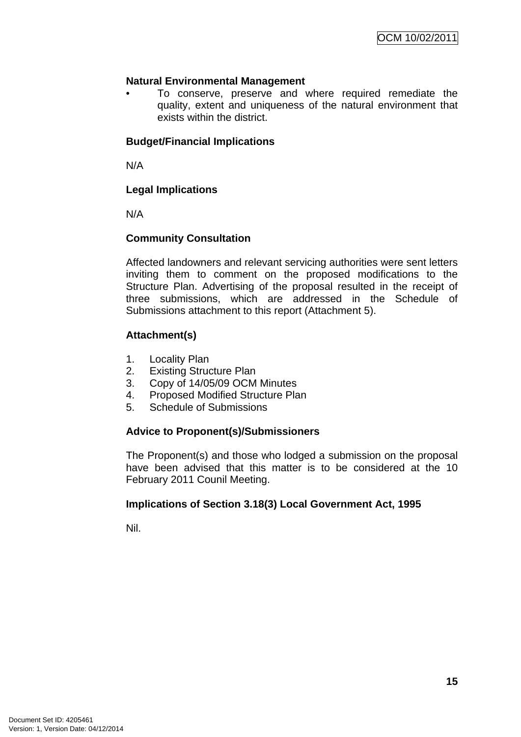# **Natural Environmental Management**

• To conserve, preserve and where required remediate the quality, extent and uniqueness of the natural environment that exists within the district.

# **Budget/Financial Implications**

N/A

# **Legal Implications**

N/A

# **Community Consultation**

Affected landowners and relevant servicing authorities were sent letters inviting them to comment on the proposed modifications to the Structure Plan. Advertising of the proposal resulted in the receipt of three submissions, which are addressed in the Schedule of Submissions attachment to this report (Attachment 5).

# **Attachment(s)**

- 1. Locality Plan
- 2. Existing Structure Plan
- 3. Copy of 14/05/09 OCM Minutes
- 4. Proposed Modified Structure Plan
- 5. Schedule of Submissions

# **Advice to Proponent(s)/Submissioners**

The Proponent(s) and those who lodged a submission on the proposal have been advised that this matter is to be considered at the 10 February 2011 Counil Meeting.

# **Implications of Section 3.18(3) Local Government Act, 1995**

Nil.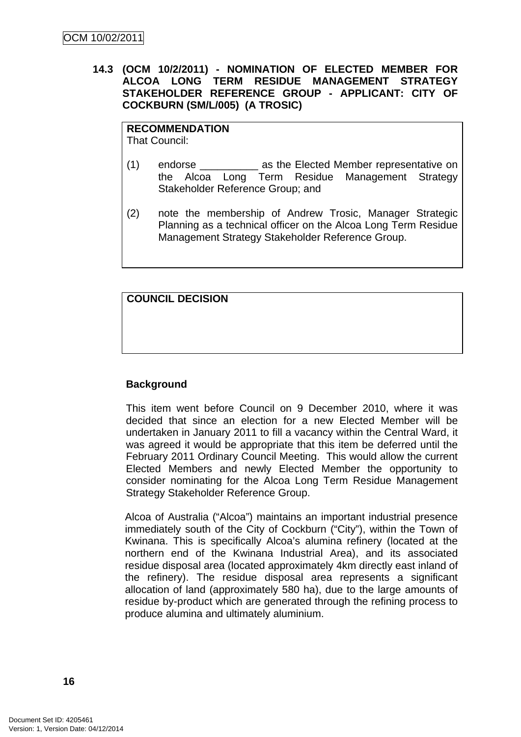# <span id="page-19-0"></span>**14.3 (OCM 10/2/2011) - NOMINATION OF ELECTED MEMBER FOR ALCOA LONG TERM RESIDUE MANAGEMENT STRATEGY STAKEHOLDER REFERENCE GROUP - APPLICANT: CITY OF COCKBURN (SM/L/005) (A TROSIC)**

#### **RECOMMENDATION**

That Council:

- (1) endorse \_\_\_\_\_\_\_\_\_\_ as the Elected Member representative on the Alcoa Long Term Residue Management Strategy Stakeholder Reference Group; and
- (2) note the membership of Andrew Trosic, Manager Strategic Planning as a technical officer on the Alcoa Long Term Residue Management Strategy Stakeholder Reference Group.

**COUNCIL DECISION** 

# **Background**

This item went before Council on 9 December 2010, where it was decided that since an election for a new Elected Member will be undertaken in January 2011 to fill a vacancy within the Central Ward, it was agreed it would be appropriate that this item be deferred until the February 2011 Ordinary Council Meeting. This would allow the current Elected Members and newly Elected Member the opportunity to consider nominating for the Alcoa Long Term Residue Management Strategy Stakeholder Reference Group.

Alcoa of Australia ("Alcoa") maintains an important industrial presence immediately south of the City of Cockburn ("City"), within the Town of Kwinana. This is specifically Alcoa's alumina refinery (located at the northern end of the Kwinana Industrial Area), and its associated residue disposal area (located approximately 4km directly east inland of the refinery). The residue disposal area represents a significant allocation of land (approximately 580 ha), due to the large amounts of residue by-product which are generated through the refining process to produce alumina and ultimately aluminium.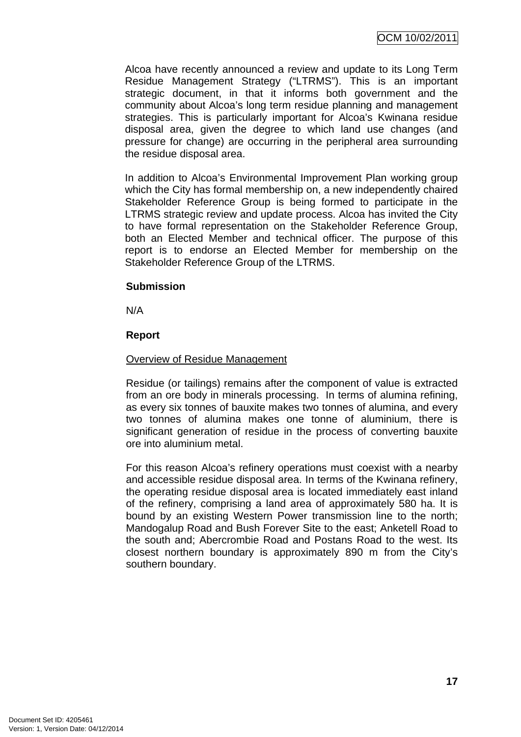Alcoa have recently announced a review and update to its Long Term Residue Management Strategy ("LTRMS"). This is an important strategic document, in that it informs both government and the community about Alcoa's long term residue planning and management strategies. This is particularly important for Alcoa's Kwinana residue disposal area, given the degree to which land use changes (and pressure for change) are occurring in the peripheral area surrounding the residue disposal area.

In addition to Alcoa's Environmental Improvement Plan working group which the City has formal membership on, a new independently chaired Stakeholder Reference Group is being formed to participate in the LTRMS strategic review and update process. Alcoa has invited the City to have formal representation on the Stakeholder Reference Group, both an Elected Member and technical officer. The purpose of this report is to endorse an Elected Member for membership on the Stakeholder Reference Group of the LTRMS.

# **Submission**

N/A

#### **Report**

#### Overview of Residue Management

Residue (or tailings) remains after the component of value is extracted from an ore body in minerals processing. In terms of alumina refining, as every six tonnes of bauxite makes two tonnes of alumina, and every two tonnes of alumina makes one tonne of aluminium, there is significant generation of residue in the process of converting bauxite ore into aluminium metal.

For this reason Alcoa's refinery operations must coexist with a nearby and accessible residue disposal area. In terms of the Kwinana refinery, the operating residue disposal area is located immediately east inland of the refinery, comprising a land area of approximately 580 ha. It is bound by an existing Western Power transmission line to the north; Mandogalup Road and Bush Forever Site to the east; Anketell Road to the south and; Abercrombie Road and Postans Road to the west. Its closest northern boundary is approximately 890 m from the City's southern boundary.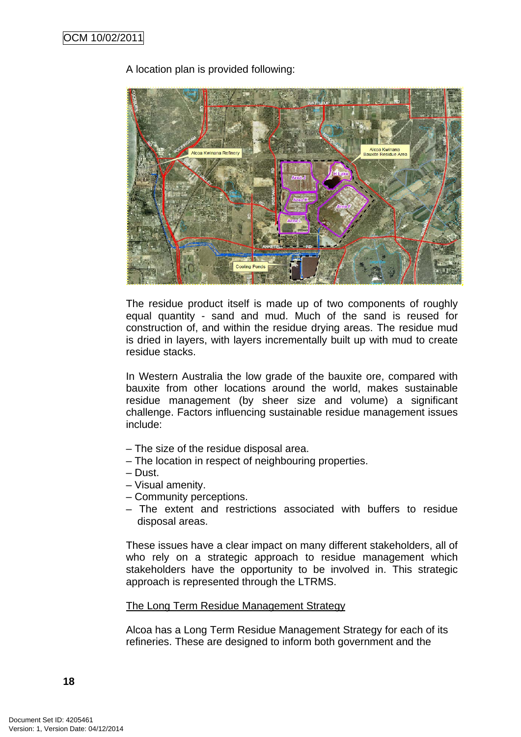# A location plan is provided following:



The residue product itself is made up of two components of roughly equal quantity - sand and mud. Much of the sand is reused for construction of, and within the residue drying areas. The residue mud is dried in layers, with layers incrementally built up with mud to create residue stacks.

In Western Australia the low grade of the bauxite ore, compared with bauxite from other locations around the world, makes sustainable residue management (by sheer size and volume) a significant challenge. Factors influencing sustainable residue management issues include:

- The size of the residue disposal area.
- The location in respect of neighbouring properties.
- Dust.
- Visual amenity.
- Community perceptions.
- The extent and restrictions associated with buffers to residue disposal areas.

These issues have a clear impact on many different stakeholders, all of who rely on a strategic approach to residue management which stakeholders have the opportunity to be involved in. This strategic approach is represented through the LTRMS.

# The Long Term Residue Management Strategy

Alcoa has a Long Term Residue Management Strategy for each of its refineries. These are designed to inform both government and the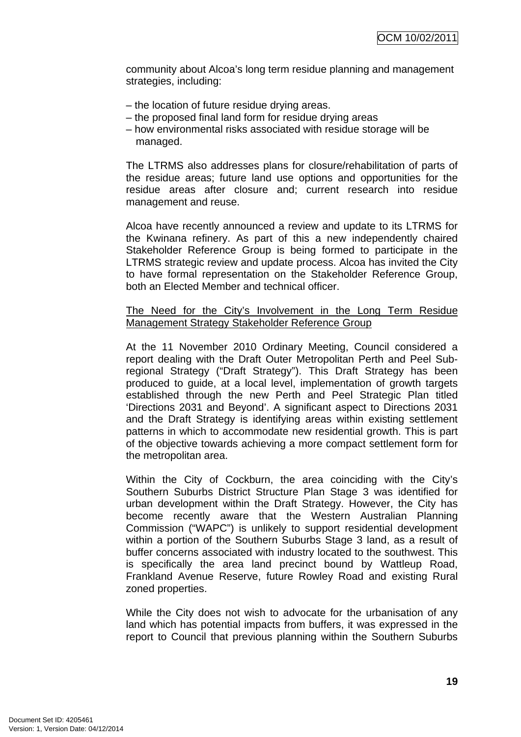community about Alcoa's long term residue planning and management strategies, including:

- the location of future residue drying areas.
- the proposed final land form for residue drying areas
- how environmental risks associated with residue storage will be managed.

The LTRMS also addresses plans for closure/rehabilitation of parts of the residue areas; future land use options and opportunities for the residue areas after closure and; current research into residue management and reuse.

Alcoa have recently announced a review and update to its LTRMS for the Kwinana refinery. As part of this a new independently chaired Stakeholder Reference Group is being formed to participate in the LTRMS strategic review and update process. Alcoa has invited the City to have formal representation on the Stakeholder Reference Group, both an Elected Member and technical officer.

### The Need for the City's Involvement in the Long Term Residue Management Strategy Stakeholder Reference Group

At the 11 November 2010 Ordinary Meeting, Council considered a report dealing with the Draft Outer Metropolitan Perth and Peel Subregional Strategy ("Draft Strategy"). This Draft Strategy has been produced to guide, at a local level, implementation of growth targets established through the new Perth and Peel Strategic Plan titled 'Directions 2031 and Beyond'. A significant aspect to Directions 2031 and the Draft Strategy is identifying areas within existing settlement patterns in which to accommodate new residential growth. This is part of the objective towards achieving a more compact settlement form for the metropolitan area.

Within the City of Cockburn, the area coinciding with the City's Southern Suburbs District Structure Plan Stage 3 was identified for urban development within the Draft Strategy. However, the City has become recently aware that the Western Australian Planning Commission ("WAPC") is unlikely to support residential development within a portion of the Southern Suburbs Stage 3 land, as a result of buffer concerns associated with industry located to the southwest. This is specifically the area land precinct bound by Wattleup Road, Frankland Avenue Reserve, future Rowley Road and existing Rural zoned properties.

While the City does not wish to advocate for the urbanisation of any land which has potential impacts from buffers, it was expressed in the report to Council that previous planning within the Southern Suburbs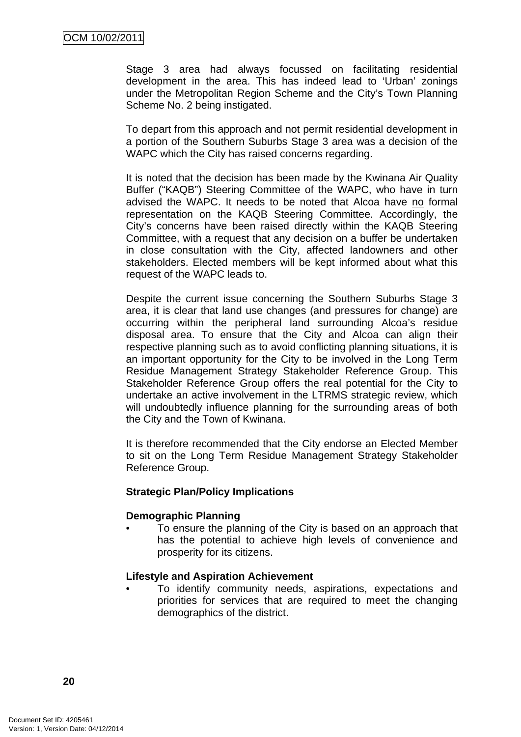Stage 3 area had always focussed on facilitating residential development in the area. This has indeed lead to 'Urban' zonings under the Metropolitan Region Scheme and the City's Town Planning Scheme No. 2 being instigated.

To depart from this approach and not permit residential development in a portion of the Southern Suburbs Stage 3 area was a decision of the WAPC which the City has raised concerns regarding.

It is noted that the decision has been made by the Kwinana Air Quality Buffer ("KAQB") Steering Committee of the WAPC, who have in turn advised the WAPC. It needs to be noted that Alcoa have no formal representation on the KAQB Steering Committee. Accordingly, the City's concerns have been raised directly within the KAQB Steering Committee, with a request that any decision on a buffer be undertaken in close consultation with the City, affected landowners and other stakeholders. Elected members will be kept informed about what this request of the WAPC leads to.

Despite the current issue concerning the Southern Suburbs Stage 3 area, it is clear that land use changes (and pressures for change) are occurring within the peripheral land surrounding Alcoa's residue disposal area. To ensure that the City and Alcoa can align their respective planning such as to avoid conflicting planning situations, it is an important opportunity for the City to be involved in the Long Term Residue Management Strategy Stakeholder Reference Group. This Stakeholder Reference Group offers the real potential for the City to undertake an active involvement in the LTRMS strategic review, which will undoubtedly influence planning for the surrounding areas of both the City and the Town of Kwinana.

It is therefore recommended that the City endorse an Elected Member to sit on the Long Term Residue Management Strategy Stakeholder Reference Group.

#### **Strategic Plan/Policy Implications**

#### **Demographic Planning**

• To ensure the planning of the City is based on an approach that has the potential to achieve high levels of convenience and prosperity for its citizens.

# **Lifestyle and Aspiration Achievement**

• To identify community needs, aspirations, expectations and priorities for services that are required to meet the changing demographics of the district.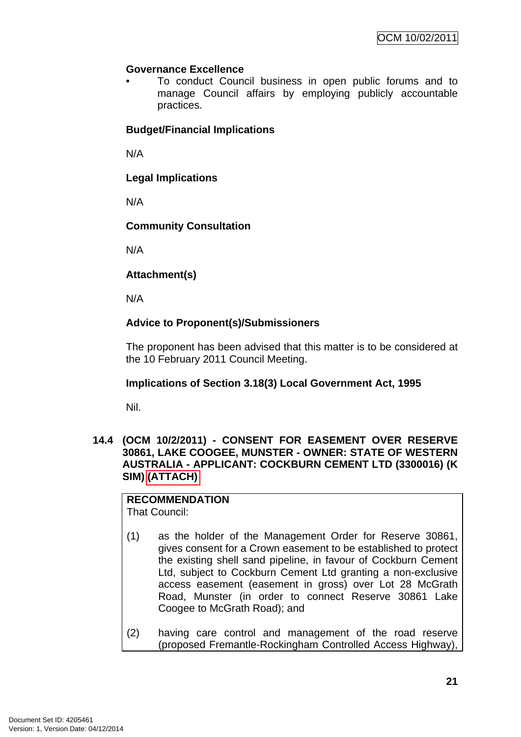# <span id="page-24-0"></span>**Governance Excellence**

• To conduct Council business in open public forums and to manage Council affairs by employing publicly accountable practices.

# **Budget/Financial Implications**

N/A

**Legal Implications** 

N/A

# **Community Consultation**

N/A

# **Attachment(s)**

N/A

# **Advice to Proponent(s)/Submissioners**

The proponent has been advised that this matter is to be considered at the 10 February 2011 Council Meeting.

# **Implications of Section 3.18(3) Local Government Act, 1995**

Nil.

**14.4 (OCM 10/2/2011) - CONSENT FOR EASEMENT OVER RESERVE 30861, LAKE COOGEE, MUNSTER - OWNER: STATE OF WESTERN AUSTRALIA - APPLICANT: COCKBURN CEMENT LTD (3300016) (K SIM) (ATTACH)** 

# **RECOMMENDATION**

That Council:

- (1) as the holder of the Management Order for Reserve 30861, gives consent for a Crown easement to be established to protect the existing shell sand pipeline, in favour of Cockburn Cement Ltd, subject to Cockburn Cement Ltd granting a non-exclusive access easement (easement in gross) over Lot 28 McGrath Road, Munster (in order to connect Reserve 30861 Lake Coogee to McGrath Road); and
- (2) having care control and management of the road reserve (proposed Fremantle-Rockingham Controlled Access Highway),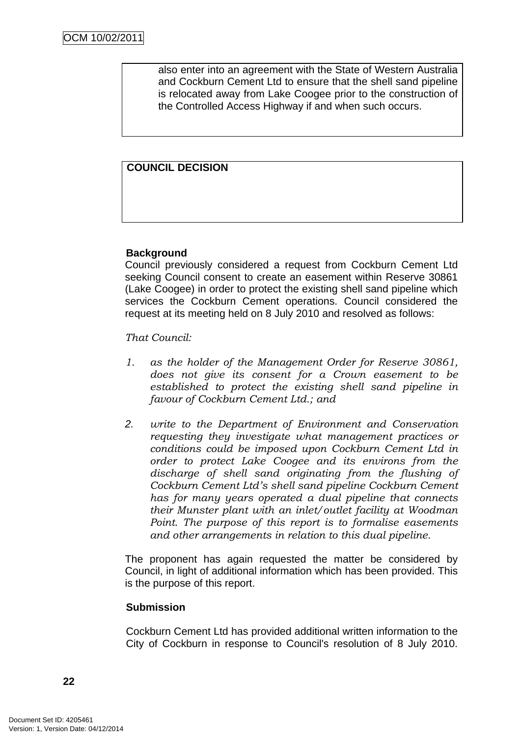also enter into an agreement with the State of Western Australia and Cockburn Cement Ltd to ensure that the shell sand pipeline is relocated away from Lake Coogee prior to the construction of the Controlled Access Highway if and when such occurs.

# **COUNCIL DECISION**

# **Background**

Council previously considered a request from Cockburn Cement Ltd seeking Council consent to create an easement within Reserve 30861 (Lake Coogee) in order to protect the existing shell sand pipeline which services the Cockburn Cement operations. Council considered the request at its meeting held on 8 July 2010 and resolved as follows:

*That Council:* 

- *1. as the holder of the Management Order for Reserve 30861, does not give its consent for a Crown easement to be established to protect the existing shell sand pipeline in favour of Cockburn Cement Ltd.; and*
- *2. write to the Department of Environment and Conservation requesting they investigate what management practices or conditions could be imposed upon Cockburn Cement Ltd in order to protect Lake Coogee and its environs from the discharge of shell sand originating from the flushing of Cockburn Cement Ltd's shell sand pipeline Cockburn Cement has for many years operated a dual pipeline that connects their Munster plant with an inlet/outlet facility at Woodman Point. The purpose of this report is to formalise easements and other arrangements in relation to this dual pipeline.*

The proponent has again requested the matter be considered by Council, in light of additional information which has been provided. This is the purpose of this report.

#### **Submission**

Cockburn Cement Ltd has provided additional written information to the City of Cockburn in response to Council's resolution of 8 July 2010.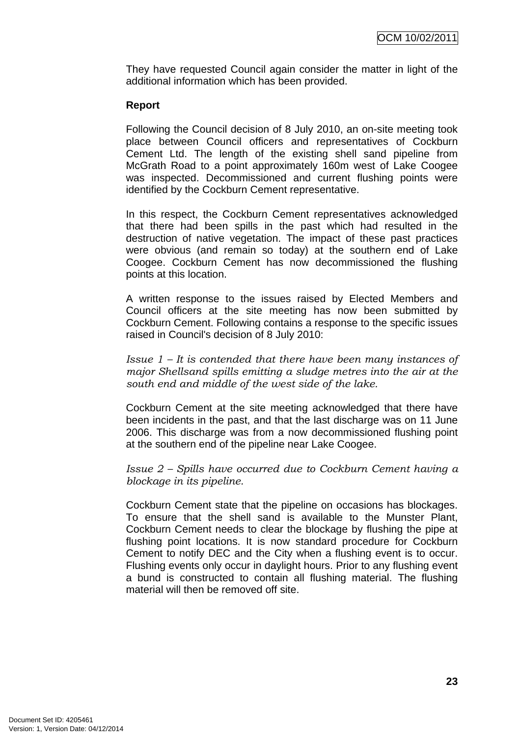They have requested Council again consider the matter in light of the additional information which has been provided.

# **Report**

Following the Council decision of 8 July 2010, an on-site meeting took place between Council officers and representatives of Cockburn Cement Ltd. The length of the existing shell sand pipeline from McGrath Road to a point approximately 160m west of Lake Coogee was inspected. Decommissioned and current flushing points were identified by the Cockburn Cement representative.

In this respect, the Cockburn Cement representatives acknowledged that there had been spills in the past which had resulted in the destruction of native vegetation. The impact of these past practices were obvious (and remain so today) at the southern end of Lake Coogee. Cockburn Cement has now decommissioned the flushing points at this location.

A written response to the issues raised by Elected Members and Council officers at the site meeting has now been submitted by Cockburn Cement. Following contains a response to the specific issues raised in Council's decision of 8 July 2010:

*Issue 1 – It is contended that there have been many instances of major Shellsand spills emitting a sludge metres into the air at the south end and middle of the west side of the lake.* 

Cockburn Cement at the site meeting acknowledged that there have been incidents in the past, and that the last discharge was on 11 June 2006. This discharge was from a now decommissioned flushing point at the southern end of the pipeline near Lake Coogee.

*Issue 2 – Spills have occurred due to Cockburn Cement having a blockage in its pipeline.* 

Cockburn Cement state that the pipeline on occasions has blockages. To ensure that the shell sand is available to the Munster Plant, Cockburn Cement needs to clear the blockage by flushing the pipe at flushing point locations. It is now standard procedure for Cockburn Cement to notify DEC and the City when a flushing event is to occur. Flushing events only occur in daylight hours. Prior to any flushing event a bund is constructed to contain all flushing material. The flushing material will then be removed off site.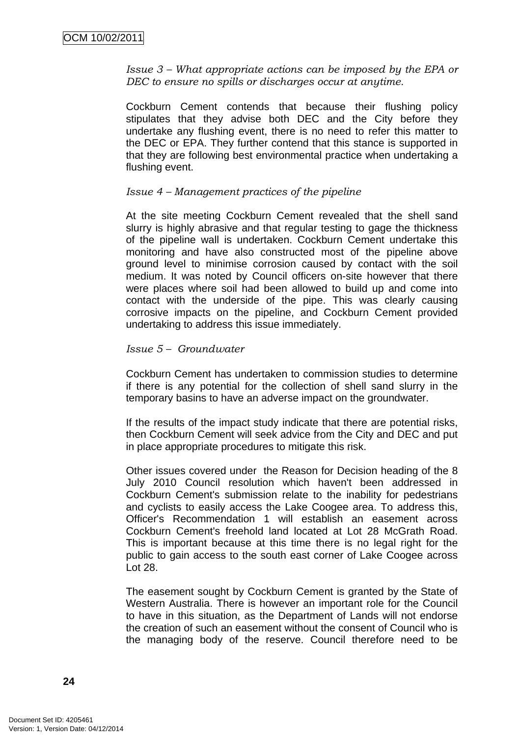*Issue 3 – What appropriate actions can be imposed by the EPA or DEC to ensure no spills or discharges occur at anytime.* 

Cockburn Cement contends that because their flushing policy stipulates that they advise both DEC and the City before they undertake any flushing event, there is no need to refer this matter to the DEC or EPA. They further contend that this stance is supported in that they are following best environmental practice when undertaking a flushing event.

#### *Issue 4 – Management practices of the pipeline*

At the site meeting Cockburn Cement revealed that the shell sand slurry is highly abrasive and that regular testing to gage the thickness of the pipeline wall is undertaken. Cockburn Cement undertake this monitoring and have also constructed most of the pipeline above ground level to minimise corrosion caused by contact with the soil medium. It was noted by Council officers on-site however that there were places where soil had been allowed to build up and come into contact with the underside of the pipe. This was clearly causing corrosive impacts on the pipeline, and Cockburn Cement provided undertaking to address this issue immediately.

#### *Issue 5 – Groundwater*

Cockburn Cement has undertaken to commission studies to determine if there is any potential for the collection of shell sand slurry in the temporary basins to have an adverse impact on the groundwater.

If the results of the impact study indicate that there are potential risks, then Cockburn Cement will seek advice from the City and DEC and put in place appropriate procedures to mitigate this risk.

Other issues covered under the Reason for Decision heading of the 8 July 2010 Council resolution which haven't been addressed in Cockburn Cement's submission relate to the inability for pedestrians and cyclists to easily access the Lake Coogee area. To address this, Officer's Recommendation 1 will establish an easement across Cockburn Cement's freehold land located at Lot 28 McGrath Road. This is important because at this time there is no legal right for the public to gain access to the south east corner of Lake Coogee across Lot 28.

The easement sought by Cockburn Cement is granted by the State of Western Australia. There is however an important role for the Council to have in this situation, as the Department of Lands will not endorse the creation of such an easement without the consent of Council who is the managing body of the reserve. Council therefore need to be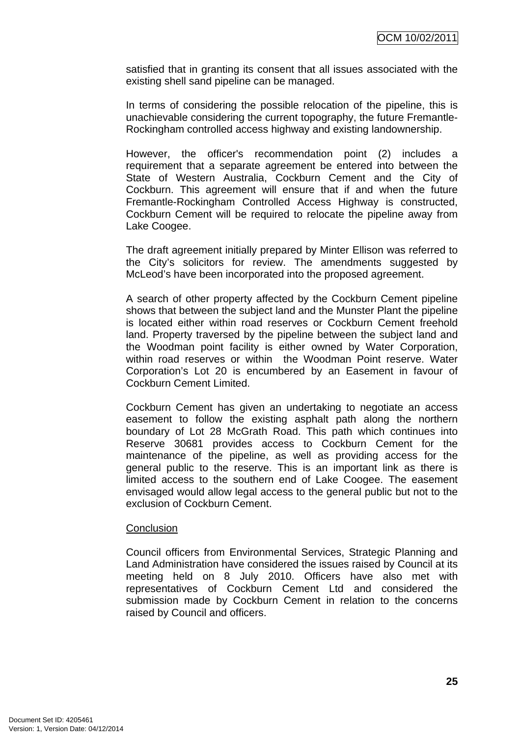satisfied that in granting its consent that all issues associated with the existing shell sand pipeline can be managed.

In terms of considering the possible relocation of the pipeline, this is unachievable considering the current topography, the future Fremantle-Rockingham controlled access highway and existing landownership.

However, the officer's recommendation point (2) includes a requirement that a separate agreement be entered into between the State of Western Australia, Cockburn Cement and the City of Cockburn. This agreement will ensure that if and when the future Fremantle-Rockingham Controlled Access Highway is constructed, Cockburn Cement will be required to relocate the pipeline away from Lake Coogee.

The draft agreement initially prepared by Minter Ellison was referred to the City's solicitors for review. The amendments suggested by McLeod's have been incorporated into the proposed agreement.

A search of other property affected by the Cockburn Cement pipeline shows that between the subject land and the Munster Plant the pipeline is located either within road reserves or Cockburn Cement freehold land. Property traversed by the pipeline between the subject land and the Woodman point facility is either owned by Water Corporation, within road reserves or within the Woodman Point reserve. Water Corporation's Lot 20 is encumbered by an Easement in favour of Cockburn Cement Limited.

Cockburn Cement has given an undertaking to negotiate an access easement to follow the existing asphalt path along the northern boundary of Lot 28 McGrath Road. This path which continues into Reserve 30681 provides access to Cockburn Cement for the maintenance of the pipeline, as well as providing access for the general public to the reserve. This is an important link as there is limited access to the southern end of Lake Coogee. The easement envisaged would allow legal access to the general public but not to the exclusion of Cockburn Cement.

#### **Conclusion**

Council officers from Environmental Services, Strategic Planning and Land Administration have considered the issues raised by Council at its meeting held on 8 July 2010. Officers have also met with representatives of Cockburn Cement Ltd and considered the submission made by Cockburn Cement in relation to the concerns raised by Council and officers.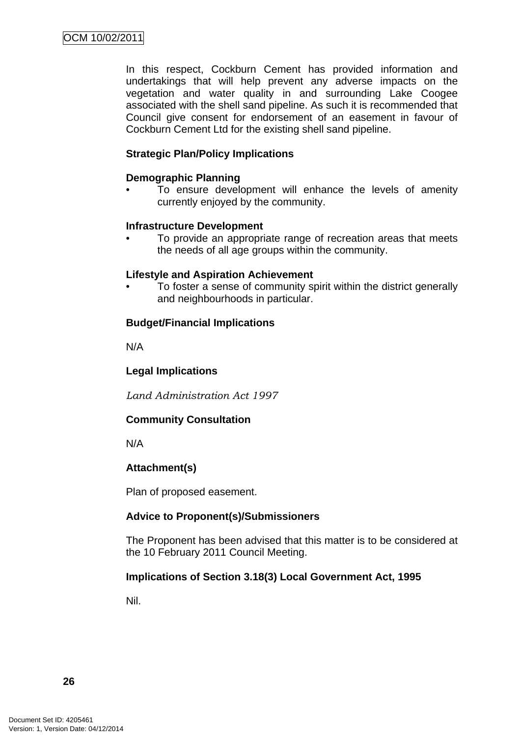In this respect, Cockburn Cement has provided information and undertakings that will help prevent any adverse impacts on the vegetation and water quality in and surrounding Lake Coogee associated with the shell sand pipeline. As such it is recommended that Council give consent for endorsement of an easement in favour of Cockburn Cement Ltd for the existing shell sand pipeline.

# **Strategic Plan/Policy Implications**

#### **Demographic Planning**

To ensure development will enhance the levels of amenity currently enjoyed by the community.

#### **Infrastructure Development**

• To provide an appropriate range of recreation areas that meets the needs of all age groups within the community.

#### **Lifestyle and Aspiration Achievement**

• To foster a sense of community spirit within the district generally and neighbourhoods in particular.

#### **Budget/Financial Implications**

N/A

# **Legal Implications**

*Land Administration Act 1997* 

# **Community Consultation**

N/A

# **Attachment(s)**

Plan of proposed easement.

# **Advice to Proponent(s)/Submissioners**

The Proponent has been advised that this matter is to be considered at the 10 February 2011 Council Meeting.

# **Implications of Section 3.18(3) Local Government Act, 1995**

Nil.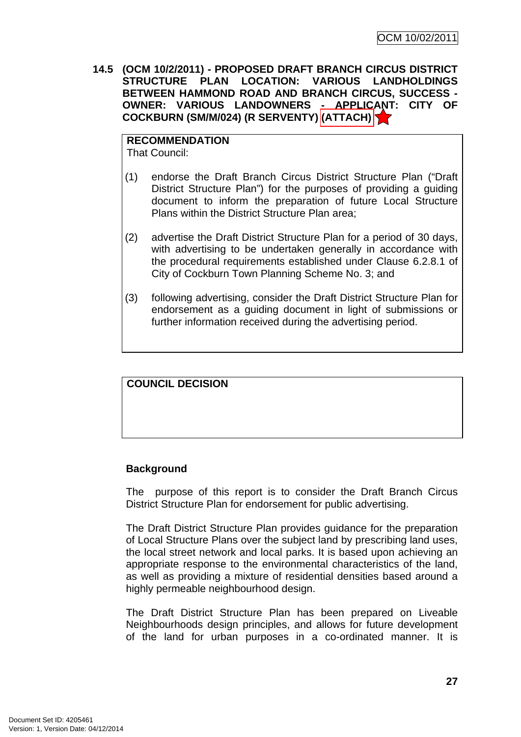<span id="page-30-0"></span>**14.5 (OCM 10/2/2011) - PROPOSED DRAFT BRANCH CIRCUS DISTRICT STRUCTURE PLAN LOCATION: VARIOUS LANDHOLDINGS BETWEEN HAMMOND ROAD AND BRANCH CIRCUS, SUCCESS - OWNER: VARIOUS LANDOWNERS - APPLICANT: CITY OF COCKBURN (SM/M/024) (R SERVENTY) (ATTACH)** 

**RECOMMENDATION** That Council:

- (1) endorse the Draft Branch Circus District Structure Plan ("Draft District Structure Plan") for the purposes of providing a guiding document to inform the preparation of future Local Structure Plans within the District Structure Plan area;
- (2) advertise the Draft District Structure Plan for a period of 30 days, with advertising to be undertaken generally in accordance with the procedural requirements established under Clause 6.2.8.1 of City of Cockburn Town Planning Scheme No. 3; and
- (3) following advertising, consider the Draft District Structure Plan for endorsement as a guiding document in light of submissions or further information received during the advertising period.

**COUNCIL DECISION** 

# **Background**

The purpose of this report is to consider the Draft Branch Circus District Structure Plan for endorsement for public advertising.

The Draft District Structure Plan provides guidance for the preparation of Local Structure Plans over the subject land by prescribing land uses, the local street network and local parks. It is based upon achieving an appropriate response to the environmental characteristics of the land, as well as providing a mixture of residential densities based around a highly permeable neighbourhood design.

The Draft District Structure Plan has been prepared on Liveable Neighbourhoods design principles, and allows for future development of the land for urban purposes in a co-ordinated manner. It is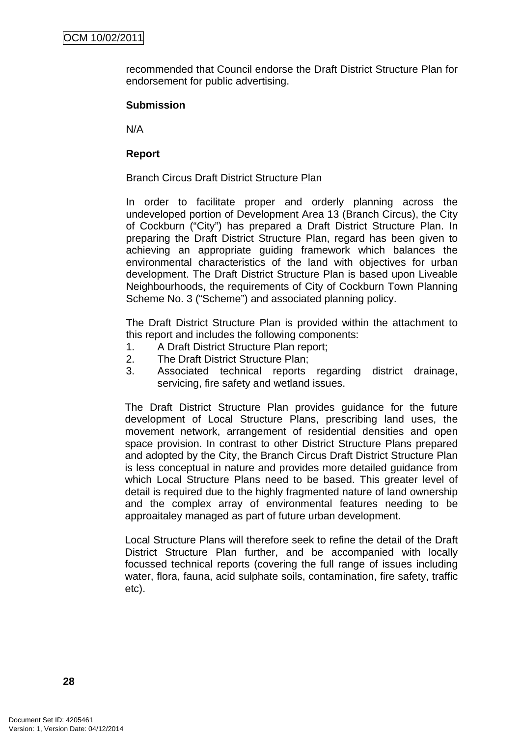recommended that Council endorse the Draft District Structure Plan for endorsement for public advertising.

# **Submission**

N/A

# **Report**

# Branch Circus Draft District Structure Plan

In order to facilitate proper and orderly planning across the undeveloped portion of Development Area 13 (Branch Circus), the City of Cockburn ("City") has prepared a Draft District Structure Plan. In preparing the Draft District Structure Plan, regard has been given to achieving an appropriate guiding framework which balances the environmental characteristics of the land with objectives for urban development. The Draft District Structure Plan is based upon Liveable Neighbourhoods, the requirements of City of Cockburn Town Planning Scheme No. 3 ("Scheme") and associated planning policy.

The Draft District Structure Plan is provided within the attachment to this report and includes the following components:

- 1. A Draft District Structure Plan report;
- 2. The Draft District Structure Plan;
- 3. Associated technical reports regarding district drainage, servicing, fire safety and wetland issues.

The Draft District Structure Plan provides guidance for the future development of Local Structure Plans, prescribing land uses, the movement network, arrangement of residential densities and open space provision. In contrast to other District Structure Plans prepared and adopted by the City, the Branch Circus Draft District Structure Plan is less conceptual in nature and provides more detailed guidance from which Local Structure Plans need to be based. This greater level of detail is required due to the highly fragmented nature of land ownership and the complex array of environmental features needing to be approaitaley managed as part of future urban development.

Local Structure Plans will therefore seek to refine the detail of the Draft District Structure Plan further, and be accompanied with locally focussed technical reports (covering the full range of issues including water, flora, fauna, acid sulphate soils, contamination, fire safety, traffic etc).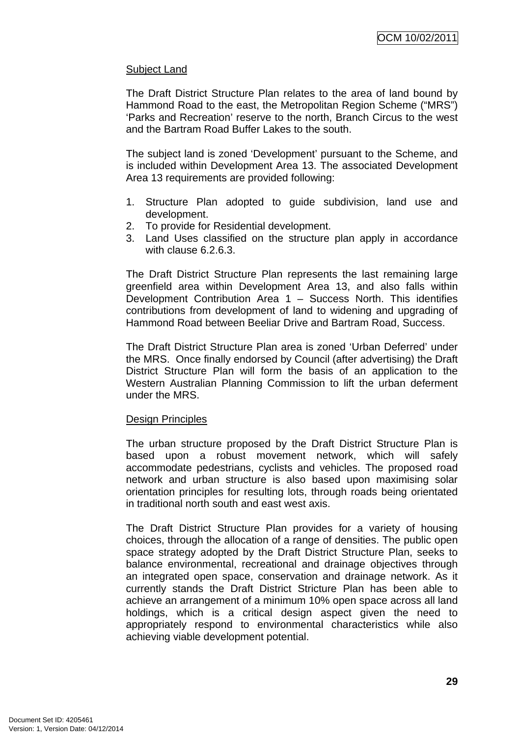# Subject Land

The Draft District Structure Plan relates to the area of land bound by Hammond Road to the east, the Metropolitan Region Scheme ("MRS") 'Parks and Recreation' reserve to the north, Branch Circus to the west and the Bartram Road Buffer Lakes to the south.

The subject land is zoned 'Development' pursuant to the Scheme, and is included within Development Area 13. The associated Development Area 13 requirements are provided following:

- 1. Structure Plan adopted to guide subdivision, land use and development.
- 2. To provide for Residential development.
- 3. Land Uses classified on the structure plan apply in accordance with clause 6.2.6.3.

The Draft District Structure Plan represents the last remaining large greenfield area within Development Area 13, and also falls within Development Contribution Area 1 – Success North. This identifies contributions from development of land to widening and upgrading of Hammond Road between Beeliar Drive and Bartram Road, Success.

The Draft District Structure Plan area is zoned 'Urban Deferred' under the MRS. Once finally endorsed by Council (after advertising) the Draft District Structure Plan will form the basis of an application to the Western Australian Planning Commission to lift the urban deferment under the MRS.

# **Design Principles**

The urban structure proposed by the Draft District Structure Plan is based upon a robust movement network, which will safely accommodate pedestrians, cyclists and vehicles. The proposed road network and urban structure is also based upon maximising solar orientation principles for resulting lots, through roads being orientated in traditional north south and east west axis.

The Draft District Structure Plan provides for a variety of housing choices, through the allocation of a range of densities. The public open space strategy adopted by the Draft District Structure Plan, seeks to balance environmental, recreational and drainage objectives through an integrated open space, conservation and drainage network. As it currently stands the Draft District Stricture Plan has been able to achieve an arrangement of a minimum 10% open space across all land holdings, which is a critical design aspect given the need to appropriately respond to environmental characteristics while also achieving viable development potential.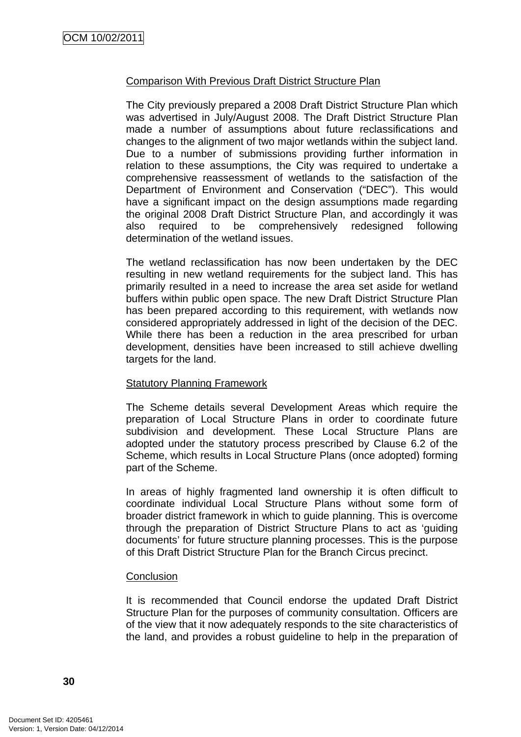### Comparison With Previous Draft District Structure Plan

The City previously prepared a 2008 Draft District Structure Plan which was advertised in July/August 2008. The Draft District Structure Plan made a number of assumptions about future reclassifications and changes to the alignment of two major wetlands within the subject land. Due to a number of submissions providing further information in relation to these assumptions, the City was required to undertake a comprehensive reassessment of wetlands to the satisfaction of the Department of Environment and Conservation ("DEC"). This would have a significant impact on the design assumptions made regarding the original 2008 Draft District Structure Plan, and accordingly it was also required to be comprehensively redesigned following determination of the wetland issues.

The wetland reclassification has now been undertaken by the DEC resulting in new wetland requirements for the subject land. This has primarily resulted in a need to increase the area set aside for wetland buffers within public open space. The new Draft District Structure Plan has been prepared according to this requirement, with wetlands now considered appropriately addressed in light of the decision of the DEC. While there has been a reduction in the area prescribed for urban development, densities have been increased to still achieve dwelling targets for the land.

#### Statutory Planning Framework

The Scheme details several Development Areas which require the preparation of Local Structure Plans in order to coordinate future subdivision and development. These Local Structure Plans are adopted under the statutory process prescribed by Clause 6.2 of the Scheme, which results in Local Structure Plans (once adopted) forming part of the Scheme.

In areas of highly fragmented land ownership it is often difficult to coordinate individual Local Structure Plans without some form of broader district framework in which to guide planning. This is overcome through the preparation of District Structure Plans to act as 'guiding documents' for future structure planning processes. This is the purpose of this Draft District Structure Plan for the Branch Circus precinct.

#### **Conclusion**

It is recommended that Council endorse the updated Draft District Structure Plan for the purposes of community consultation. Officers are of the view that it now adequately responds to the site characteristics of the land, and provides a robust guideline to help in the preparation of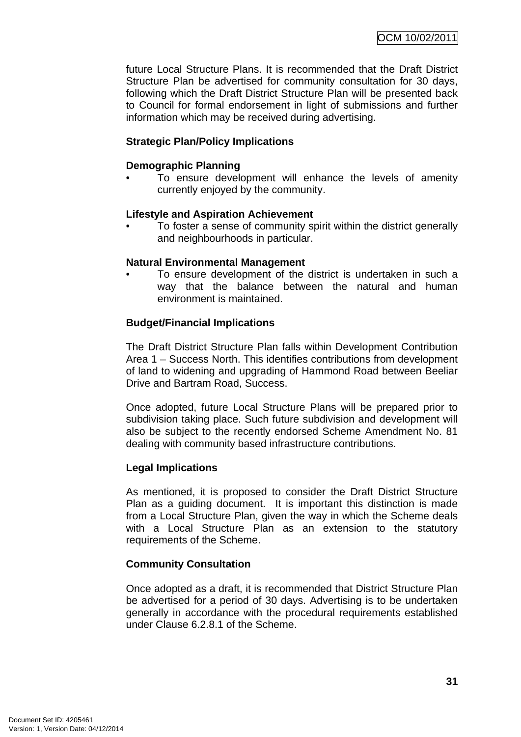future Local Structure Plans. It is recommended that the Draft District Structure Plan be advertised for community consultation for 30 days, following which the Draft District Structure Plan will be presented back to Council for formal endorsement in light of submissions and further information which may be received during advertising.

# **Strategic Plan/Policy Implications**

### **Demographic Planning**

• To ensure development will enhance the levels of amenity currently enjoyed by the community.

#### **Lifestyle and Aspiration Achievement**

• To foster a sense of community spirit within the district generally and neighbourhoods in particular.

#### **Natural Environmental Management**

To ensure development of the district is undertaken in such a way that the balance between the natural and human environment is maintained.

# **Budget/Financial Implications**

The Draft District Structure Plan falls within Development Contribution Area 1 – Success North. This identifies contributions from development of land to widening and upgrading of Hammond Road between Beeliar Drive and Bartram Road, Success.

Once adopted, future Local Structure Plans will be prepared prior to subdivision taking place. Such future subdivision and development will also be subject to the recently endorsed Scheme Amendment No. 81 dealing with community based infrastructure contributions.

# **Legal Implications**

As mentioned, it is proposed to consider the Draft District Structure Plan as a guiding document. It is important this distinction is made from a Local Structure Plan, given the way in which the Scheme deals with a Local Structure Plan as an extension to the statutory requirements of the Scheme.

# **Community Consultation**

Once adopted as a draft, it is recommended that District Structure Plan be advertised for a period of 30 days. Advertising is to be undertaken generally in accordance with the procedural requirements established under Clause 6.2.8.1 of the Scheme.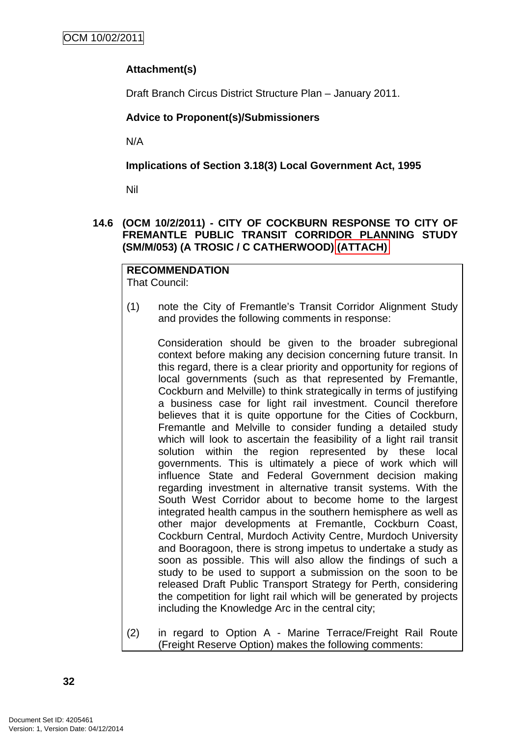# <span id="page-35-0"></span>**Attachment(s)**

Draft Branch Circus District Structure Plan – January 2011.

# **Advice to Proponent(s)/Submissioners**

N/A

**Implications of Section 3.18(3) Local Government Act, 1995**

Nil

# **14.6 (OCM 10/2/2011) - CITY OF COCKBURN RESPONSE TO CITY OF FREMANTLE PUBLIC TRANSIT CORRIDOR PLANNING STUDY (SM/M/053) (A TROSIC / C CATHERWOOD) (ATTACH)**

#### **RECOMMENDATION** That Council:

(1) note the City of Fremantle's Transit Corridor Alignment Study and provides the following comments in response:

Consideration should be given to the broader subregional context before making any decision concerning future transit. In this regard, there is a clear priority and opportunity for regions of local governments (such as that represented by Fremantle, Cockburn and Melville) to think strategically in terms of justifying a business case for light rail investment. Council therefore believes that it is quite opportune for the Cities of Cockburn, Fremantle and Melville to consider funding a detailed study which will look to ascertain the feasibility of a light rail transit solution within the region represented by these local governments. This is ultimately a piece of work which will influence State and Federal Government decision making regarding investment in alternative transit systems. With the South West Corridor about to become home to the largest integrated health campus in the southern hemisphere as well as other major developments at Fremantle, Cockburn Coast, Cockburn Central, Murdoch Activity Centre, Murdoch University and Booragoon, there is strong impetus to undertake a study as soon as possible. This will also allow the findings of such a study to be used to support a submission on the soon to be released Draft Public Transport Strategy for Perth, considering the competition for light rail which will be generated by projects including the Knowledge Arc in the central city;

(2) in regard to Option A - Marine Terrace/Freight Rail Route (Freight Reserve Option) makes the following comments: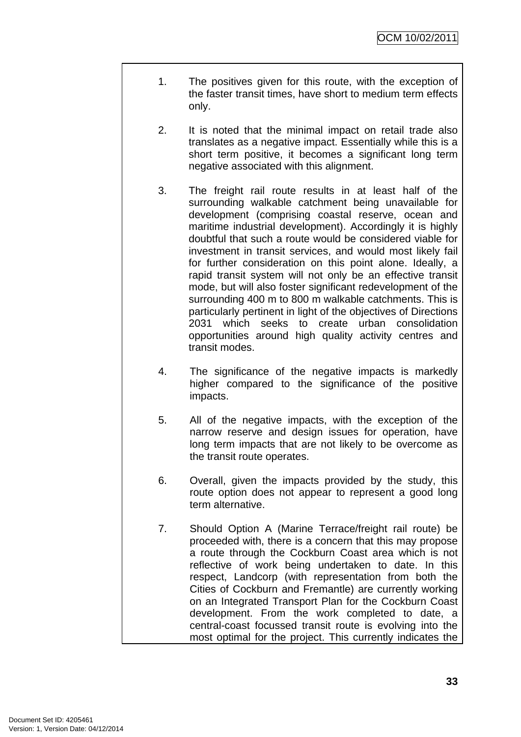- 1. The positives given for this route, with the exception of the faster transit times, have short to medium term effects only.
- 2. It is noted that the minimal impact on retail trade also translates as a negative impact. Essentially while this is a short term positive, it becomes a significant long term negative associated with this alignment.
- 3. The freight rail route results in at least half of the surrounding walkable catchment being unavailable for development (comprising coastal reserve, ocean and maritime industrial development). Accordingly it is highly doubtful that such a route would be considered viable for investment in transit services, and would most likely fail for further consideration on this point alone. Ideally, a rapid transit system will not only be an effective transit mode, but will also foster significant redevelopment of the surrounding 400 m to 800 m walkable catchments. This is particularly pertinent in light of the objectives of Directions 2031 which seeks to create urban consolidation opportunities around high quality activity centres and transit modes.
- 4. The significance of the negative impacts is markedly higher compared to the significance of the positive impacts.
- 5. All of the negative impacts, with the exception of the narrow reserve and design issues for operation, have long term impacts that are not likely to be overcome as the transit route operates.
- 6. Overall, given the impacts provided by the study, this route option does not appear to represent a good long term alternative.
- 7. Should Option A (Marine Terrace/freight rail route) be proceeded with, there is a concern that this may propose a route through the Cockburn Coast area which is not reflective of work being undertaken to date. In this respect, Landcorp (with representation from both the Cities of Cockburn and Fremantle) are currently working on an Integrated Transport Plan for the Cockburn Coast development. From the work completed to date, a central-coast focussed transit route is evolving into the most optimal for the project. This currently indicates the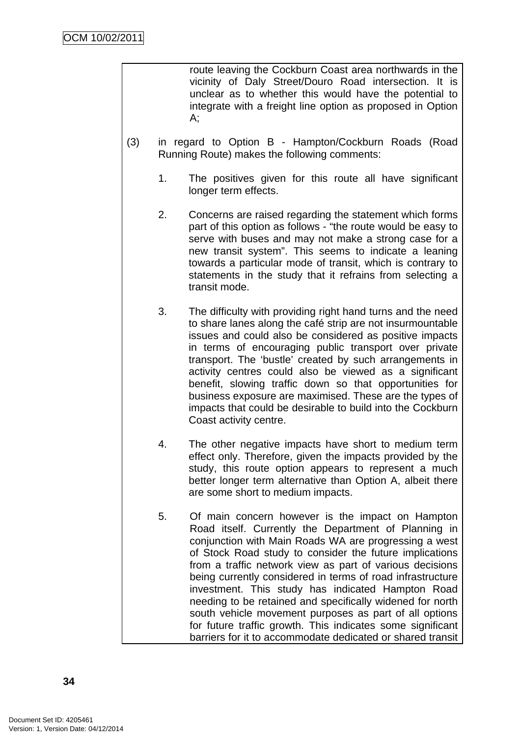route leaving the Cockburn Coast area northwards in the vicinity of Daly Street/Douro Road intersection. It is unclear as to whether this would have the potential to integrate with a freight line option as proposed in Option A;

- (3) in regard to Option B Hampton/Cockburn Roads (Road Running Route) makes the following comments:
	- 1. The positives given for this route all have significant longer term effects.
	- 2. Concerns are raised regarding the statement which forms part of this option as follows - "the route would be easy to serve with buses and may not make a strong case for a new transit system". This seems to indicate a leaning towards a particular mode of transit, which is contrary to statements in the study that it refrains from selecting a transit mode.
	- 3. The difficulty with providing right hand turns and the need to share lanes along the café strip are not insurmountable issues and could also be considered as positive impacts in terms of encouraging public transport over private transport. The 'bustle' created by such arrangements in activity centres could also be viewed as a significant benefit, slowing traffic down so that opportunities for business exposure are maximised. These are the types of impacts that could be desirable to build into the Cockburn Coast activity centre.
	- 4. The other negative impacts have short to medium term effect only. Therefore, given the impacts provided by the study, this route option appears to represent a much better longer term alternative than Option A, albeit there are some short to medium impacts.
	- 5. Of main concern however is the impact on Hampton Road itself. Currently the Department of Planning in conjunction with Main Roads WA are progressing a west of Stock Road study to consider the future implications from a traffic network view as part of various decisions being currently considered in terms of road infrastructure investment. This study has indicated Hampton Road needing to be retained and specifically widened for north south vehicle movement purposes as part of all options for future traffic growth. This indicates some significant barriers for it to accommodate dedicated or shared transit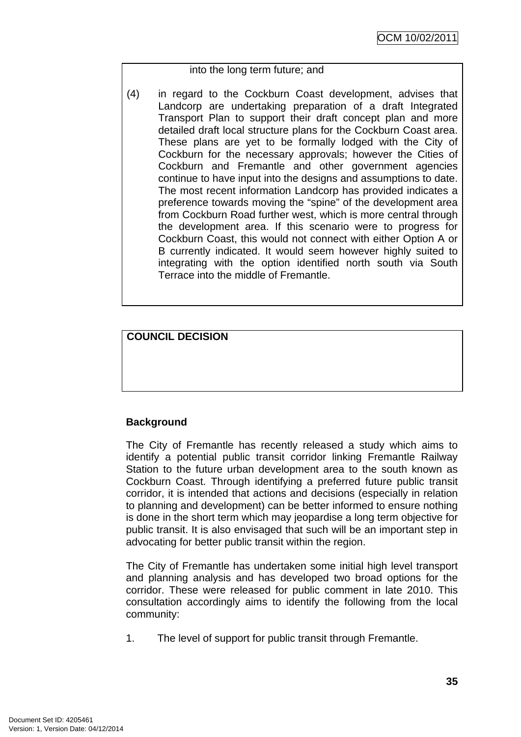## into the long term future; and

(4) in regard to the Cockburn Coast development, advises that Landcorp are undertaking preparation of a draft Integrated Transport Plan to support their draft concept plan and more detailed draft local structure plans for the Cockburn Coast area. These plans are yet to be formally lodged with the City of Cockburn for the necessary approvals; however the Cities of Cockburn and Fremantle and other government agencies continue to have input into the designs and assumptions to date. The most recent information Landcorp has provided indicates a preference towards moving the "spine" of the development area from Cockburn Road further west, which is more central through the development area. If this scenario were to progress for Cockburn Coast, this would not connect with either Option A or B currently indicated. It would seem however highly suited to integrating with the option identified north south via South Terrace into the middle of Fremantle.

# **COUNCIL DECISION**

# **Background**

The City of Fremantle has recently released a study which aims to identify a potential public transit corridor linking Fremantle Railway Station to the future urban development area to the south known as Cockburn Coast. Through identifying a preferred future public transit corridor, it is intended that actions and decisions (especially in relation to planning and development) can be better informed to ensure nothing is done in the short term which may jeopardise a long term objective for public transit. It is also envisaged that such will be an important step in advocating for better public transit within the region.

The City of Fremantle has undertaken some initial high level transport and planning analysis and has developed two broad options for the corridor. These were released for public comment in late 2010. This consultation accordingly aims to identify the following from the local community:

1. The level of support for public transit through Fremantle.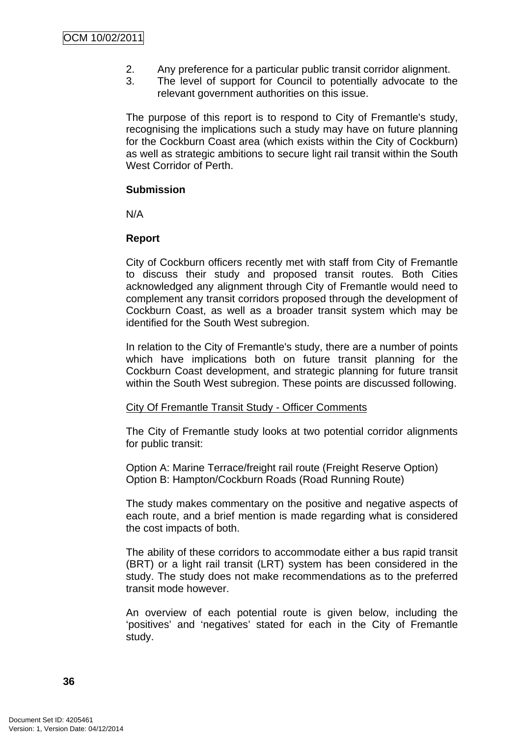- 2. Any preference for a particular public transit corridor alignment.
- 3. The level of support for Council to potentially advocate to the relevant government authorities on this issue.

The purpose of this report is to respond to City of Fremantle's study, recognising the implications such a study may have on future planning for the Cockburn Coast area (which exists within the City of Cockburn) as well as strategic ambitions to secure light rail transit within the South West Corridor of Perth.

### **Submission**

N/A

## **Report**

City of Cockburn officers recently met with staff from City of Fremantle to discuss their study and proposed transit routes. Both Cities acknowledged any alignment through City of Fremantle would need to complement any transit corridors proposed through the development of Cockburn Coast, as well as a broader transit system which may be identified for the South West subregion.

In relation to the City of Fremantle's study, there are a number of points which have implications both on future transit planning for the Cockburn Coast development, and strategic planning for future transit within the South West subregion. These points are discussed following.

#### City Of Fremantle Transit Study - Officer Comments

The City of Fremantle study looks at two potential corridor alignments for public transit:

Option A: Marine Terrace/freight rail route (Freight Reserve Option) Option B: Hampton/Cockburn Roads (Road Running Route)

The study makes commentary on the positive and negative aspects of each route, and a brief mention is made regarding what is considered the cost impacts of both.

The ability of these corridors to accommodate either a bus rapid transit (BRT) or a light rail transit (LRT) system has been considered in the study. The study does not make recommendations as to the preferred transit mode however.

An overview of each potential route is given below, including the 'positives' and 'negatives' stated for each in the City of Fremantle study.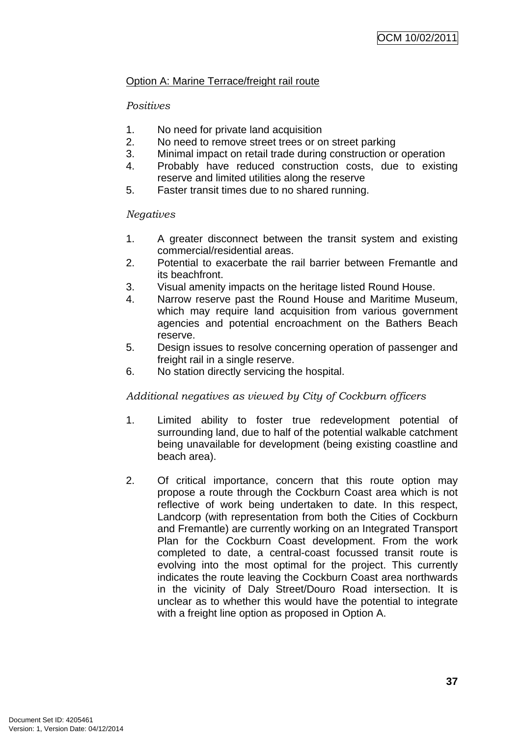# Option A: Marine Terrace/freight rail route

# *Positives*

- 1. No need for private land acquisition
- 2. No need to remove street trees or on street parking
- 3. Minimal impact on retail trade during construction or operation
- 4. Probably have reduced construction costs, due to existing reserve and limited utilities along the reserve
- 5. Faster transit times due to no shared running.

## *Negatives*

- 1. A greater disconnect between the transit system and existing commercial/residential areas.
- 2. Potential to exacerbate the rail barrier between Fremantle and its beachfront.
- 3. Visual amenity impacts on the heritage listed Round House.
- 4. Narrow reserve past the Round House and Maritime Museum, which may require land acquisition from various government agencies and potential encroachment on the Bathers Beach reserve.
- 5. Design issues to resolve concerning operation of passenger and freight rail in a single reserve.
- 6. No station directly servicing the hospital.

# *Additional negatives as viewed by City of Cockburn officers*

- 1. Limited ability to foster true redevelopment potential of surrounding land, due to half of the potential walkable catchment being unavailable for development (being existing coastline and beach area).
- 2. Of critical importance, concern that this route option may propose a route through the Cockburn Coast area which is not reflective of work being undertaken to date. In this respect, Landcorp (with representation from both the Cities of Cockburn and Fremantle) are currently working on an Integrated Transport Plan for the Cockburn Coast development. From the work completed to date, a central-coast focussed transit route is evolving into the most optimal for the project. This currently indicates the route leaving the Cockburn Coast area northwards in the vicinity of Daly Street/Douro Road intersection. It is unclear as to whether this would have the potential to integrate with a freight line option as proposed in Option A.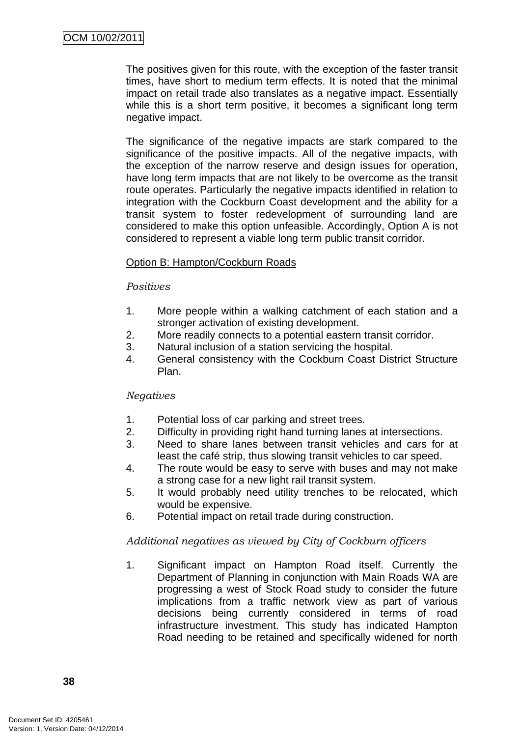The positives given for this route, with the exception of the faster transit times, have short to medium term effects. It is noted that the minimal impact on retail trade also translates as a negative impact. Essentially while this is a short term positive, it becomes a significant long term negative impact.

The significance of the negative impacts are stark compared to the significance of the positive impacts. All of the negative impacts, with the exception of the narrow reserve and design issues for operation, have long term impacts that are not likely to be overcome as the transit route operates. Particularly the negative impacts identified in relation to integration with the Cockburn Coast development and the ability for a transit system to foster redevelopment of surrounding land are considered to make this option unfeasible. Accordingly, Option A is not considered to represent a viable long term public transit corridor.

### Option B: Hampton/Cockburn Roads

#### *Positives*

- 1. More people within a walking catchment of each station and a stronger activation of existing development.
- 2. More readily connects to a potential eastern transit corridor.
- 3. Natural inclusion of a station servicing the hospital.
- 4. General consistency with the Cockburn Coast District Structure Plan.

## *Negatives*

- 1. Potential loss of car parking and street trees.
- 2. Difficulty in providing right hand turning lanes at intersections.
- 3. Need to share lanes between transit vehicles and cars for at least the café strip, thus slowing transit vehicles to car speed.
- 4. The route would be easy to serve with buses and may not make a strong case for a new light rail transit system.
- 5. It would probably need utility trenches to be relocated, which would be expensive.
- 6. Potential impact on retail trade during construction.

## *Additional negatives as viewed by City of Cockburn officers*

1. Significant impact on Hampton Road itself. Currently the Department of Planning in conjunction with Main Roads WA are progressing a west of Stock Road study to consider the future implications from a traffic network view as part of various decisions being currently considered in terms of road infrastructure investment. This study has indicated Hampton Road needing to be retained and specifically widened for north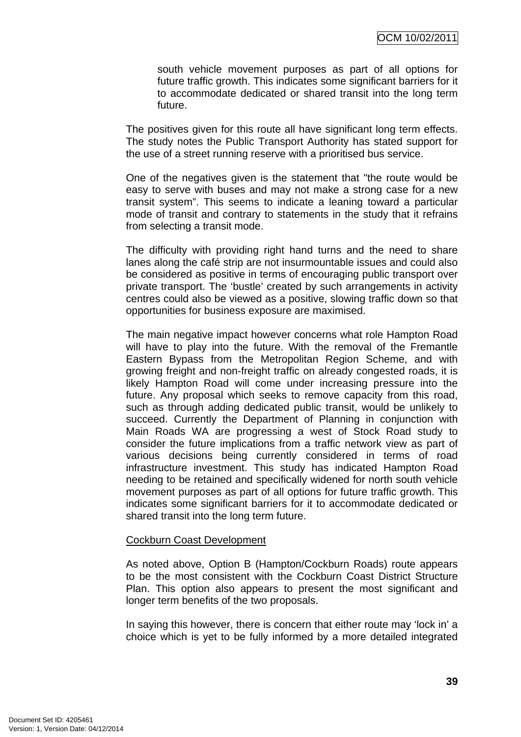south vehicle movement purposes as part of all options for future traffic growth. This indicates some significant barriers for it to accommodate dedicated or shared transit into the long term future.

The positives given for this route all have significant long term effects. The study notes the Public Transport Authority has stated support for the use of a street running reserve with a prioritised bus service.

One of the negatives given is the statement that "the route would be easy to serve with buses and may not make a strong case for a new transit system". This seems to indicate a leaning toward a particular mode of transit and contrary to statements in the study that it refrains from selecting a transit mode.

The difficulty with providing right hand turns and the need to share lanes along the café strip are not insurmountable issues and could also be considered as positive in terms of encouraging public transport over private transport. The 'bustle' created by such arrangements in activity centres could also be viewed as a positive, slowing traffic down so that opportunities for business exposure are maximised.

The main negative impact however concerns what role Hampton Road will have to play into the future. With the removal of the Fremantle Eastern Bypass from the Metropolitan Region Scheme, and with growing freight and non-freight traffic on already congested roads, it is likely Hampton Road will come under increasing pressure into the future. Any proposal which seeks to remove capacity from this road, such as through adding dedicated public transit, would be unlikely to succeed. Currently the Department of Planning in conjunction with Main Roads WA are progressing a west of Stock Road study to consider the future implications from a traffic network view as part of various decisions being currently considered in terms of road infrastructure investment. This study has indicated Hampton Road needing to be retained and specifically widened for north south vehicle movement purposes as part of all options for future traffic growth. This indicates some significant barriers for it to accommodate dedicated or shared transit into the long term future.

#### Cockburn Coast Development

As noted above, Option B (Hampton/Cockburn Roads) route appears to be the most consistent with the Cockburn Coast District Structure Plan. This option also appears to present the most significant and longer term benefits of the two proposals.

In saying this however, there is concern that either route may 'lock in' a choice which is yet to be fully informed by a more detailed integrated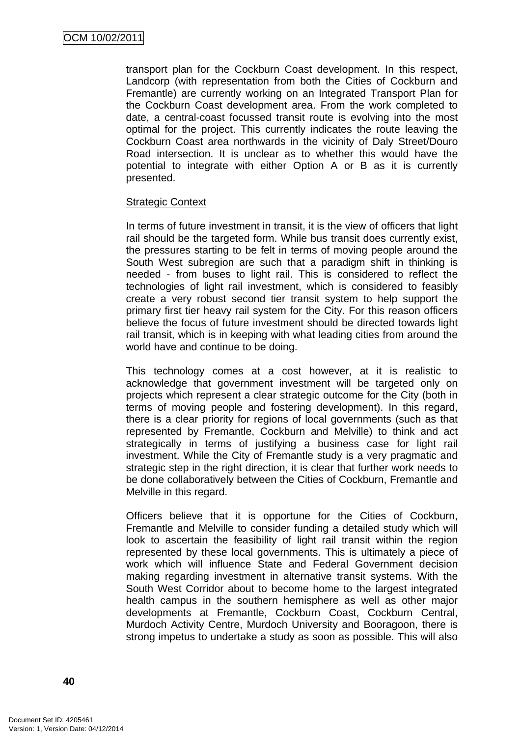transport plan for the Cockburn Coast development. In this respect, Landcorp (with representation from both the Cities of Cockburn and Fremantle) are currently working on an Integrated Transport Plan for the Cockburn Coast development area. From the work completed to date, a central-coast focussed transit route is evolving into the most optimal for the project. This currently indicates the route leaving the Cockburn Coast area northwards in the vicinity of Daly Street/Douro Road intersection. It is unclear as to whether this would have the potential to integrate with either Option A or B as it is currently presented.

### Strategic Context

In terms of future investment in transit, it is the view of officers that light rail should be the targeted form. While bus transit does currently exist, the pressures starting to be felt in terms of moving people around the South West subregion are such that a paradigm shift in thinking is needed - from buses to light rail. This is considered to reflect the technologies of light rail investment, which is considered to feasibly create a very robust second tier transit system to help support the primary first tier heavy rail system for the City. For this reason officers believe the focus of future investment should be directed towards light rail transit, which is in keeping with what leading cities from around the world have and continue to be doing.

This technology comes at a cost however, at it is realistic to acknowledge that government investment will be targeted only on projects which represent a clear strategic outcome for the City (both in terms of moving people and fostering development). In this regard, there is a clear priority for regions of local governments (such as that represented by Fremantle, Cockburn and Melville) to think and act strategically in terms of justifying a business case for light rail investment. While the City of Fremantle study is a very pragmatic and strategic step in the right direction, it is clear that further work needs to be done collaboratively between the Cities of Cockburn, Fremantle and Melville in this regard.

Officers believe that it is opportune for the Cities of Cockburn, Fremantle and Melville to consider funding a detailed study which will look to ascertain the feasibility of light rail transit within the region represented by these local governments. This is ultimately a piece of work which will influence State and Federal Government decision making regarding investment in alternative transit systems. With the South West Corridor about to become home to the largest integrated health campus in the southern hemisphere as well as other major developments at Fremantle, Cockburn Coast, Cockburn Central, Murdoch Activity Centre, Murdoch University and Booragoon, there is strong impetus to undertake a study as soon as possible. This will also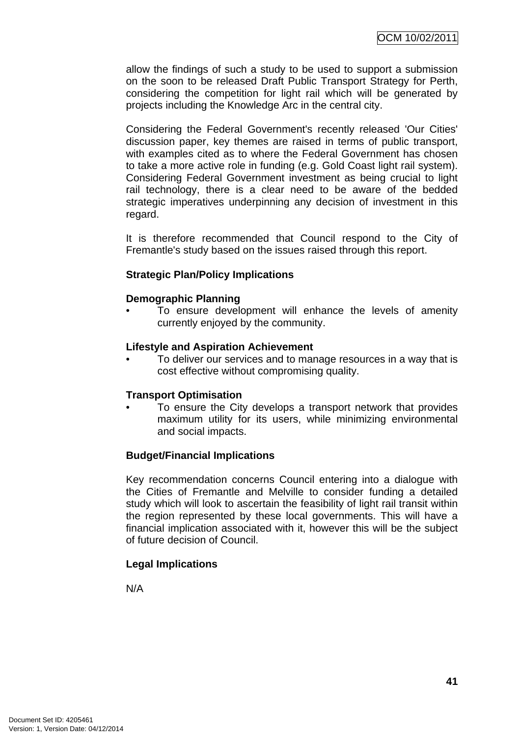allow the findings of such a study to be used to support a submission on the soon to be released Draft Public Transport Strategy for Perth, considering the competition for light rail which will be generated by projects including the Knowledge Arc in the central city.

Considering the Federal Government's recently released 'Our Cities' discussion paper, key themes are raised in terms of public transport, with examples cited as to where the Federal Government has chosen to take a more active role in funding (e.g. Gold Coast light rail system). Considering Federal Government investment as being crucial to light rail technology, there is a clear need to be aware of the bedded strategic imperatives underpinning any decision of investment in this regard.

It is therefore recommended that Council respond to the City of Fremantle's study based on the issues raised through this report.

## **Strategic Plan/Policy Implications**

## **Demographic Planning**

To ensure development will enhance the levels of amenity currently enjoyed by the community.

### **Lifestyle and Aspiration Achievement**

• To deliver our services and to manage resources in a way that is cost effective without compromising quality.

## **Transport Optimisation**

To ensure the City develops a transport network that provides maximum utility for its users, while minimizing environmental and social impacts.

## **Budget/Financial Implications**

Key recommendation concerns Council entering into a dialogue with the Cities of Fremantle and Melville to consider funding a detailed study which will look to ascertain the feasibility of light rail transit within the region represented by these local governments. This will have a financial implication associated with it, however this will be the subject of future decision of Council.

# **Legal Implications**

N/A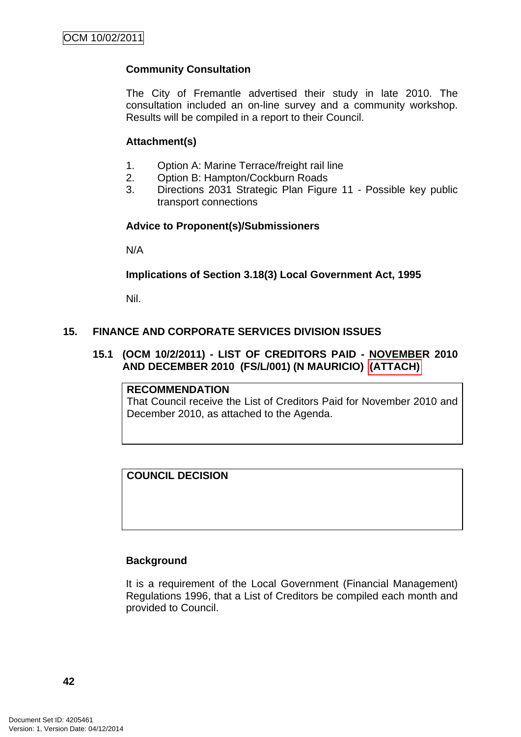# **Community Consultation**

The City of Fremantle advertised their study in late 2010. The consultation included an on-line survey and a community workshop. Results will be compiled in a report to their Council.

## **Attachment(s)**

- 1. Option A: Marine Terrace/freight rail line
- 2. Option B: Hampton/Cockburn Roads
- 3. Directions 2031 Strategic Plan Figure 11 Possible key public transport connections

## **Advice to Proponent(s)/Submissioners**

N/A

## **Implications of Section 3.18(3) Local Government Act, 1995**

Nil.

## **15. FINANCE AND CORPORATE SERVICES DIVISION ISSUES**

## **15.1 (OCM 10/2/2011) - LIST OF CREDITORS PAID - NOVEMBER 2010 AND DECEMBER 2010 (FS/L/001) (N MAURICIO) (ATTACH)**

## **RECOMMENDATION**

That Council receive the List of Creditors Paid for November 2010 and December 2010, as attached to the Agenda.

## **COUNCIL DECISION**

## **Background**

It is a requirement of the Local Government (Financial Management) Regulations 1996, that a List of Creditors be compiled each month and provided to Council.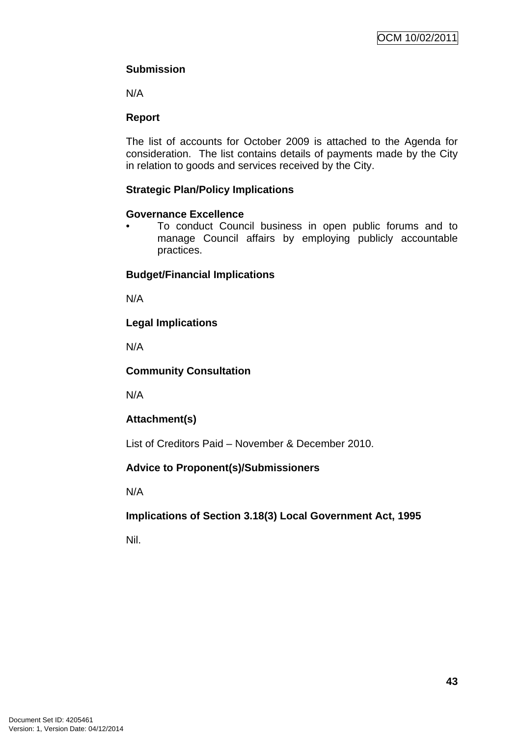# **Submission**

N/A

# **Report**

The list of accounts for October 2009 is attached to the Agenda for consideration. The list contains details of payments made by the City in relation to goods and services received by the City.

# **Strategic Plan/Policy Implications**

# **Governance Excellence**

• To conduct Council business in open public forums and to manage Council affairs by employing publicly accountable practices.

# **Budget/Financial Implications**

N/A

# **Legal Implications**

N/A

# **Community Consultation**

N/A

# **Attachment(s)**

List of Creditors Paid – November & December 2010.

# **Advice to Proponent(s)/Submissioners**

N/A

# **Implications of Section 3.18(3) Local Government Act, 1995**

Nil.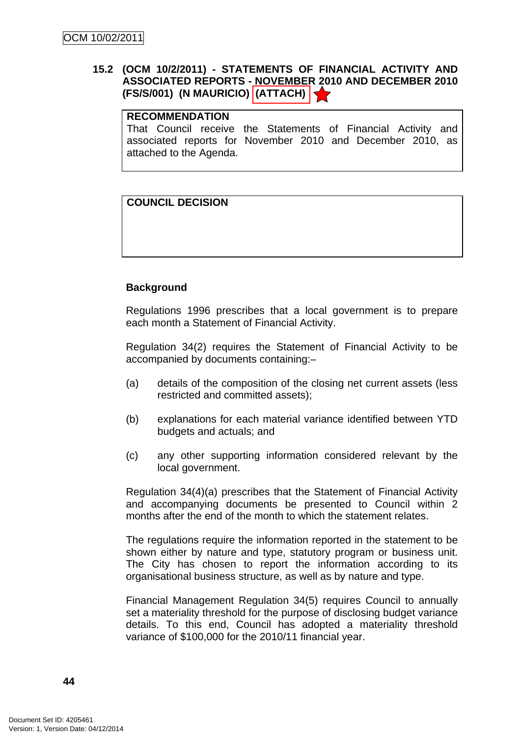# **15.2 (OCM 10/2/2011) - STATEMENTS OF FINANCIAL ACTIVITY AND ASSOCIATED REPORTS - NOVEMBER 2010 AND DECEMBER 2010 (FS/S/001) (N MAURICIO) (ATTACH)**

### **RECOMMENDATION**

That Council receive the Statements of Financial Activity and associated reports for November 2010 and December 2010, as attached to the Agenda.

## **COUNCIL DECISION**

## **Background**

Regulations 1996 prescribes that a local government is to prepare each month a Statement of Financial Activity.

Regulation 34(2) requires the Statement of Financial Activity to be accompanied by documents containing:–

- (a) details of the composition of the closing net current assets (less restricted and committed assets);
- (b) explanations for each material variance identified between YTD budgets and actuals; and
- (c) any other supporting information considered relevant by the local government.

Regulation 34(4)(a) prescribes that the Statement of Financial Activity and accompanying documents be presented to Council within 2 months after the end of the month to which the statement relates.

The regulations require the information reported in the statement to be shown either by nature and type, statutory program or business unit. The City has chosen to report the information according to its organisational business structure, as well as by nature and type.

Financial Management Regulation 34(5) requires Council to annually set a materiality threshold for the purpose of disclosing budget variance details. To this end, Council has adopted a materiality threshold variance of \$100,000 for the 2010/11 financial year.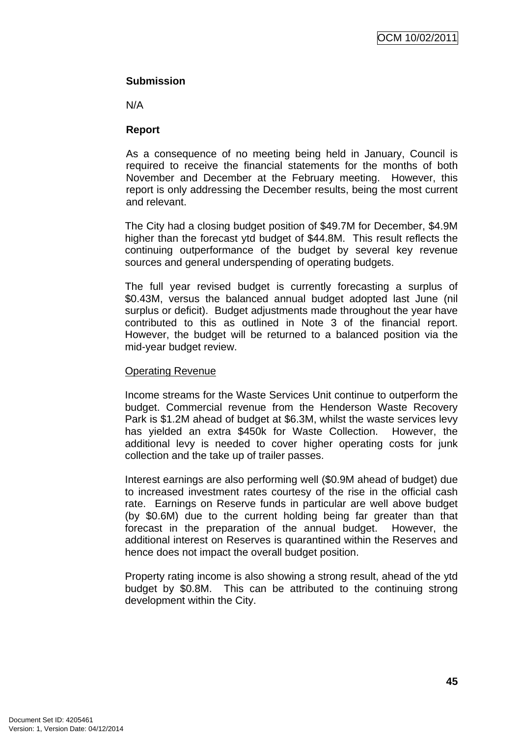## **Submission**

N/A

## **Report**

As a consequence of no meeting being held in January, Council is required to receive the financial statements for the months of both November and December at the February meeting. However, this report is only addressing the December results, being the most current and relevant.

The City had a closing budget position of \$49.7M for December, \$4.9M higher than the forecast ytd budget of \$44.8M. This result reflects the continuing outperformance of the budget by several key revenue sources and general underspending of operating budgets.

The full year revised budget is currently forecasting a surplus of \$0.43M, versus the balanced annual budget adopted last June (nil surplus or deficit). Budget adjustments made throughout the year have contributed to this as outlined in Note 3 of the financial report. However, the budget will be returned to a balanced position via the mid-year budget review.

#### Operating Revenue

Income streams for the Waste Services Unit continue to outperform the budget. Commercial revenue from the Henderson Waste Recovery Park is \$1.2M ahead of budget at \$6.3M, whilst the waste services levy has yielded an extra \$450k for Waste Collection. However, the additional levy is needed to cover higher operating costs for junk collection and the take up of trailer passes.

Interest earnings are also performing well (\$0.9M ahead of budget) due to increased investment rates courtesy of the rise in the official cash rate. Earnings on Reserve funds in particular are well above budget (by \$0.6M) due to the current holding being far greater than that forecast in the preparation of the annual budget. However, the additional interest on Reserves is quarantined within the Reserves and hence does not impact the overall budget position.

Property rating income is also showing a strong result, ahead of the ytd budget by \$0.8M. This can be attributed to the continuing strong development within the City.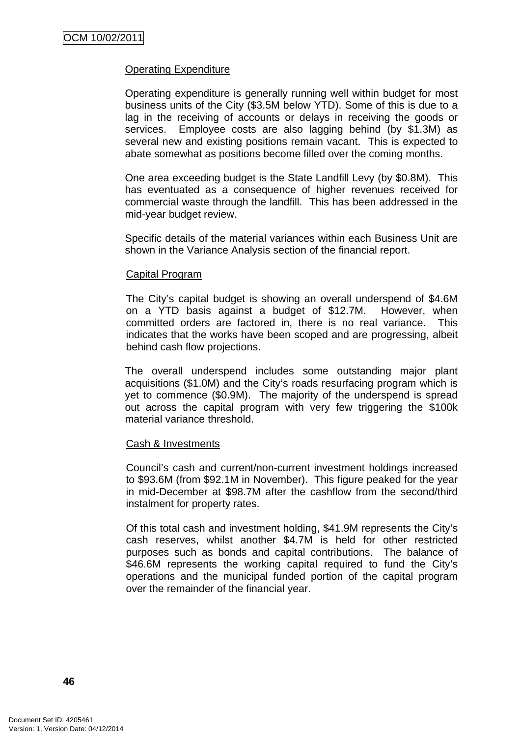## Operating Expenditure

Operating expenditure is generally running well within budget for most business units of the City (\$3.5M below YTD). Some of this is due to a lag in the receiving of accounts or delays in receiving the goods or services. Employee costs are also lagging behind (by \$1.3M) as several new and existing positions remain vacant. This is expected to abate somewhat as positions become filled over the coming months.

One area exceeding budget is the State Landfill Levy (by \$0.8M). This has eventuated as a consequence of higher revenues received for commercial waste through the landfill. This has been addressed in the mid-year budget review.

Specific details of the material variances within each Business Unit are shown in the Variance Analysis section of the financial report.

#### Capital Program

The City's capital budget is showing an overall underspend of \$4.6M on a YTD basis against a budget of \$12.7M. However, when committed orders are factored in, there is no real variance. This indicates that the works have been scoped and are progressing, albeit behind cash flow projections.

The overall underspend includes some outstanding major plant acquisitions (\$1.0M) and the City's roads resurfacing program which is yet to commence (\$0.9M). The majority of the underspend is spread out across the capital program with very few triggering the \$100k material variance threshold.

#### Cash & Investments

Council's cash and current/non-current investment holdings increased to \$93.6M (from \$92.1M in November). This figure peaked for the year in mid-December at \$98.7M after the cashflow from the second/third instalment for property rates.

Of this total cash and investment holding, \$41.9M represents the City's cash reserves, whilst another \$4.7M is held for other restricted purposes such as bonds and capital contributions. The balance of \$46.6M represents the working capital required to fund the City's operations and the municipal funded portion of the capital program over the remainder of the financial year.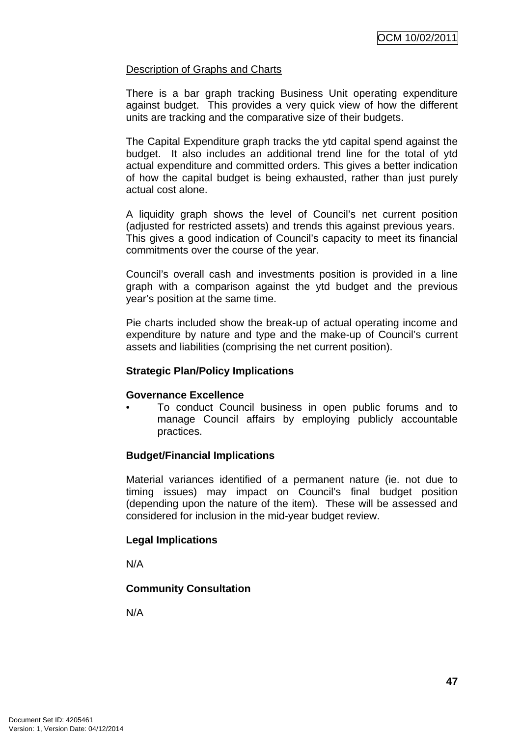## Description of Graphs and Charts

There is a bar graph tracking Business Unit operating expenditure against budget. This provides a very quick view of how the different units are tracking and the comparative size of their budgets.

The Capital Expenditure graph tracks the ytd capital spend against the budget. It also includes an additional trend line for the total of ytd actual expenditure and committed orders. This gives a better indication of how the capital budget is being exhausted, rather than just purely actual cost alone.

A liquidity graph shows the level of Council's net current position (adjusted for restricted assets) and trends this against previous years. This gives a good indication of Council's capacity to meet its financial commitments over the course of the year.

Council's overall cash and investments position is provided in a line graph with a comparison against the ytd budget and the previous year's position at the same time.

Pie charts included show the break-up of actual operating income and expenditure by nature and type and the make-up of Council's current assets and liabilities (comprising the net current position).

### **Strategic Plan/Policy Implications**

## **Governance Excellence**

• To conduct Council business in open public forums and to manage Council affairs by employing publicly accountable practices.

## **Budget/Financial Implications**

Material variances identified of a permanent nature (ie. not due to timing issues) may impact on Council's final budget position (depending upon the nature of the item). These will be assessed and considered for inclusion in the mid-year budget review.

## **Legal Implications**

N/A

## **Community Consultation**

N/A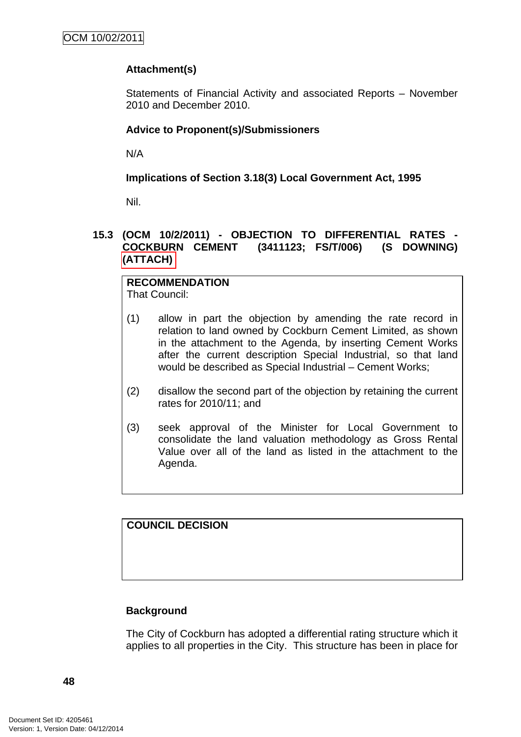# **Attachment(s)**

Statements of Financial Activity and associated Reports – November 2010 and December 2010.

# **Advice to Proponent(s)/Submissioners**

N/A

**Implications of Section 3.18(3) Local Government Act, 1995**

Nil.

## **15.3 (OCM 10/2/2011) - OBJECTION TO DIFFERENTIAL RATES - COCKBURN CEMENT (3411123; FS/T/006) (S DOWNING) (ATTACH)**

**RECOMMENDATION** That Council:

- (1) allow in part the objection by amending the rate record in relation to land owned by Cockburn Cement Limited, as shown in the attachment to the Agenda, by inserting Cement Works after the current description Special Industrial, so that land would be described as Special Industrial – Cement Works;
- (2) disallow the second part of the objection by retaining the current rates for 2010/11; and
- (3) seek approval of the Minister for Local Government to consolidate the land valuation methodology as Gross Rental Value over all of the land as listed in the attachment to the Agenda.

**COUNCIL DECISION** 

## **Background**

The City of Cockburn has adopted a differential rating structure which it applies to all properties in the City. This structure has been in place for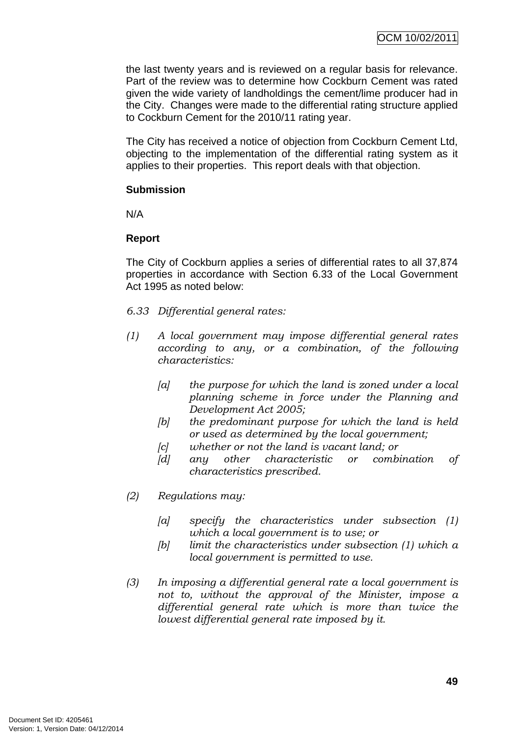the last twenty years and is reviewed on a regular basis for relevance. Part of the review was to determine how Cockburn Cement was rated given the wide variety of landholdings the cement/lime producer had in the City. Changes were made to the differential rating structure applied to Cockburn Cement for the 2010/11 rating year.

The City has received a notice of objection from Cockburn Cement Ltd, objecting to the implementation of the differential rating system as it applies to their properties. This report deals with that objection.

### **Submission**

N/A

## **Report**

The City of Cockburn applies a series of differential rates to all 37,874 properties in accordance with Section 6.33 of the Local Government Act 1995 as noted below:

- *6.33 Differential general rates:*
- *(1) A local government may impose differential general rates according to any, or a combination, of the following characteristics:* 
	- *[a] the purpose for which the land is zoned under a local planning scheme in force under the Planning and Development Act 2005;*
	- *[b] the predominant purpose for which the land is held or used as determined by the local government;*
	- *[c] whether or not the land is vacant land; or*
	- *[d] any other characteristic or combination of characteristics prescribed.*
- *(2) Regulations may:* 
	- *[a] specify the characteristics under subsection (1) which a local government is to use; or*
	- *[b] limit the characteristics under subsection (1) which a local government is permitted to use.*
- *(3) In imposing a differential general rate a local government is not to, without the approval of the Minister, impose a differential general rate which is more than twice the lowest differential general rate imposed by it.*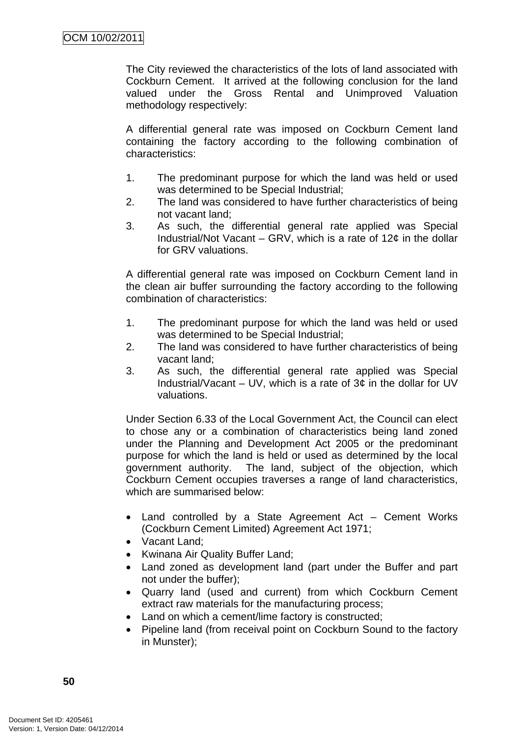The City reviewed the characteristics of the lots of land associated with Cockburn Cement. It arrived at the following conclusion for the land valued under the Gross Rental and Unimproved Valuation methodology respectively:

A differential general rate was imposed on Cockburn Cement land containing the factory according to the following combination of characteristics:

- 1. The predominant purpose for which the land was held or used was determined to be Special Industrial;
- 2. The land was considered to have further characteristics of being not vacant land;
- 3. As such, the differential general rate applied was Special Industrial/Not Vacant – GRV, which is a rate of  $12¢$  in the dollar for GRV valuations.

A differential general rate was imposed on Cockburn Cement land in the clean air buffer surrounding the factory according to the following combination of characteristics:

- 1. The predominant purpose for which the land was held or used was determined to be Special Industrial;
- 2. The land was considered to have further characteristics of being vacant land;
- 3. As such, the differential general rate applied was Special Industrial/Vacant – UV, which is a rate of  $3¢$  in the dollar for UV valuations.

Under Section 6.33 of the Local Government Act, the Council can elect to chose any or a combination of characteristics being land zoned under the Planning and Development Act 2005 or the predominant purpose for which the land is held or used as determined by the local government authority. The land, subject of the objection, which Cockburn Cement occupies traverses a range of land characteristics, which are summarised below:

- Land controlled by a State Agreement Act Cement Works (Cockburn Cement Limited) Agreement Act 1971;
- Vacant Land;
- Kwinana Air Quality Buffer Land;
- Land zoned as development land (part under the Buffer and part not under the buffer);
- Quarry land (used and current) from which Cockburn Cement extract raw materials for the manufacturing process;
- Land on which a cement/lime factory is constructed;
- Pipeline land (from receival point on Cockburn Sound to the factory in Munster);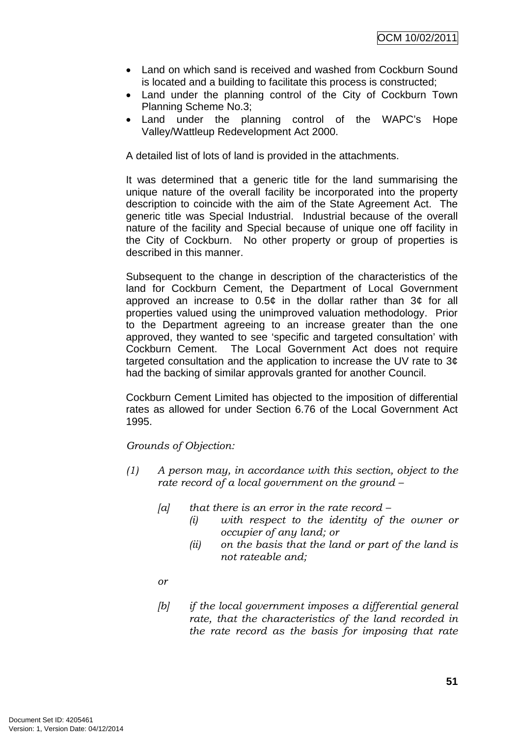- Land on which sand is received and washed from Cockburn Sound is located and a building to facilitate this process is constructed;
- Land under the planning control of the City of Cockburn Town Planning Scheme No.3;
- Land under the planning control of the WAPC's Hope Valley/Wattleup Redevelopment Act 2000.

A detailed list of lots of land is provided in the attachments.

It was determined that a generic title for the land summarising the unique nature of the overall facility be incorporated into the property description to coincide with the aim of the State Agreement Act. The generic title was Special Industrial. Industrial because of the overall nature of the facility and Special because of unique one off facility in the City of Cockburn. No other property or group of properties is described in this manner.

Subsequent to the change in description of the characteristics of the land for Cockburn Cement, the Department of Local Government approved an increase to  $0.5¢$  in the dollar rather than  $3¢$  for all properties valued using the unimproved valuation methodology. Prior to the Department agreeing to an increase greater than the one approved, they wanted to see 'specific and targeted consultation' with Cockburn Cement. The Local Government Act does not require targeted consultation and the application to increase the UV rate to 3¢ had the backing of similar approvals granted for another Council.

Cockburn Cement Limited has objected to the imposition of differential rates as allowed for under Section 6.76 of the Local Government Act 1995.

*Grounds of Objection:* 

- *(1) A person may, in accordance with this section, object to the rate record of a local government on the ground –* 
	- *[a] that there is an error in the rate record* 
		- *(i) with respect to the identity of the owner or occupier of any land; or*
		- *(ii) on the basis that the land or part of the land is not rateable and;*
	- *or*
	- *[b] if the local government imposes a differential general rate, that the characteristics of the land recorded in the rate record as the basis for imposing that rate*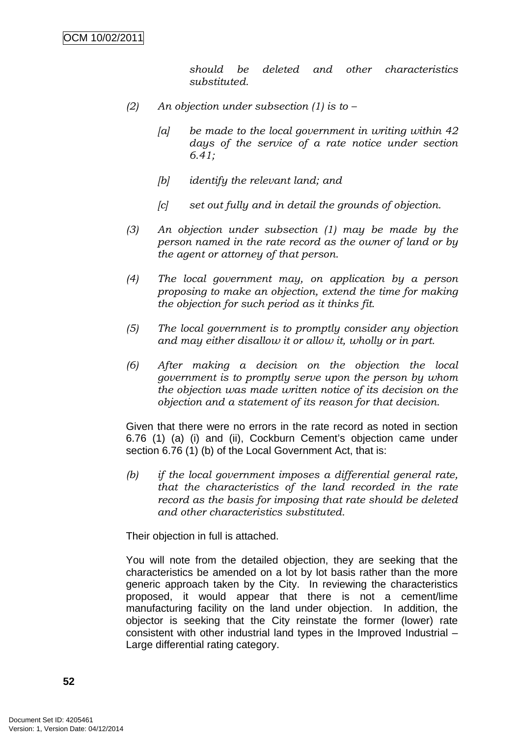*should be deleted and other characteristics substituted.* 

- *(2) An objection under subsection (1) is to* 
	- *[a] be made to the local government in writing within 42 days of the service of a rate notice under section 6.41;*
	- *[b] identify the relevant land; and*
	- *[c] set out fully and in detail the grounds of objection.*
- *(3) An objection under subsection (1) may be made by the person named in the rate record as the owner of land or by the agent or attorney of that person.*
- *(4) The local government may, on application by a person proposing to make an objection, extend the time for making the objection for such period as it thinks fit.*
- *(5) The local government is to promptly consider any objection and may either disallow it or allow it, wholly or in part.*
- *(6) After making a decision on the objection the local government is to promptly serve upon the person by whom the objection was made written notice of its decision on the objection and a statement of its reason for that decision.*

Given that there were no errors in the rate record as noted in section 6.76 (1) (a) (i) and (ii), Cockburn Cement's objection came under section 6.76 (1) (b) of the Local Government Act, that is:

*(b) if the local government imposes a differential general rate, that the characteristics of the land recorded in the rate record as the basis for imposing that rate should be deleted and other characteristics substituted.* 

Their objection in full is attached.

You will note from the detailed objection, they are seeking that the characteristics be amended on a lot by lot basis rather than the more generic approach taken by the City. In reviewing the characteristics proposed, it would appear that there is not a cement/lime manufacturing facility on the land under objection. In addition, the objector is seeking that the City reinstate the former (lower) rate consistent with other industrial land types in the Improved Industrial – Large differential rating category.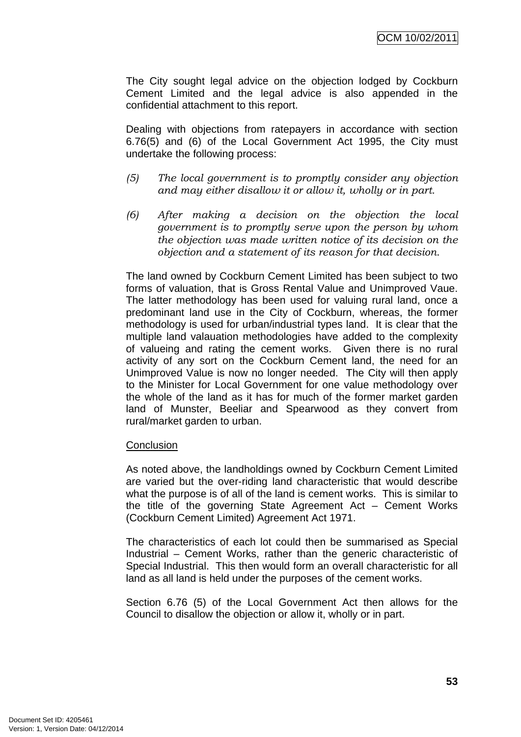The City sought legal advice on the objection lodged by Cockburn Cement Limited and the legal advice is also appended in the confidential attachment to this report.

Dealing with objections from ratepayers in accordance with section 6.76(5) and (6) of the Local Government Act 1995, the City must undertake the following process:

- *(5) The local government is to promptly consider any objection and may either disallow it or allow it, wholly or in part.*
- *(6) After making a decision on the objection the local government is to promptly serve upon the person by whom the objection was made written notice of its decision on the objection and a statement of its reason for that decision.*

The land owned by Cockburn Cement Limited has been subject to two forms of valuation, that is Gross Rental Value and Unimproved Vaue. The latter methodology has been used for valuing rural land, once a predominant land use in the City of Cockburn, whereas, the former methodology is used for urban/industrial types land. It is clear that the multiple land valauation methodologies have added to the complexity of valueing and rating the cement works. Given there is no rural activity of any sort on the Cockburn Cement land, the need for an Unimproved Value is now no longer needed. The City will then apply to the Minister for Local Government for one value methodology over the whole of the land as it has for much of the former market garden land of Munster, Beeliar and Spearwood as they convert from rural/market garden to urban.

#### **Conclusion**

As noted above, the landholdings owned by Cockburn Cement Limited are varied but the over-riding land characteristic that would describe what the purpose is of all of the land is cement works. This is similar to the title of the governing State Agreement Act – Cement Works (Cockburn Cement Limited) Agreement Act 1971.

The characteristics of each lot could then be summarised as Special Industrial – Cement Works, rather than the generic characteristic of Special Industrial. This then would form an overall characteristic for all land as all land is held under the purposes of the cement works.

Section 6.76 (5) of the Local Government Act then allows for the Council to disallow the objection or allow it, wholly or in part.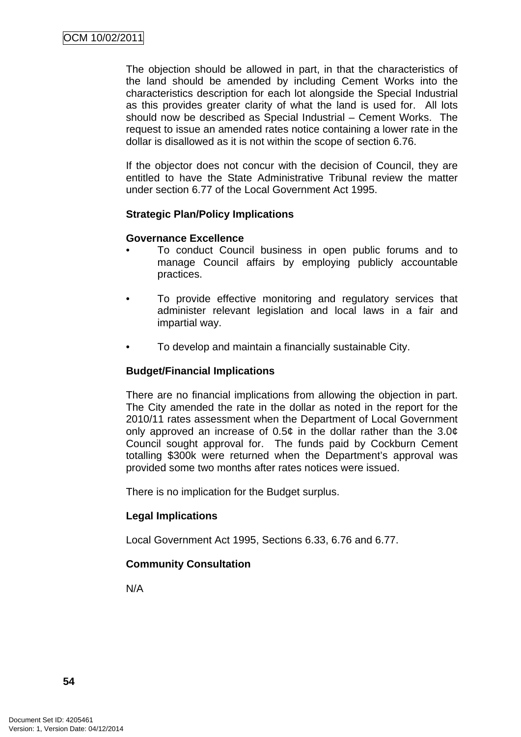The objection should be allowed in part, in that the characteristics of the land should be amended by including Cement Works into the characteristics description for each lot alongside the Special Industrial as this provides greater clarity of what the land is used for. All lots should now be described as Special Industrial – Cement Works. The request to issue an amended rates notice containing a lower rate in the dollar is disallowed as it is not within the scope of section 6.76.

If the objector does not concur with the decision of Council, they are entitled to have the State Administrative Tribunal review the matter under section 6.77 of the Local Government Act 1995.

## **Strategic Plan/Policy Implications**

### **Governance Excellence**

- To conduct Council business in open public forums and to manage Council affairs by employing publicly accountable practices.
- To provide effective monitoring and regulatory services that administer relevant legislation and local laws in a fair and impartial way.
- To develop and maintain a financially sustainable City.

### **Budget/Financial Implications**

There are no financial implications from allowing the objection in part. The City amended the rate in the dollar as noted in the report for the 2010/11 rates assessment when the Department of Local Government only approved an increase of 0.5 $\phi$  in the dollar rather than the 3.0 $\phi$ Council sought approval for. The funds paid by Cockburn Cement totalling \$300k were returned when the Department's approval was provided some two months after rates notices were issued.

There is no implication for the Budget surplus.

## **Legal Implications**

Local Government Act 1995, Sections 6.33, 6.76 and 6.77.

## **Community Consultation**

N/A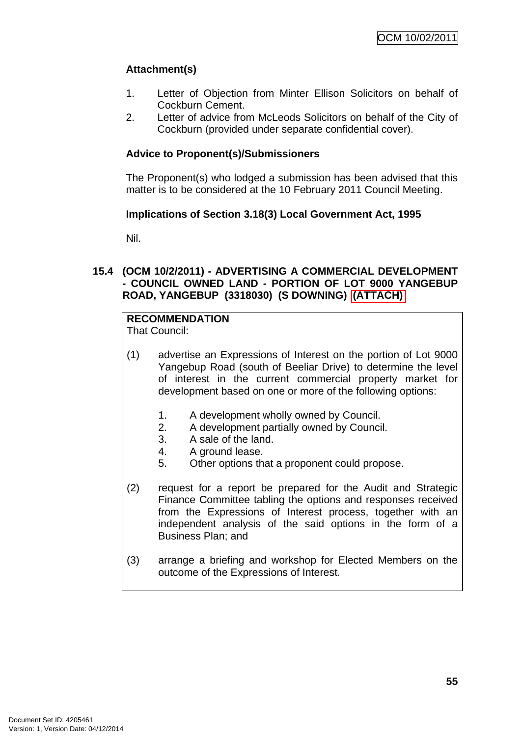# **Attachment(s)**

- 1. Letter of Objection from Minter Ellison Solicitors on behalf of Cockburn Cement.
- 2. Letter of advice from McLeods Solicitors on behalf of the City of Cockburn (provided under separate confidential cover).

# **Advice to Proponent(s)/Submissioners**

The Proponent(s) who lodged a submission has been advised that this matter is to be considered at the 10 February 2011 Council Meeting.

## **Implications of Section 3.18(3) Local Government Act, 1995**

Nil.

## **15.4 (OCM 10/2/2011) - ADVERTISING A COMMERCIAL DEVELOPMENT - COUNCIL OWNED LAND - PORTION OF LOT 9000 YANGEBUP ROAD, YANGEBUP (3318030) (S DOWNING) (ATTACH)**

# **RECOMMENDATION**

That Council:

- (1) advertise an Expressions of Interest on the portion of Lot 9000 Yangebup Road (south of Beeliar Drive) to determine the level of interest in the current commercial property market for development based on one or more of the following options:
	- 1. A development wholly owned by Council.
	- 2. A development partially owned by Council.
	- 3. A sale of the land.
	- 4. A ground lease.
	- 5. Other options that a proponent could propose.
- (2) request for a report be prepared for the Audit and Strategic Finance Committee tabling the options and responses received from the Expressions of Interest process, together with an independent analysis of the said options in the form of a Business Plan; and
- (3) arrange a briefing and workshop for Elected Members on the outcome of the Expressions of Interest.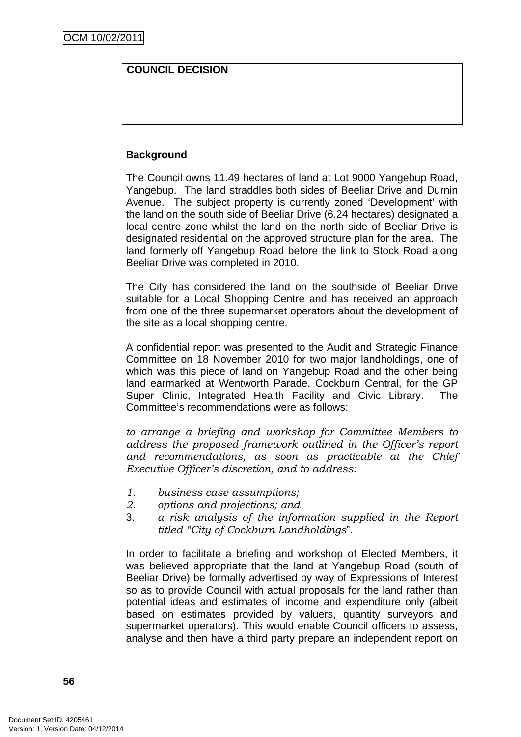# **COUNCIL DECISION**

# **Background**

The Council owns 11.49 hectares of land at Lot 9000 Yangebup Road, Yangebup. The land straddles both sides of Beeliar Drive and Durnin Avenue. The subject property is currently zoned 'Development' with the land on the south side of Beeliar Drive (6.24 hectares) designated a local centre zone whilst the land on the north side of Beeliar Drive is designated residential on the approved structure plan for the area. The land formerly off Yangebup Road before the link to Stock Road along Beeliar Drive was completed in 2010.

The City has considered the land on the southside of Beeliar Drive suitable for a Local Shopping Centre and has received an approach from one of the three supermarket operators about the development of the site as a local shopping centre.

A confidential report was presented to the Audit and Strategic Finance Committee on 18 November 2010 for two major landholdings, one of which was this piece of land on Yangebup Road and the other being land earmarked at Wentworth Parade, Cockburn Central, for the GP Super Clinic, Integrated Health Facility and Civic Library. The Committee's recommendations were as follows:

*to arrange a briefing and workshop for Committee Members to address the proposed framework outlined in the Officer's report and recommendations, as soon as practicable at the Chief Executive Officer's discretion, and to address:* 

- *1. business case assumptions;*
- *2. options and projections; and*
- 3. *a risk analysis of the information supplied in the Report titled "City of Cockburn Landholdings*".

In order to facilitate a briefing and workshop of Elected Members, it was believed appropriate that the land at Yangebup Road (south of Beeliar Drive) be formally advertised by way of Expressions of Interest so as to provide Council with actual proposals for the land rather than potential ideas and estimates of income and expenditure only (albeit based on estimates provided by valuers, quantity surveyors and supermarket operators). This would enable Council officers to assess, analyse and then have a third party prepare an independent report on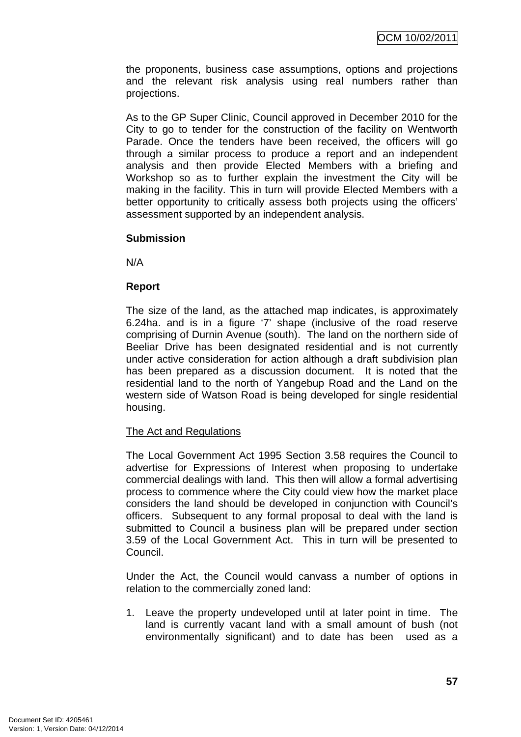the proponents, business case assumptions, options and projections and the relevant risk analysis using real numbers rather than projections.

As to the GP Super Clinic, Council approved in December 2010 for the City to go to tender for the construction of the facility on Wentworth Parade. Once the tenders have been received, the officers will go through a similar process to produce a report and an independent analysis and then provide Elected Members with a briefing and Workshop so as to further explain the investment the City will be making in the facility. This in turn will provide Elected Members with a better opportunity to critically assess both projects using the officers' assessment supported by an independent analysis.

## **Submission**

N/A

## **Report**

The size of the land, as the attached map indicates, is approximately 6.24ha. and is in a figure '7' shape (inclusive of the road reserve comprising of Durnin Avenue (south). The land on the northern side of Beeliar Drive has been designated residential and is not currently under active consideration for action although a draft subdivision plan has been prepared as a discussion document. It is noted that the residential land to the north of Yangebup Road and the Land on the western side of Watson Road is being developed for single residential housing.

## The Act and Regulations

The Local Government Act 1995 Section 3.58 requires the Council to advertise for Expressions of Interest when proposing to undertake commercial dealings with land. This then will allow a formal advertising process to commence where the City could view how the market place considers the land should be developed in conjunction with Council's officers. Subsequent to any formal proposal to deal with the land is submitted to Council a business plan will be prepared under section 3.59 of the Local Government Act. This in turn will be presented to Council.

Under the Act, the Council would canvass a number of options in relation to the commercially zoned land:

1. Leave the property undeveloped until at later point in time. The land is currently vacant land with a small amount of bush (not environmentally significant) and to date has been used as a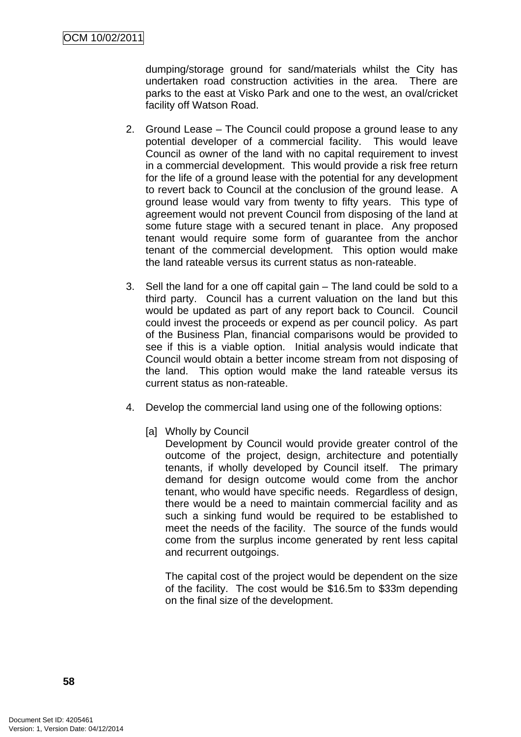dumping/storage ground for sand/materials whilst the City has undertaken road construction activities in the area. There are parks to the east at Visko Park and one to the west, an oval/cricket facility off Watson Road.

- 2. Ground Lease The Council could propose a ground lease to any potential developer of a commercial facility. This would leave Council as owner of the land with no capital requirement to invest in a commercial development. This would provide a risk free return for the life of a ground lease with the potential for any development to revert back to Council at the conclusion of the ground lease. A ground lease would vary from twenty to fifty years. This type of agreement would not prevent Council from disposing of the land at some future stage with a secured tenant in place. Any proposed tenant would require some form of guarantee from the anchor tenant of the commercial development. This option would make the land rateable versus its current status as non-rateable.
- 3. Sell the land for a one off capital gain The land could be sold to a third party. Council has a current valuation on the land but this would be updated as part of any report back to Council. Council could invest the proceeds or expend as per council policy. As part of the Business Plan, financial comparisons would be provided to see if this is a viable option. Initial analysis would indicate that Council would obtain a better income stream from not disposing of the land. This option would make the land rateable versus its current status as non-rateable.
- 4. Develop the commercial land using one of the following options:
	- [a] Wholly by Council

Development by Council would provide greater control of the outcome of the project, design, architecture and potentially tenants, if wholly developed by Council itself. The primary demand for design outcome would come from the anchor tenant, who would have specific needs. Regardless of design, there would be a need to maintain commercial facility and as such a sinking fund would be required to be established to meet the needs of the facility. The source of the funds would come from the surplus income generated by rent less capital and recurrent outgoings.

The capital cost of the project would be dependent on the size of the facility. The cost would be \$16.5m to \$33m depending on the final size of the development.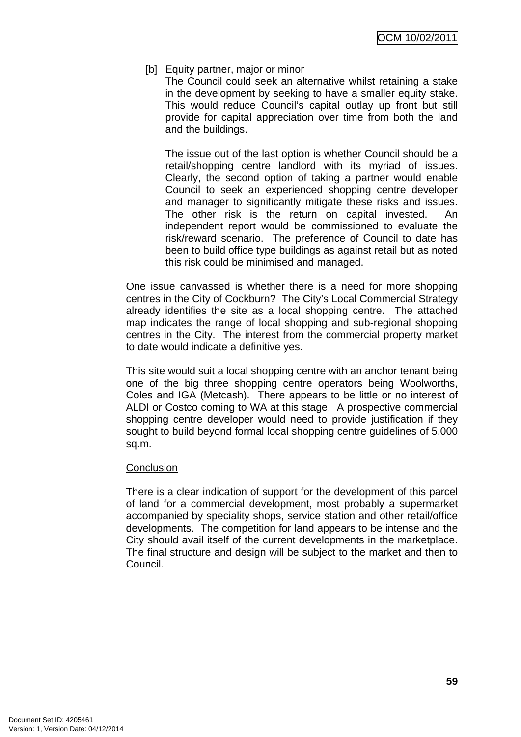## [b] Equity partner, major or minor

The Council could seek an alternative whilst retaining a stake in the development by seeking to have a smaller equity stake. This would reduce Council's capital outlay up front but still provide for capital appreciation over time from both the land and the buildings.

The issue out of the last option is whether Council should be a retail/shopping centre landlord with its myriad of issues. Clearly, the second option of taking a partner would enable Council to seek an experienced shopping centre developer and manager to significantly mitigate these risks and issues. The other risk is the return on capital invested. An independent report would be commissioned to evaluate the risk/reward scenario. The preference of Council to date has been to build office type buildings as against retail but as noted this risk could be minimised and managed.

One issue canvassed is whether there is a need for more shopping centres in the City of Cockburn? The City's Local Commercial Strategy already identifies the site as a local shopping centre. The attached map indicates the range of local shopping and sub-regional shopping centres in the City. The interest from the commercial property market to date would indicate a definitive yes.

This site would suit a local shopping centre with an anchor tenant being one of the big three shopping centre operators being Woolworths, Coles and IGA (Metcash). There appears to be little or no interest of ALDI or Costco coming to WA at this stage. A prospective commercial shopping centre developer would need to provide justification if they sought to build beyond formal local shopping centre guidelines of 5,000 sq.m.

## **Conclusion**

There is a clear indication of support for the development of this parcel of land for a commercial development, most probably a supermarket accompanied by speciality shops, service station and other retail/office developments. The competition for land appears to be intense and the City should avail itself of the current developments in the marketplace. The final structure and design will be subject to the market and then to Council.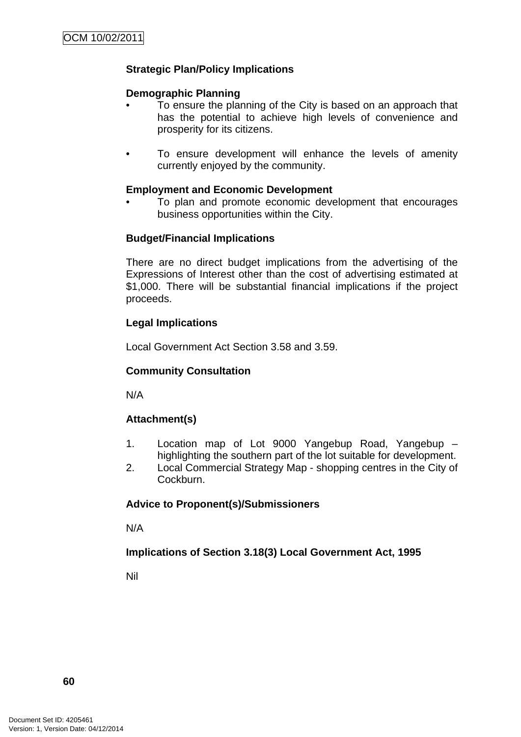# **Strategic Plan/Policy Implications**

## **Demographic Planning**

- To ensure the planning of the City is based on an approach that has the potential to achieve high levels of convenience and prosperity for its citizens.
- To ensure development will enhance the levels of amenity currently enjoyed by the community.

### **Employment and Economic Development**

• To plan and promote economic development that encourages business opportunities within the City.

### **Budget/Financial Implications**

There are no direct budget implications from the advertising of the Expressions of Interest other than the cost of advertising estimated at \$1,000. There will be substantial financial implications if the project proceeds.

## **Legal Implications**

Local Government Act Section 3.58 and 3.59.

## **Community Consultation**

N/A

## **Attachment(s)**

- 1. Location map of Lot 9000 Yangebup Road, Yangebup highlighting the southern part of the lot suitable for development.
- 2. Local Commercial Strategy Map shopping centres in the City of Cockburn.

# **Advice to Proponent(s)/Submissioners**

N/A

## **Implications of Section 3.18(3) Local Government Act, 1995**

Nil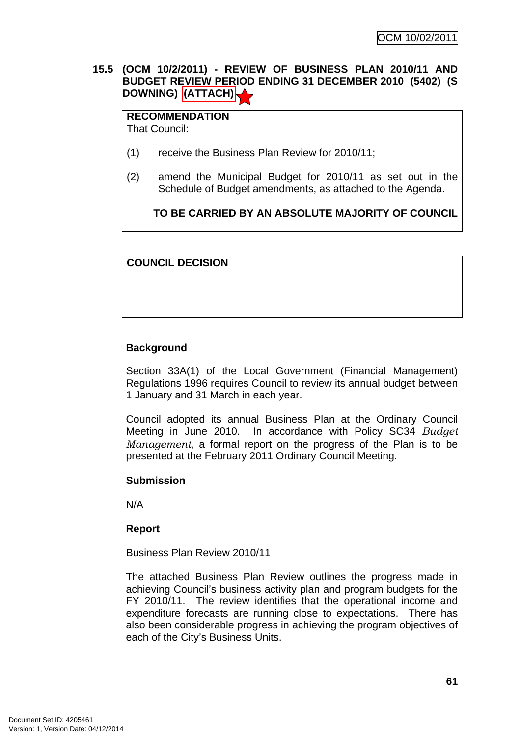# **15.5 (OCM 10/2/2011) - REVIEW OF BUSINESS PLAN 2010/11 AND BUDGET REVIEW PERIOD ENDING 31 DECEMBER 2010 (5402) (S DOWNING) (ATTACH)**

**RECOMMENDATION** That Council:

- (1) receive the Business Plan Review for 2010/11;
- (2) amend the Municipal Budget for 2010/11 as set out in the Schedule of Budget amendments, as attached to the Agenda.

**TO BE CARRIED BY AN ABSOLUTE MAJORITY OF COUNCIL**

**COUNCIL DECISION** 

# **Background**

Section 33A(1) of the Local Government (Financial Management) Regulations 1996 requires Council to review its annual budget between 1 January and 31 March in each year.

Council adopted its annual Business Plan at the Ordinary Council Meeting in June 2010. In accordance with Policy SC34 *Budget Management*, a formal report on the progress of the Plan is to be presented at the February 2011 Ordinary Council Meeting.

## **Submission**

N/A

# **Report**

## Business Plan Review 2010/11

The attached Business Plan Review outlines the progress made in achieving Council's business activity plan and program budgets for the FY 2010/11. The review identifies that the operational income and expenditure forecasts are running close to expectations. There has also been considerable progress in achieving the program objectives of each of the City's Business Units.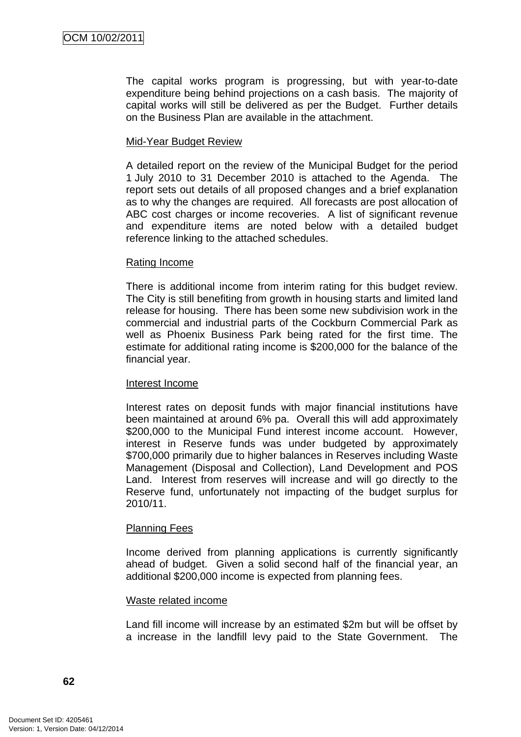The capital works program is progressing, but with year-to-date expenditure being behind projections on a cash basis. The majority of capital works will still be delivered as per the Budget. Further details on the Business Plan are available in the attachment.

## Mid-Year Budget Review

A detailed report on the review of the Municipal Budget for the period 1 July 2010 to 31 December 2010 is attached to the Agenda. The report sets out details of all proposed changes and a brief explanation as to why the changes are required. All forecasts are post allocation of ABC cost charges or income recoveries. A list of significant revenue and expenditure items are noted below with a detailed budget reference linking to the attached schedules.

### Rating Income

There is additional income from interim rating for this budget review. The City is still benefiting from growth in housing starts and limited land release for housing. There has been some new subdivision work in the commercial and industrial parts of the Cockburn Commercial Park as well as Phoenix Business Park being rated for the first time. The estimate for additional rating income is \$200,000 for the balance of the financial year.

## Interest Income

Interest rates on deposit funds with major financial institutions have been maintained at around 6% pa. Overall this will add approximately \$200,000 to the Municipal Fund interest income account. However, interest in Reserve funds was under budgeted by approximately \$700,000 primarily due to higher balances in Reserves including Waste Management (Disposal and Collection), Land Development and POS Land. Interest from reserves will increase and will go directly to the Reserve fund, unfortunately not impacting of the budget surplus for 2010/11.

## Planning Fees

Income derived from planning applications is currently significantly ahead of budget. Given a solid second half of the financial year, an additional \$200,000 income is expected from planning fees.

#### Waste related income

Land fill income will increase by an estimated \$2m but will be offset by a increase in the landfill levy paid to the State Government. The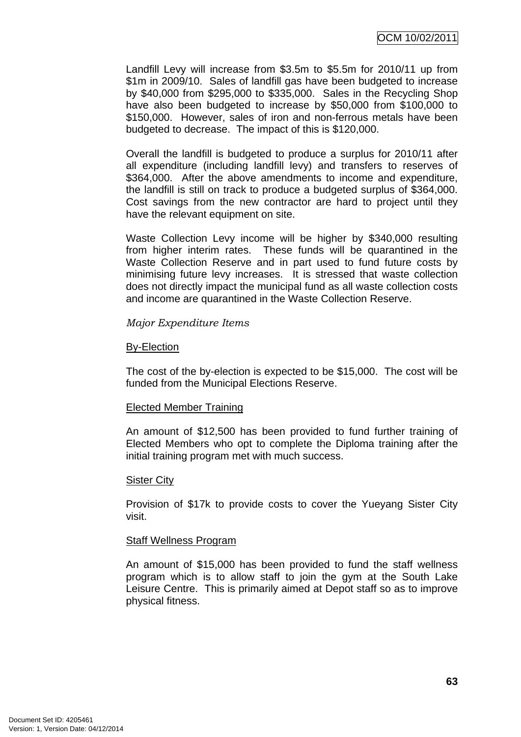Landfill Levy will increase from \$3.5m to \$5.5m for 2010/11 up from \$1m in 2009/10. Sales of landfill gas have been budgeted to increase by \$40,000 from \$295,000 to \$335,000. Sales in the Recycling Shop have also been budgeted to increase by \$50,000 from \$100,000 to \$150,000. However, sales of iron and non-ferrous metals have been budgeted to decrease. The impact of this is \$120,000.

Overall the landfill is budgeted to produce a surplus for 2010/11 after all expenditure (including landfill levy) and transfers to reserves of \$364,000. After the above amendments to income and expenditure, the landfill is still on track to produce a budgeted surplus of \$364,000. Cost savings from the new contractor are hard to project until they have the relevant equipment on site.

Waste Collection Levy income will be higher by \$340,000 resulting from higher interim rates. These funds will be quarantined in the Waste Collection Reserve and in part used to fund future costs by minimising future levy increases. It is stressed that waste collection does not directly impact the municipal fund as all waste collection costs and income are quarantined in the Waste Collection Reserve.

### *Major Expenditure Items*

### By-Election

The cost of the by-election is expected to be \$15,000. The cost will be funded from the Municipal Elections Reserve.

## Elected Member Training

An amount of \$12,500 has been provided to fund further training of Elected Members who opt to complete the Diploma training after the initial training program met with much success.

#### Sister City

Provision of \$17k to provide costs to cover the Yueyang Sister City visit.

## Staff Wellness Program

An amount of \$15,000 has been provided to fund the staff wellness program which is to allow staff to join the gym at the South Lake Leisure Centre. This is primarily aimed at Depot staff so as to improve physical fitness.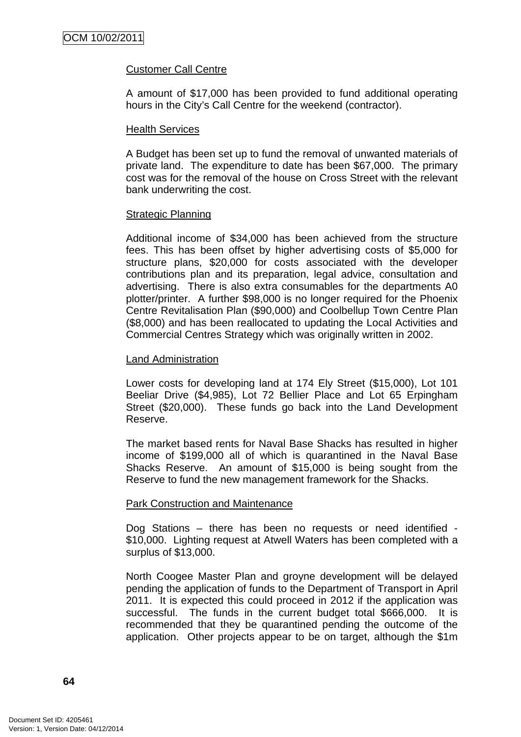## Customer Call Centre

A amount of \$17,000 has been provided to fund additional operating hours in the City's Call Centre for the weekend (contractor).

### Health Services

A Budget has been set up to fund the removal of unwanted materials of private land. The expenditure to date has been \$67,000. The primary cost was for the removal of the house on Cross Street with the relevant bank underwriting the cost.

### **Strategic Planning**

Additional income of \$34,000 has been achieved from the structure fees. This has been offset by higher advertising costs of \$5,000 for structure plans, \$20,000 for costs associated with the developer contributions plan and its preparation, legal advice, consultation and advertising. There is also extra consumables for the departments A0 plotter/printer. A further \$98,000 is no longer required for the Phoenix Centre Revitalisation Plan (\$90,000) and Coolbellup Town Centre Plan (\$8,000) and has been reallocated to updating the Local Activities and Commercial Centres Strategy which was originally written in 2002.

### Land Administration

Lower costs for developing land at 174 Ely Street (\$15,000), Lot 101 Beeliar Drive (\$4,985), Lot 72 Bellier Place and Lot 65 Erpingham Street (\$20,000). These funds go back into the Land Development Reserve.

The market based rents for Naval Base Shacks has resulted in higher income of \$199,000 all of which is quarantined in the Naval Base Shacks Reserve. An amount of \$15,000 is being sought from the Reserve to fund the new management framework for the Shacks.

## Park Construction and Maintenance

Dog Stations – there has been no requests or need identified - \$10,000. Lighting request at Atwell Waters has been completed with a surplus of \$13,000.

North Coogee Master Plan and groyne development will be delayed pending the application of funds to the Department of Transport in April 2011. It is expected this could proceed in 2012 if the application was successful. The funds in the current budget total \$666,000. It is recommended that they be quarantined pending the outcome of the application. Other projects appear to be on target, although the \$1m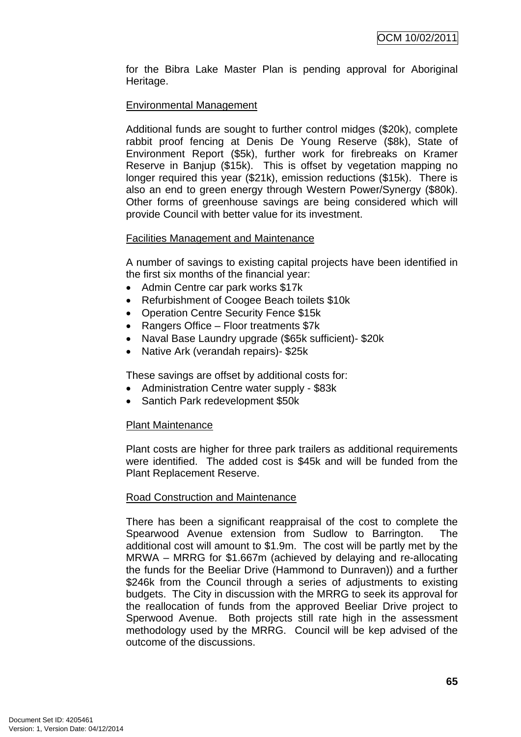for the Bibra Lake Master Plan is pending approval for Aboriginal Heritage.

## Environmental Management

Additional funds are sought to further control midges (\$20k), complete rabbit proof fencing at Denis De Young Reserve (\$8k), State of Environment Report (\$5k), further work for firebreaks on Kramer Reserve in Banjup (\$15k). This is offset by vegetation mapping no longer required this year (\$21k), emission reductions (\$15k). There is also an end to green energy through Western Power/Synergy (\$80k). Other forms of greenhouse savings are being considered which will provide Council with better value for its investment.

## Facilities Management and Maintenance

A number of savings to existing capital projects have been identified in the first six months of the financial year:

- Admin Centre car park works \$17k
- Refurbishment of Coogee Beach toilets \$10k
- Operation Centre Security Fence \$15k
- Rangers Office Floor treatments \$7k
- Naval Base Laundry upgrade (\$65k sufficient)- \$20k
- Native Ark (verandah repairs)- \$25k

These savings are offset by additional costs for:

- Administration Centre water supply \$83k
- Santich Park redevelopment \$50k

## Plant Maintenance

Plant costs are higher for three park trailers as additional requirements were identified. The added cost is \$45k and will be funded from the Plant Replacement Reserve.

#### Road Construction and Maintenance

There has been a significant reappraisal of the cost to complete the Spearwood Avenue extension from Sudlow to Barrington. The additional cost will amount to \$1.9m. The cost will be partly met by the MRWA – MRRG for \$1.667m (achieved by delaying and re-allocating the funds for the Beeliar Drive (Hammond to Dunraven)) and a further \$246k from the Council through a series of adjustments to existing budgets. The City in discussion with the MRRG to seek its approval for the reallocation of funds from the approved Beeliar Drive project to Sperwood Avenue. Both projects still rate high in the assessment methodology used by the MRRG. Council will be kep advised of the outcome of the discussions.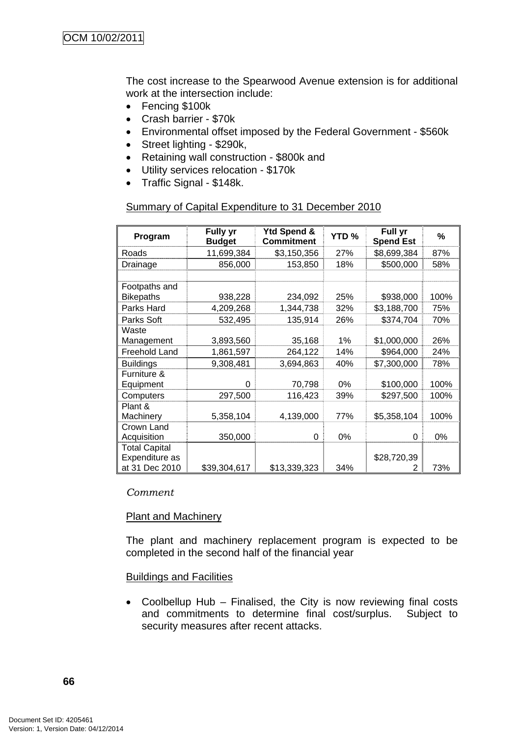The cost increase to the Spearwood Avenue extension is for additional work at the intersection include:

- Fencing \$100k
- Crash barrier \$70k
- Environmental offset imposed by the Federal Government \$560k
- Street lighting \$290k,
- Retaining wall construction \$800k and
- Utility services relocation \$170k
- Traffic Signal \$148k.

## Summary of Capital Expenditure to 31 December 2010

|                      | <b>Fully yr</b> | Ytd Spend &       |       | Full yr          |      |
|----------------------|-----------------|-------------------|-------|------------------|------|
| Program              | <b>Budget</b>   | <b>Commitment</b> | YTD%  | <b>Spend Est</b> | %    |
| Roads                | 11,699,384      | \$3,150,356       | 27%   | \$8,699,384      | 87%  |
| Drainage             | 856,000         | 153,850           | 18%   | \$500,000        | 58%  |
|                      |                 |                   |       |                  |      |
| Footpaths and        |                 |                   |       |                  |      |
| <b>Bikepaths</b>     | 938,228         | 234,092           | 25%   | \$938,000        | 100% |
| Parks Hard           | 4,209,268       | 1,344,738         | 32%   | \$3,188,700      | 75%  |
| Parks Soft           | 532,495         | 135,914           | 26%   | \$374,704        | 70%  |
| Waste                |                 |                   |       |                  |      |
| Management           | 3,893,560       | 35,168            | 1%    | \$1,000,000      | 26%  |
| Freehold Land        | 1,861,597       | 264,122           | 14%   | \$964,000        | 24%  |
| <b>Buildings</b>     | 9,308,481       | 3,694,863         | 40%   | \$7,300,000      | 78%  |
| Furniture &          |                 |                   |       |                  |      |
| Equipment            | 0               | 70,798            | $0\%$ | \$100,000        | 100% |
| Computers            | 297,500         | 116,423           | 39%   | \$297,500        | 100% |
| Plant &              |                 |                   |       |                  |      |
| Machinery            | 5,358,104       | 4,139,000         | 77%   | \$5,358,104      | 100% |
| Crown Land           |                 |                   |       |                  |      |
| Acquisition          | 350,000         | 0                 | 0%    | 0                | 0%   |
| <b>Total Capital</b> |                 |                   |       |                  |      |
| Expenditure as       |                 |                   |       | \$28,720,39      |      |
| at 31 Dec 2010       | \$39,304,617    | \$13,339,323      | 34%   | 2                | 73%  |

#### *Comment*

## Plant and Machinery

The plant and machinery replacement program is expected to be completed in the second half of the financial year

## **Buildings and Facilities**

• Coolbellup Hub – Finalised, the City is now reviewing final costs and commitments to determine final cost/surplus. Subject to security measures after recent attacks.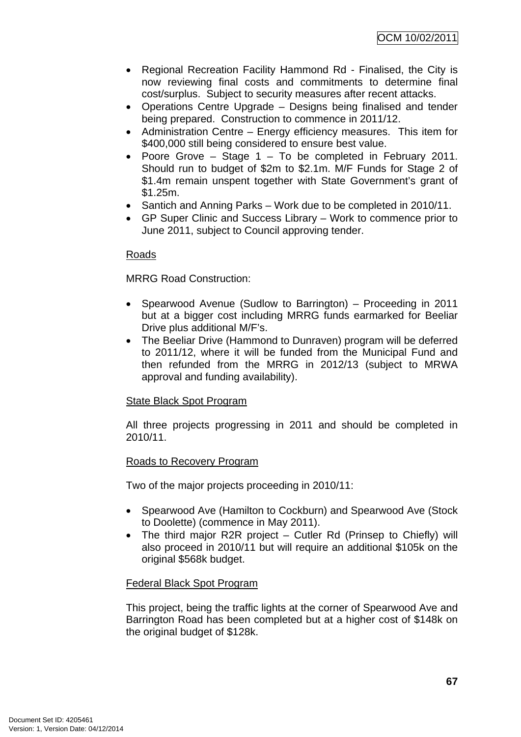- Regional Recreation Facility Hammond Rd Finalised, the City is now reviewing final costs and commitments to determine final cost/surplus. Subject to security measures after recent attacks.
- Operations Centre Upgrade Designs being finalised and tender being prepared. Construction to commence in 2011/12.
- Administration Centre Energy efficiency measures. This item for \$400,000 still being considered to ensure best value.
- Poore Grove Stage 1 To be completed in February 2011. Should run to budget of \$2m to \$2.1m. M/F Funds for Stage 2 of \$1.4m remain unspent together with State Government's grant of \$1.25m.
- Santich and Anning Parks Work due to be completed in 2010/11.
- GP Super Clinic and Success Library Work to commence prior to June 2011, subject to Council approving tender.

## Roads

MRRG Road Construction:

- Spearwood Avenue (Sudlow to Barrington) Proceeding in 2011 but at a bigger cost including MRRG funds earmarked for Beeliar Drive plus additional M/F's.
- The Beeliar Drive (Hammond to Dunraven) program will be deferred to 2011/12, where it will be funded from the Municipal Fund and then refunded from the MRRG in 2012/13 (subject to MRWA approval and funding availability).

## State Black Spot Program

All three projects progressing in 2011 and should be completed in 2010/11.

#### Roads to Recovery Program

Two of the major projects proceeding in 2010/11:

- Spearwood Ave (Hamilton to Cockburn) and Spearwood Ave (Stock to Doolette) (commence in May 2011).
- The third major R2R project Cutler Rd (Prinsep to Chiefly) will also proceed in 2010/11 but will require an additional \$105k on the original \$568k budget.

#### Federal Black Spot Program

This project, being the traffic lights at the corner of Spearwood Ave and Barrington Road has been completed but at a higher cost of \$148k on the original budget of \$128k.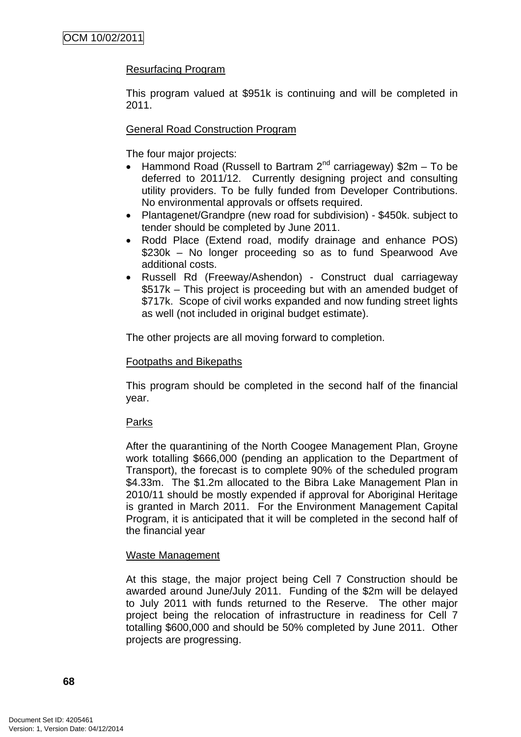## Resurfacing Program

This program valued at \$951k is continuing and will be completed in 2011.

## General Road Construction Program

The four major projects:

- Hammond Road (Russell to Bartram  $2^{nd}$  carriageway) \$2m To be deferred to 2011/12. Currently designing project and consulting utility providers. To be fully funded from Developer Contributions. No environmental approvals or offsets required.
- Plantagenet/Grandpre (new road for subdivision) \$450k. subject to tender should be completed by June 2011.
- Rodd Place (Extend road, modify drainage and enhance POS) \$230k – No longer proceeding so as to fund Spearwood Ave additional costs.
- Russell Rd (Freeway/Ashendon) Construct dual carriageway \$517k – This project is proceeding but with an amended budget of \$717k. Scope of civil works expanded and now funding street lights as well (not included in original budget estimate).

The other projects are all moving forward to completion.

## Footpaths and Bikepaths

This program should be completed in the second half of the financial year.

## Parks

After the quarantining of the North Coogee Management Plan, Groyne work totalling \$666,000 (pending an application to the Department of Transport), the forecast is to complete 90% of the scheduled program \$4.33m. The \$1.2m allocated to the Bibra Lake Management Plan in 2010/11 should be mostly expended if approval for Aboriginal Heritage is granted in March 2011. For the Environment Management Capital Program, it is anticipated that it will be completed in the second half of the financial year

## Waste Management

At this stage, the major project being Cell 7 Construction should be awarded around June/July 2011. Funding of the \$2m will be delayed to July 2011 with funds returned to the Reserve. The other major project being the relocation of infrastructure in readiness for Cell 7 totalling \$600,000 and should be 50% completed by June 2011. Other projects are progressing.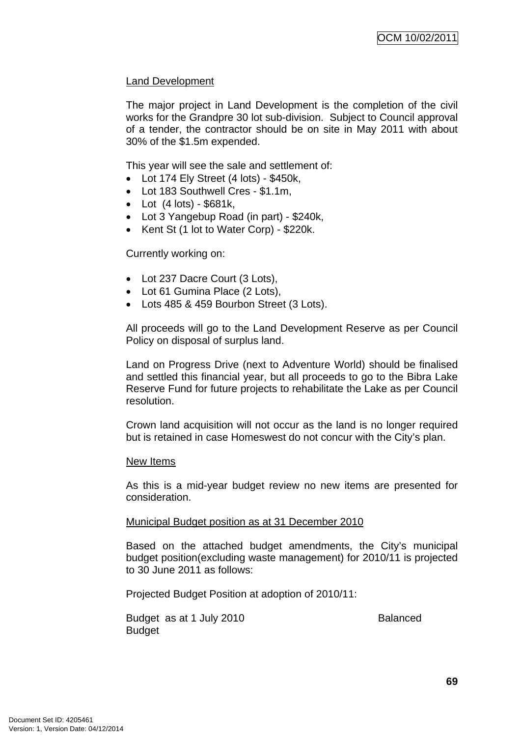## Land Development

The major project in Land Development is the completion of the civil works for the Grandpre 30 lot sub-division. Subject to Council approval of a tender, the contractor should be on site in May 2011 with about 30% of the \$1.5m expended.

This year will see the sale and settlement of:

- Lot 174 Ely Street (4 lots) \$450k,
- Lot 183 Southwell Cres \$1.1m,
- Lot  $(4 \text{ lots}) $681k$ ,
- Lot 3 Yangebup Road (in part) \$240k,
- Kent St (1 lot to Water Corp) \$220k.

Currently working on:

- Lot 237 Dacre Court (3 Lots),
- Lot 61 Gumina Place (2 Lots),
- Lots 485 & 459 Bourbon Street (3 Lots).

All proceeds will go to the Land Development Reserve as per Council Policy on disposal of surplus land.

Land on Progress Drive (next to Adventure World) should be finalised and settled this financial year, but all proceeds to go to the Bibra Lake Reserve Fund for future projects to rehabilitate the Lake as per Council resolution.

Crown land acquisition will not occur as the land is no longer required but is retained in case Homeswest do not concur with the City's plan.

#### New Items

As this is a mid-year budget review no new items are presented for consideration.

### Municipal Budget position as at 31 December 2010

Based on the attached budget amendments, the City's municipal budget position(excluding waste management) for 2010/11 is projected to 30 June 2011 as follows:

Projected Budget Position at adoption of 2010/11:

Budget as at 1 July 2010 **Balanced Budget**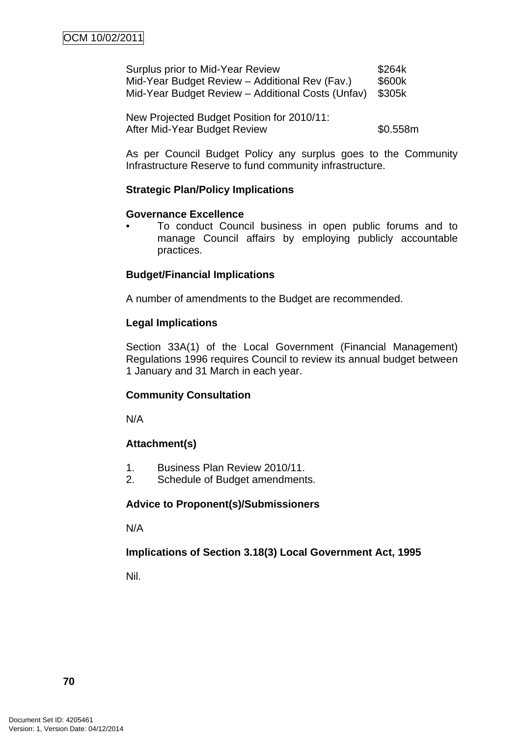| Surplus prior to Mid-Year Review                  | \$264k |
|---------------------------------------------------|--------|
| Mid-Year Budget Review - Additional Rev (Fav.)    | \$600k |
| Mid-Year Budget Review - Additional Costs (Unfav) | \$305k |

New Projected Budget Position for 2010/11: After Mid-Year Budget Review **\$0.558m** 

As per Council Budget Policy any surplus goes to the Community Infrastructure Reserve to fund community infrastructure.

## **Strategic Plan/Policy Implications**

### **Governance Excellence**

• To conduct Council business in open public forums and to manage Council affairs by employing publicly accountable practices.

## **Budget/Financial Implications**

A number of amendments to the Budget are recommended.

## **Legal Implications**

Section 33A(1) of the Local Government (Financial Management) Regulations 1996 requires Council to review its annual budget between 1 January and 31 March in each year.

# **Community Consultation**

N/A

# **Attachment(s)**

- 1. Business Plan Review 2010/11.
- 2. Schedule of Budget amendments.

### **Advice to Proponent(s)/Submissioners**

N/A

# **Implications of Section 3.18(3) Local Government Act, 1995**

Nil.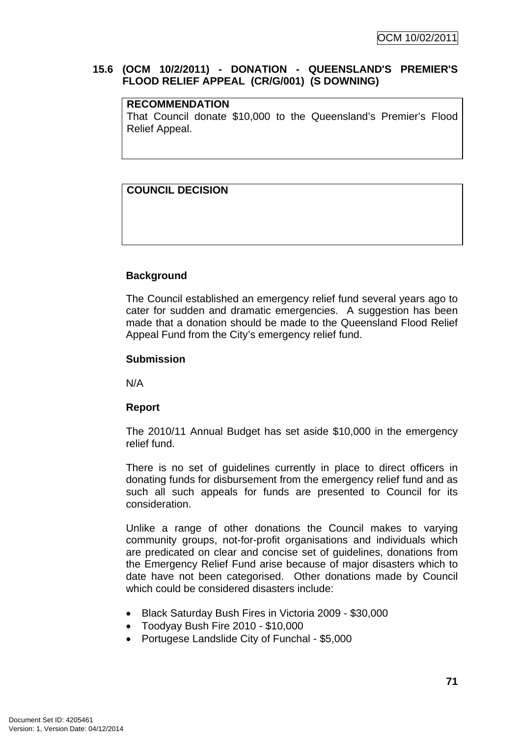### **15.6 (OCM 10/2/2011) - DONATION - QUEENSLAND'S PREMIER'S FLOOD RELIEF APPEAL (CR/G/001) (S DOWNING)**

#### **RECOMMENDATION**

That Council donate \$10,000 to the Queensland's Premier's Flood Relief Appeal.

# **COUNCIL DECISION**

# **Background**

The Council established an emergency relief fund several years ago to cater for sudden and dramatic emergencies. A suggestion has been made that a donation should be made to the Queensland Flood Relief Appeal Fund from the City's emergency relief fund.

### **Submission**

N/A

### **Report**

The 2010/11 Annual Budget has set aside \$10,000 in the emergency relief fund.

There is no set of guidelines currently in place to direct officers in donating funds for disbursement from the emergency relief fund and as such all such appeals for funds are presented to Council for its consideration.

Unlike a range of other donations the Council makes to varying community groups, not-for-profit organisations and individuals which are predicated on clear and concise set of guidelines, donations from the Emergency Relief Fund arise because of major disasters which to date have not been categorised. Other donations made by Council which could be considered disasters include:

- Black Saturday Bush Fires in Victoria 2009 \$30,000
- Toodyay Bush Fire 2010 \$10,000
- Portugese Landslide City of Funchal \$5,000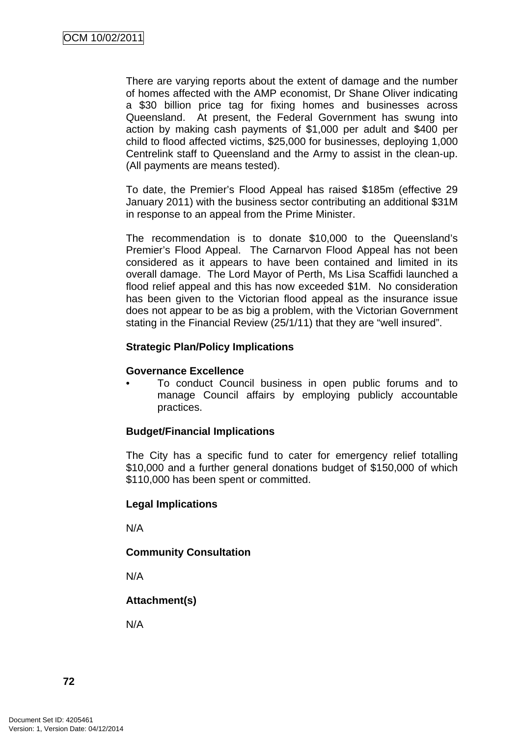There are varying reports about the extent of damage and the number of homes affected with the AMP economist, Dr Shane Oliver indicating a \$30 billion price tag for fixing homes and businesses across Queensland. At present, the Federal Government has swung into action by making cash payments of \$1,000 per adult and \$400 per child to flood affected victims, \$25,000 for businesses, deploying 1,000 Centrelink staff to Queensland and the Army to assist in the clean-up. (All payments are means tested).

To date, the Premier's Flood Appeal has raised \$185m (effective 29 January 2011) with the business sector contributing an additional \$31M in response to an appeal from the Prime Minister.

The recommendation is to donate \$10,000 to the Queensland's Premier's Flood Appeal. The Carnarvon Flood Appeal has not been considered as it appears to have been contained and limited in its overall damage. The Lord Mayor of Perth, Ms Lisa Scaffidi launched a flood relief appeal and this has now exceeded \$1M. No consideration has been given to the Victorian flood appeal as the insurance issue does not appear to be as big a problem, with the Victorian Government stating in the Financial Review (25/1/11) that they are "well insured".

### **Strategic Plan/Policy Implications**

#### **Governance Excellence**

• To conduct Council business in open public forums and to manage Council affairs by employing publicly accountable practices.

### **Budget/Financial Implications**

The City has a specific fund to cater for emergency relief totalling \$10,000 and a further general donations budget of \$150,000 of which \$110,000 has been spent or committed.

### **Legal Implications**

N/A

### **Community Consultation**

N/A

# **Attachment(s)**

N/A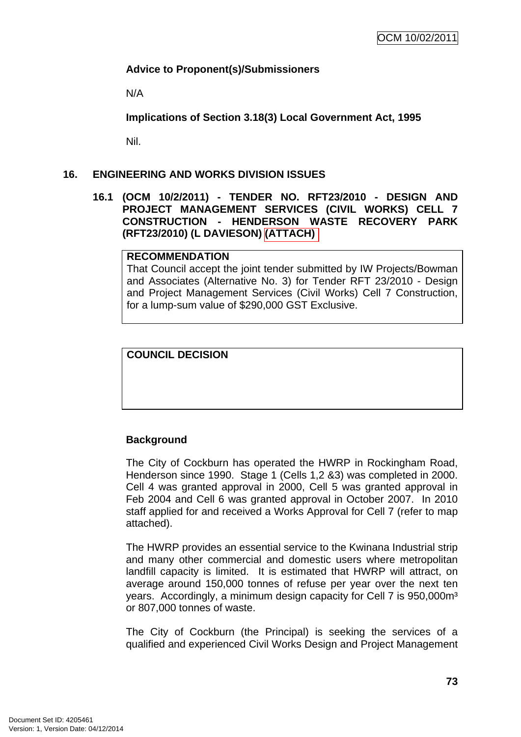## **Advice to Proponent(s)/Submissioners**

N/A

**Implications of Section 3.18(3) Local Government Act, 1995**

Nil.

## **16. ENGINEERING AND WORKS DIVISION ISSUES**

**16.1 (OCM 10/2/2011) - TENDER NO. RFT23/2010 - DESIGN AND PROJECT MANAGEMENT SERVICES (CIVIL WORKS) CELL 7 CONSTRUCTION - HENDERSON WASTE RECOVERY PARK (RFT23/2010) (L DAVIESON) (ATTACH)** 

### **RECOMMENDATION**

That Council accept the joint tender submitted by IW Projects/Bowman and Associates (Alternative No. 3) for Tender RFT 23/2010 - Design and Project Management Services (Civil Works) Cell 7 Construction, for a lump-sum value of \$290,000 GST Exclusive.

## **COUNCIL DECISION**

# **Background**

The City of Cockburn has operated the HWRP in Rockingham Road, Henderson since 1990. Stage 1 (Cells 1,2 &3) was completed in 2000. Cell 4 was granted approval in 2000, Cell 5 was granted approval in Feb 2004 and Cell 6 was granted approval in October 2007. In 2010 staff applied for and received a Works Approval for Cell 7 (refer to map attached).

The HWRP provides an essential service to the Kwinana Industrial strip and many other commercial and domestic users where metropolitan landfill capacity is limited. It is estimated that HWRP will attract, on average around 150,000 tonnes of refuse per year over the next ten years. Accordingly, a minimum design capacity for Cell 7 is 950,000m<sup>3</sup> or 807,000 tonnes of waste.

The City of Cockburn (the Principal) is seeking the services of a qualified and experienced Civil Works Design and Project Management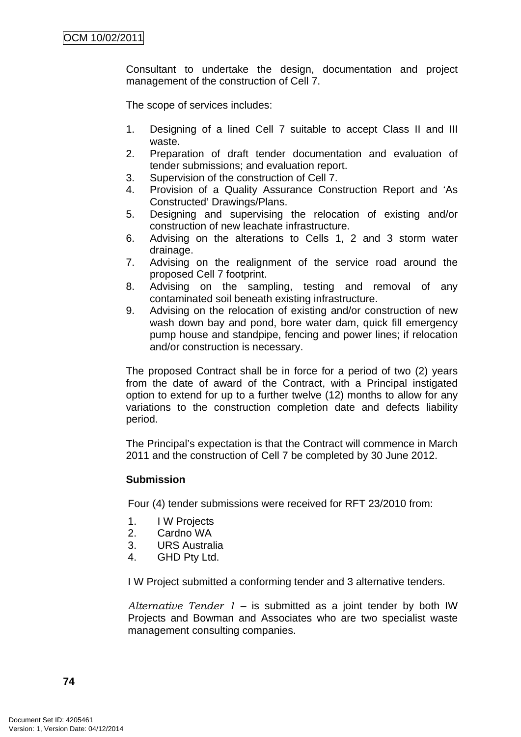Consultant to undertake the design, documentation and project management of the construction of Cell 7.

The scope of services includes:

- 1. Designing of a lined Cell 7 suitable to accept Class II and III waste.
- 2. Preparation of draft tender documentation and evaluation of tender submissions; and evaluation report.
- 3. Supervision of the construction of Cell 7.
- 4. Provision of a Quality Assurance Construction Report and 'As Constructed' Drawings/Plans.
- 5. Designing and supervising the relocation of existing and/or construction of new leachate infrastructure.
- 6. Advising on the alterations to Cells 1, 2 and 3 storm water drainage.
- 7. Advising on the realignment of the service road around the proposed Cell 7 footprint.
- 8. Advising on the sampling, testing and removal of any contaminated soil beneath existing infrastructure.
- 9. Advising on the relocation of existing and/or construction of new wash down bay and pond, bore water dam, quick fill emergency pump house and standpipe, fencing and power lines; if relocation and/or construction is necessary.

The proposed Contract shall be in force for a period of two (2) years from the date of award of the Contract, with a Principal instigated option to extend for up to a further twelve (12) months to allow for any variations to the construction completion date and defects liability period.

The Principal's expectation is that the Contract will commence in March 2011 and the construction of Cell 7 be completed by 30 June 2012.

### **Submission**

Four (4) tender submissions were received for RFT 23/2010 from:

- 1. I W Projects
- 2. Cardno WA
- 3. URS Australia
- 4. GHD Pty Ltd.

I W Project submitted a conforming tender and 3 alternative tenders.

*Alternative Tender 1* – is submitted as a joint tender by both IW Projects and Bowman and Associates who are two specialist waste management consulting companies.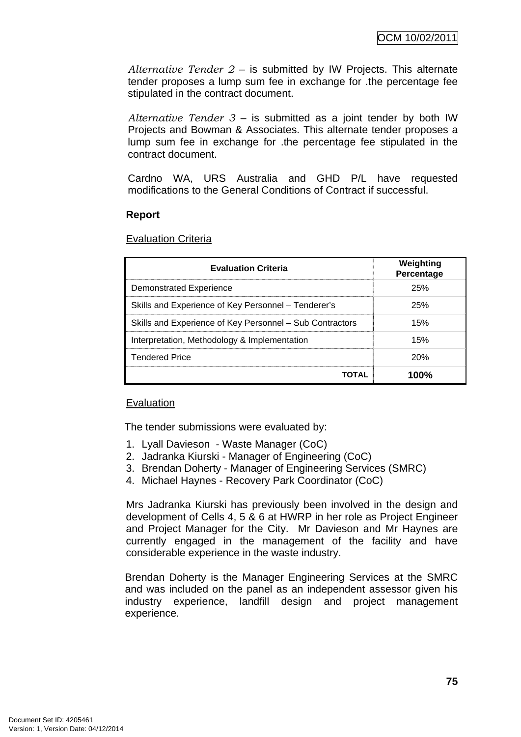*Alternative Tender 2* – is submitted by IW Projects. This alternate tender proposes a lump sum fee in exchange for .the percentage fee stipulated in the contract document.

*Alternative Tender 3* – is submitted as a joint tender by both IW Projects and Bowman & Associates. This alternate tender proposes a lump sum fee in exchange for .the percentage fee stipulated in the contract document.

Cardno WA, URS Australia and GHD P/L have requested modifications to the General Conditions of Contract if successful.

#### **Report**

Evaluation Criteria

| <b>Evaluation Criteria</b>                               | Weighting<br>Percentage |
|----------------------------------------------------------|-------------------------|
| <b>Demonstrated Experience</b>                           | 25%                     |
| Skills and Experience of Key Personnel - Tenderer's      | 25%                     |
| Skills and Experience of Key Personnel – Sub Contractors | 15%                     |
| Interpretation, Methodology & Implementation             | 15%                     |
| <b>Tendered Price</b>                                    | 20%                     |
| TOTAL                                                    | 100%                    |

### Evaluation

The tender submissions were evaluated by:

- 1. Lyall Davieson Waste Manager (CoC)
- 2. Jadranka Kiurski Manager of Engineering (CoC)
- 3. Brendan Doherty Manager of Engineering Services (SMRC)
- 4. Michael Haynes Recovery Park Coordinator (CoC)

Mrs Jadranka Kiurski has previously been involved in the design and development of Cells 4, 5 & 6 at HWRP in her role as Project Engineer and Project Manager for the City. Mr Davieson and Mr Haynes are currently engaged in the management of the facility and have considerable experience in the waste industry.

Brendan Doherty is the Manager Engineering Services at the SMRC and was included on the panel as an independent assessor given his industry experience, landfill design and project management experience.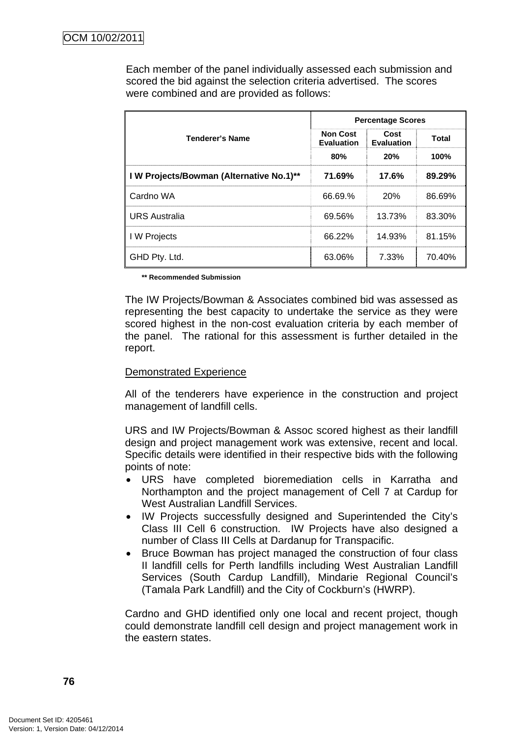Each member of the panel individually assessed each submission and scored the bid against the selection criteria advertised. The scores were combined and are provided as follows:

|                                          | <b>Percentage Scores</b>             |                           |              |
|------------------------------------------|--------------------------------------|---------------------------|--------------|
| <b>Tenderer's Name</b>                   | <b>Non Cost</b><br><b>Evaluation</b> | Cost<br><b>Evaluation</b> | <b>Total</b> |
|                                          | 80%                                  | 20%                       | 100%         |
| I W Projects/Bowman (Alternative No.1)** | 71.69%                               | 17.6%                     | 89.29%       |
| Cardno WA                                | 66.69.%                              | <b>20%</b>                | 86.69%       |
| <b>URS Australia</b>                     | 69.56%                               | 13.73%                    | 83.30%       |
| I W Projects                             | 66.22%                               | 14.93%                    | 81.15%       |
| GHD Pty. Ltd.                            | 63.06%                               | 7.33%                     | 70.40%       |

 **\*\* Recommended Submission** 

The IW Projects/Bowman & Associates combined bid was assessed as representing the best capacity to undertake the service as they were scored highest in the non-cost evaluation criteria by each member of the panel. The rational for this assessment is further detailed in the report.

### Demonstrated Experience

All of the tenderers have experience in the construction and project management of landfill cells.

URS and IW Projects/Bowman & Assoc scored highest as their landfill design and project management work was extensive, recent and local. Specific details were identified in their respective bids with the following points of note:

- URS have completed bioremediation cells in Karratha and Northampton and the project management of Cell 7 at Cardup for West Australian Landfill Services.
- IW Projects successfully designed and Superintended the City's Class III Cell 6 construction. IW Projects have also designed a number of Class III Cells at Dardanup for Transpacific.
- Bruce Bowman has project managed the construction of four class II landfill cells for Perth landfills including West Australian Landfill Services (South Cardup Landfill), Mindarie Regional Council's (Tamala Park Landfill) and the City of Cockburn's (HWRP).

Cardno and GHD identified only one local and recent project, though could demonstrate landfill cell design and project management work in the eastern states.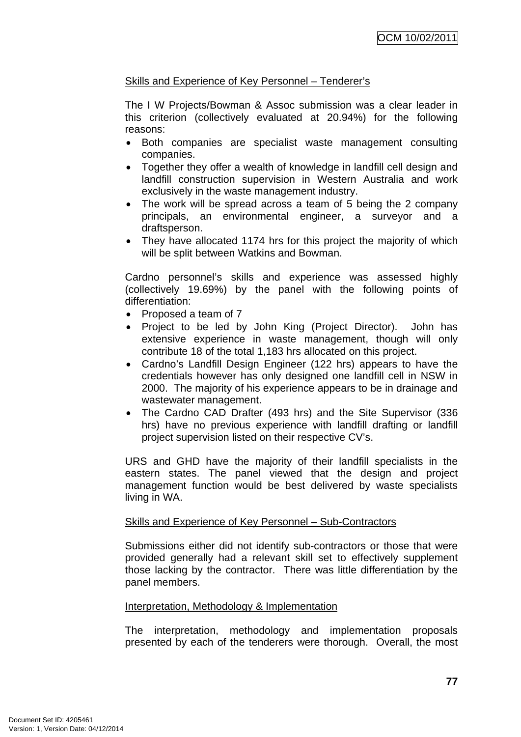## Skills and Experience of Key Personnel – Tenderer's

The I W Projects/Bowman & Assoc submission was a clear leader in this criterion (collectively evaluated at 20.94%) for the following reasons:

- Both companies are specialist waste management consulting companies.
- Together they offer a wealth of knowledge in landfill cell design and landfill construction supervision in Western Australia and work exclusively in the waste management industry.
- The work will be spread across a team of 5 being the 2 company principals, an environmental engineer, a surveyor and a draftsperson.
- They have allocated 1174 hrs for this project the majority of which will be split between Watkins and Bowman.

Cardno personnel's skills and experience was assessed highly (collectively 19.69%) by the panel with the following points of differentiation:

- Proposed a team of 7
- Project to be led by John King (Project Director). John has extensive experience in waste management, though will only contribute 18 of the total 1,183 hrs allocated on this project.
- Cardno's Landfill Design Engineer (122 hrs) appears to have the credentials however has only designed one landfill cell in NSW in 2000. The majority of his experience appears to be in drainage and wastewater management.
- The Cardno CAD Drafter (493 hrs) and the Site Supervisor (336 hrs) have no previous experience with landfill drafting or landfill project supervision listed on their respective CV's.

URS and GHD have the majority of their landfill specialists in the eastern states. The panel viewed that the design and project management function would be best delivered by waste specialists living in WA.

### Skills and Experience of Key Personnel – Sub-Contractors

Submissions either did not identify sub-contractors or those that were provided generally had a relevant skill set to effectively supplement those lacking by the contractor. There was little differentiation by the panel members.

### Interpretation, Methodology & Implementation

The interpretation, methodology and implementation proposals presented by each of the tenderers were thorough. Overall, the most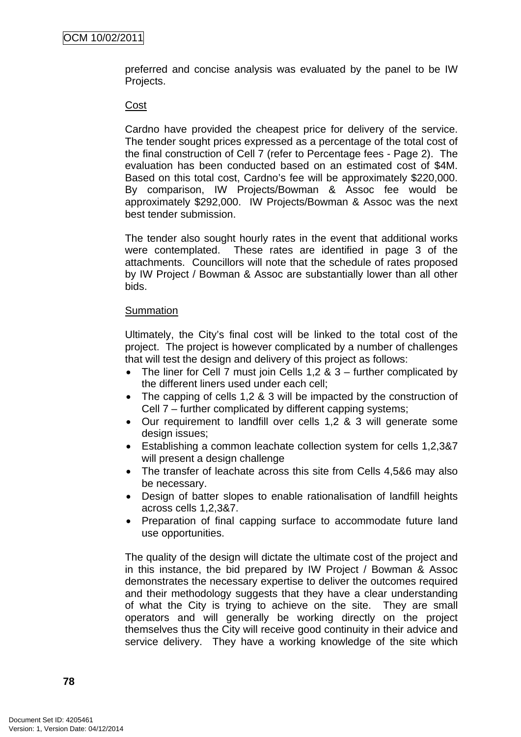preferred and concise analysis was evaluated by the panel to be IW Projects.

#### Cost

Cardno have provided the cheapest price for delivery of the service. The tender sought prices expressed as a percentage of the total cost of the final construction of Cell 7 (refer to Percentage fees - Page 2). The evaluation has been conducted based on an estimated cost of \$4M. Based on this total cost, Cardno's fee will be approximately \$220,000. By comparison, IW Projects/Bowman & Assoc fee would be approximately \$292,000. IW Projects/Bowman & Assoc was the next best tender submission.

The tender also sought hourly rates in the event that additional works were contemplated. These rates are identified in page 3 of the attachments. Councillors will note that the schedule of rates proposed by IW Project / Bowman & Assoc are substantially lower than all other bids.

#### **Summation**

Ultimately, the City's final cost will be linked to the total cost of the project. The project is however complicated by a number of challenges that will test the design and delivery of this project as follows:

- The liner for Cell 7 must join Cells  $1,2 \& 3$  further complicated by the different liners used under each cell;
- The capping of cells 1,2 & 3 will be impacted by the construction of Cell 7 – further complicated by different capping systems;
- Our requirement to landfill over cells 1,2 & 3 will generate some design issues;
- Establishing a common leachate collection system for cells 1,2,3&7 will present a design challenge
- The transfer of leachate across this site from Cells 4,5&6 may also be necessary.
- Design of batter slopes to enable rationalisation of landfill heights across cells 1,2,3&7.
- Preparation of final capping surface to accommodate future land use opportunities.

The quality of the design will dictate the ultimate cost of the project and in this instance, the bid prepared by IW Project / Bowman & Assoc demonstrates the necessary expertise to deliver the outcomes required and their methodology suggests that they have a clear understanding of what the City is trying to achieve on the site. They are small operators and will generally be working directly on the project themselves thus the City will receive good continuity in their advice and service delivery. They have a working knowledge of the site which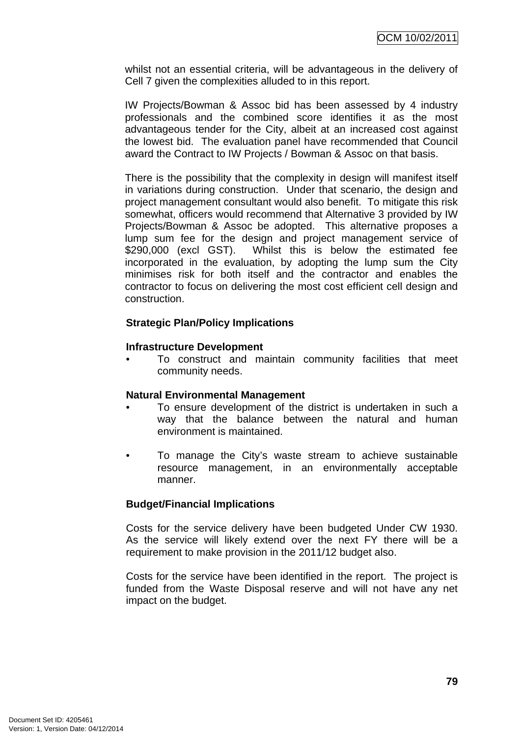whilst not an essential criteria, will be advantageous in the delivery of Cell 7 given the complexities alluded to in this report.

IW Projects/Bowman & Assoc bid has been assessed by 4 industry professionals and the combined score identifies it as the most advantageous tender for the City, albeit at an increased cost against the lowest bid. The evaluation panel have recommended that Council award the Contract to IW Projects / Bowman & Assoc on that basis.

There is the possibility that the complexity in design will manifest itself in variations during construction. Under that scenario, the design and project management consultant would also benefit. To mitigate this risk somewhat, officers would recommend that Alternative 3 provided by IW Projects/Bowman & Assoc be adopted. This alternative proposes a lump sum fee for the design and project management service of \$290,000 (excl GST). Whilst this is below the estimated fee incorporated in the evaluation, by adopting the lump sum the City minimises risk for both itself and the contractor and enables the contractor to focus on delivering the most cost efficient cell design and construction.

### **Strategic Plan/Policy Implications**

### **Infrastructure Development**

• To construct and maintain community facilities that meet community needs.

### **Natural Environmental Management**

- To ensure development of the district is undertaken in such a way that the balance between the natural and human environment is maintained.
- To manage the City's waste stream to achieve sustainable resource management, in an environmentally acceptable manner.

### **Budget/Financial Implications**

Costs for the service delivery have been budgeted Under CW 1930. As the service will likely extend over the next FY there will be a requirement to make provision in the 2011/12 budget also.

Costs for the service have been identified in the report. The project is funded from the Waste Disposal reserve and will not have any net impact on the budget.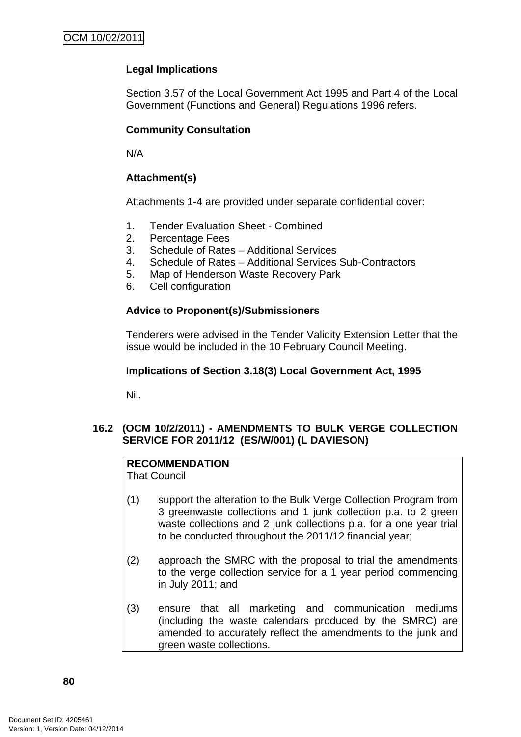# **Legal Implications**

Section 3.57 of the Local Government Act 1995 and Part 4 of the Local Government (Functions and General) Regulations 1996 refers.

# **Community Consultation**

N/A

## **Attachment(s)**

Attachments 1-4 are provided under separate confidential cover:

- 1. Tender Evaluation Sheet Combined
- 2. Percentage Fees
- 3. Schedule of Rates Additional Services
- 4. Schedule of Rates Additional Services Sub-Contractors
- 5. Map of Henderson Waste Recovery Park
- 6. Cell configuration

# **Advice to Proponent(s)/Submissioners**

Tenderers were advised in the Tender Validity Extension Letter that the issue would be included in the 10 February Council Meeting.

### **Implications of Section 3.18(3) Local Government Act, 1995**

Nil.

## **16.2 (OCM 10/2/2011) - AMENDMENTS TO BULK VERGE COLLECTION SERVICE FOR 2011/12 (ES/W/001) (L DAVIESON)**

# **RECOMMENDATION**

That Council

- (1) support the alteration to the Bulk Verge Collection Program from 3 greenwaste collections and 1 junk collection p.a. to 2 green waste collections and 2 junk collections p.a. for a one year trial to be conducted throughout the 2011/12 financial year;
- (2) approach the SMRC with the proposal to trial the amendments to the verge collection service for a 1 year period commencing in July 2011; and
- (3) ensure that all marketing and communication mediums (including the waste calendars produced by the SMRC) are amended to accurately reflect the amendments to the junk and green waste collections.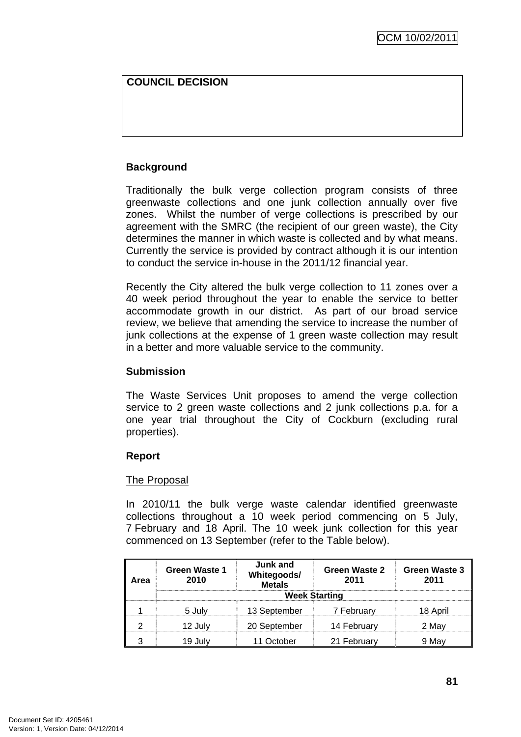## **COUNCIL DECISION**

## **Background**

Traditionally the bulk verge collection program consists of three greenwaste collections and one junk collection annually over five zones. Whilst the number of verge collections is prescribed by our agreement with the SMRC (the recipient of our green waste), the City determines the manner in which waste is collected and by what means. Currently the service is provided by contract although it is our intention to conduct the service in-house in the 2011/12 financial year.

Recently the City altered the bulk verge collection to 11 zones over a 40 week period throughout the year to enable the service to better accommodate growth in our district. As part of our broad service review, we believe that amending the service to increase the number of junk collections at the expense of 1 green waste collection may result in a better and more valuable service to the community.

### **Submission**

The Waste Services Unit proposes to amend the verge collection service to 2 green waste collections and 2 junk collections p.a. for a one year trial throughout the City of Cockburn (excluding rural properties).

### **Report**

### The Proposal

In 2010/11 the bulk verge waste calendar identified greenwaste collections throughout a 10 week period commencing on 5 July, 7 February and 18 April. The 10 week junk collection for this year commenced on 13 September (refer to the Table below).

| Area | <b>Green Waste 1</b><br>2010 | Junk and<br>Whitegoods/<br>Metals | Green Waste 2<br>2011 | <b>Green Waste 3</b><br>2011 |
|------|------------------------------|-----------------------------------|-----------------------|------------------------------|
|      | <b>Week Starting</b>         |                                   |                       |                              |
|      | 5 July                       | 13 September                      | 7 February            | 18 April                     |
|      | 12 Julv                      | 20 September                      | 14 February           | 2 May                        |
|      | 19 JUI                       | 11 October                        | 21 February           |                              |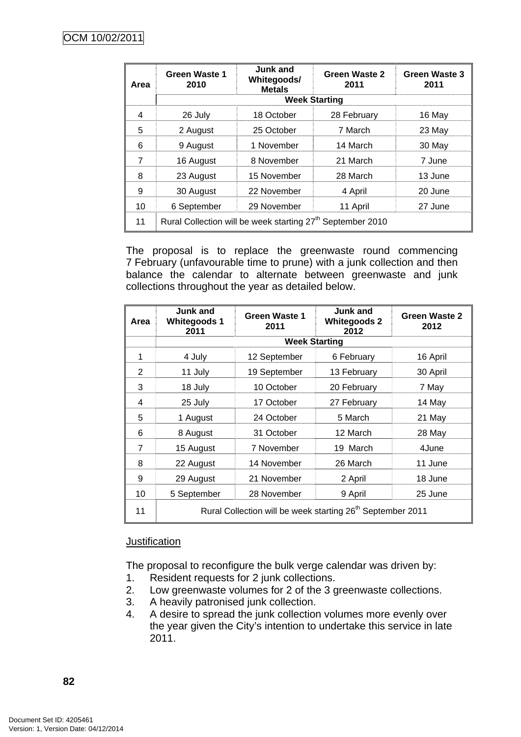| Area | <b>Green Waste 1</b><br>2010                                           | Junk and<br>Whitegoods/<br><b>Metals</b> | Green Waste 2<br>2011 | Green Waste 3<br>2011 |
|------|------------------------------------------------------------------------|------------------------------------------|-----------------------|-----------------------|
|      | <b>Week Starting</b>                                                   |                                          |                       |                       |
| 4    | 26 July                                                                | 18 October                               | 28 February           | 16 May                |
| 5    | 2 August                                                               | 25 October                               | 7 March               | 23 May                |
| 6    | 9 August                                                               | 1 November                               | 14 March              | 30 May                |
| 7    | 16 August                                                              | 8 November                               | 21 March              | 7 June                |
| 8    | 23 August                                                              | 15 November                              | 28 March              | 13 June               |
| 9    | 30 August                                                              | 22 November                              | 4 April               | 20 June               |
| 10   | 6 September                                                            | 29 November                              | 11 April              | 27 June               |
| 11   | Rural Collection will be week starting 27 <sup>th</sup> September 2010 |                                          |                       |                       |

The proposal is to replace the greenwaste round commencing 7 February (unfavourable time to prune) with a junk collection and then balance the calendar to alternate between greenwaste and junk collections throughout the year as detailed below.

| Area           | Junk and<br><b>Whitegoods 1</b><br>2011                                | <b>Green Waste 1</b><br>2011 | Junk and<br><b>Whitegoods 2</b><br>2012 | Green Waste 2<br>2012 |
|----------------|------------------------------------------------------------------------|------------------------------|-----------------------------------------|-----------------------|
|                | <b>Week Starting</b>                                                   |                              |                                         |                       |
| 1              | 4 July                                                                 | 12 September                 | 6 February                              | 16 April              |
| 2              | 11 July                                                                | 19 September                 | 13 February                             | 30 April              |
| 3              | 18 July                                                                | 10 October                   | 20 February                             | 7 May                 |
| 4              | 25 July                                                                | 17 October                   | 27 February                             | 14 May                |
| 5              | 1 August                                                               | 24 October                   | 5 March                                 | 21 May                |
| 6              | 8 August                                                               | 31 October                   | 12 March                                | 28 May                |
| $\overline{7}$ | 15 August                                                              | 7 November                   | 19 March                                | 4June                 |
| 8              | 22 August                                                              | 14 November                  | 26 March                                | 11 June               |
| 9              | 29 August                                                              | 21 November                  | 2 April                                 | 18 June               |
| 10             | 5 September                                                            | 28 November                  | 9 April                                 | 25 June               |
| 11             | Rural Collection will be week starting 26 <sup>th</sup> September 2011 |                              |                                         |                       |

### **Justification**

The proposal to reconfigure the bulk verge calendar was driven by:

- 1. Resident requests for 2 junk collections.
- 2. Low greenwaste volumes for 2 of the 3 greenwaste collections.
- 3. A heavily patronised junk collection.
- 4. A desire to spread the junk collection volumes more evenly over the year given the City's intention to undertake this service in late 2011.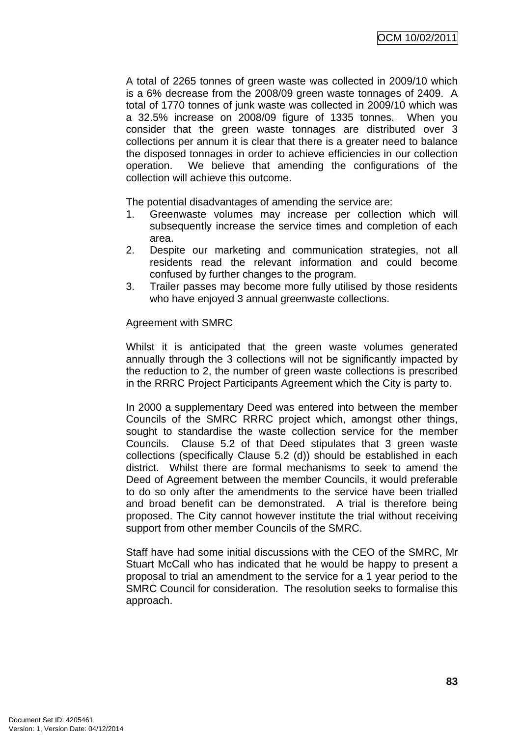A total of 2265 tonnes of green waste was collected in 2009/10 which is a 6% decrease from the 2008/09 green waste tonnages of 2409. A total of 1770 tonnes of junk waste was collected in 2009/10 which was a 32.5% increase on 2008/09 figure of 1335 tonnes. When you consider that the green waste tonnages are distributed over 3 collections per annum it is clear that there is a greater need to balance the disposed tonnages in order to achieve efficiencies in our collection operation. We believe that amending the configurations of the collection will achieve this outcome.

The potential disadvantages of amending the service are:

- 1. Greenwaste volumes may increase per collection which will subsequently increase the service times and completion of each area.
- 2. Despite our marketing and communication strategies, not all residents read the relevant information and could become confused by further changes to the program.
- 3. Trailer passes may become more fully utilised by those residents who have enjoyed 3 annual greenwaste collections.

### Agreement with SMRC

Whilst it is anticipated that the green waste volumes generated annually through the 3 collections will not be significantly impacted by the reduction to 2, the number of green waste collections is prescribed in the RRRC Project Participants Agreement which the City is party to.

In 2000 a supplementary Deed was entered into between the member Councils of the SMRC RRRC project which, amongst other things, sought to standardise the waste collection service for the member Councils. Clause 5.2 of that Deed stipulates that 3 green waste collections (specifically Clause 5.2 (d)) should be established in each district. Whilst there are formal mechanisms to seek to amend the Deed of Agreement between the member Councils, it would preferable to do so only after the amendments to the service have been trialled and broad benefit can be demonstrated. A trial is therefore being proposed. The City cannot however institute the trial without receiving support from other member Councils of the SMRC.

Staff have had some initial discussions with the CEO of the SMRC, Mr Stuart McCall who has indicated that he would be happy to present a proposal to trial an amendment to the service for a 1 year period to the SMRC Council for consideration. The resolution seeks to formalise this approach.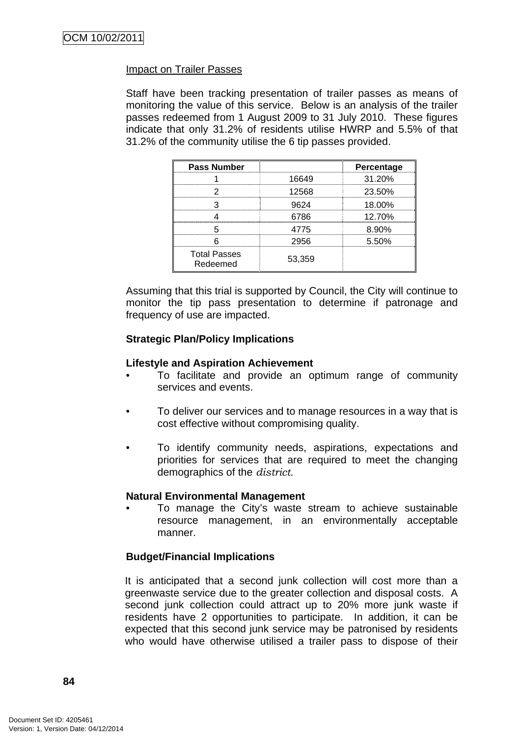### Impact on Trailer Passes

Staff have been tracking presentation of trailer passes as means of monitoring the value of this service. Below is an analysis of the trailer passes redeemed from 1 August 2009 to 31 July 2010. These figures indicate that only 31.2% of residents utilise HWRP and 5.5% of that 31.2% of the community utilise the 6 tip passes provided.

| <b>Pass Number</b>              |        | Percentage |
|---------------------------------|--------|------------|
|                                 | 16649  | 31.20%     |
|                                 | 12568  | 23.50%     |
|                                 | SGクム   | 18.00%     |
|                                 | 6786   | 12.70%     |
|                                 | 4775   | 8.90%      |
|                                 | 2956   | 5.50%      |
| <b>Total Passes</b><br>Redeemed | 53,359 |            |

Assuming that this trial is supported by Council, the City will continue to monitor the tip pass presentation to determine if patronage and frequency of use are impacted.

### **Strategic Plan/Policy Implications**

#### **Lifestyle and Aspiration Achievement**

- To facilitate and provide an optimum range of community services and events.
- To deliver our services and to manage resources in a way that is cost effective without compromising quality.
- To identify community needs, aspirations, expectations and priorities for services that are required to meet the changing demographics of the *district.*

#### **Natural Environmental Management**

• To manage the City's waste stream to achieve sustainable resource management, in an environmentally acceptable manner.

### **Budget/Financial Implications**

It is anticipated that a second junk collection will cost more than a greenwaste service due to the greater collection and disposal costs. A second junk collection could attract up to 20% more junk waste if residents have 2 opportunities to participate. In addition, it can be expected that this second junk service may be patronised by residents who would have otherwise utilised a trailer pass to dispose of their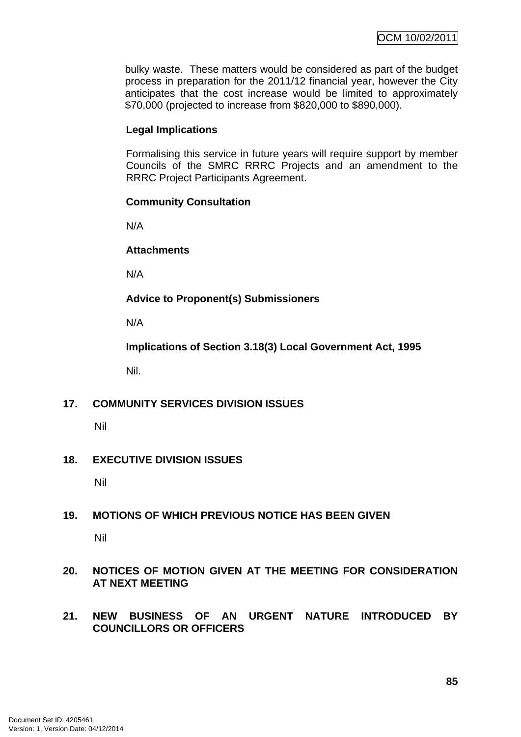bulky waste. These matters would be considered as part of the budget process in preparation for the 2011/12 financial year, however the City anticipates that the cost increase would be limited to approximately \$70,000 (projected to increase from \$820,000 to \$890,000).

# **Legal Implications**

Formalising this service in future years will require support by member Councils of the SMRC RRRC Projects and an amendment to the RRRC Project Participants Agreement.

# **Community Consultation**

N/A

## **Attachments**

N/A

**Advice to Proponent(s) Submissioners** 

N/A

**Implications of Section 3.18(3) Local Government Act, 1995** 

Nil.

# **17. COMMUNITY SERVICES DIVISION ISSUES**

Nil

# **18. EXECUTIVE DIVISION ISSUES**

Nil

# **19. MOTIONS OF WHICH PREVIOUS NOTICE HAS BEEN GIVEN**

Nil

## **20. NOTICES OF MOTION GIVEN AT THE MEETING FOR CONSIDERATION AT NEXT MEETING**

**21. NEW BUSINESS OF AN URGENT NATURE INTRODUCED BY COUNCILLORS OR OFFICERS**